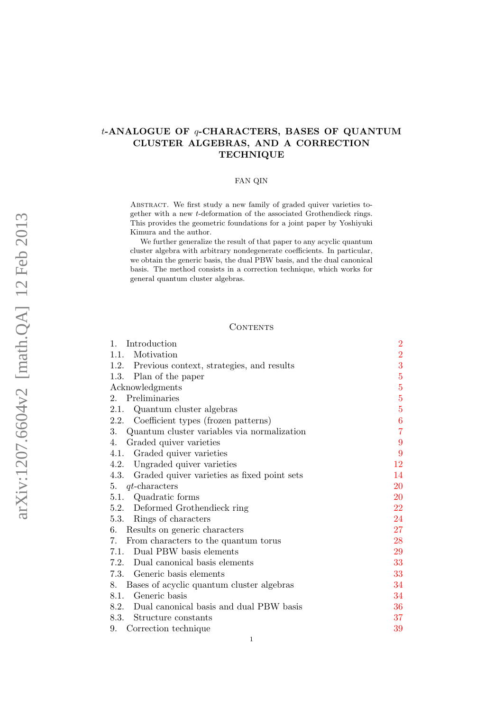# t-ANALOGUE OF q-CHARACTERS, BASES OF QUANTUM CLUSTER ALGEBRAS, AND A CORRECTION **TECHNIQUE**

## FAN QIN

Abstract. We first study a new family of graded quiver varieties together with a new t-deformation of the associated Grothendieck rings. This provides the geometric foundations for a joint paper by Yoshiyuki Kimura and the author.

We further generalize the result of that paper to any acyclic quantum cluster algebra with arbitrary nondegenerate coefficients. In particular, we obtain the generic basis, the dual PBW basis, and the dual canonical basis. The method consists in a correction technique, which works for general quantum cluster algebras.

### **CONTENTS**

| Introduction<br>1.                                  | $\overline{2}$ |
|-----------------------------------------------------|----------------|
| Motivation<br>1.1.                                  | $\overline{2}$ |
| 1.2. Previous context, strategies, and results      | 3              |
| 1.3. Plan of the paper                              | $\overline{5}$ |
| Acknowledgments                                     | $\overline{5}$ |
| Preliminaries<br>$2_{-}$                            | $\overline{5}$ |
| Quantum cluster algebras<br>2.1.                    | $\overline{5}$ |
| 2.2.<br>Coefficient types (frozen patterns)         | 6              |
| 3.<br>Quantum cluster variables via normalization   | $\overline{7}$ |
| Graded quiver varieties<br>4.                       | 9              |
| Graded quiver varieties<br>4.1.                     | 9              |
| 4.2.<br>Ungraded quiver varieties                   | 12             |
| 4.3.<br>Graded quiver varieties as fixed point sets | 14             |
| $qt$ -characters<br>5.                              | 20             |
| Quadratic forms<br>5.1.                             | 20             |
| 5.2. Deformed Grothendieck ring                     | 22             |
| 5.3. Rings of characters                            | 24             |
| 6.<br>Results on generic characters                 | 27             |
| 7.<br>From characters to the quantum torus          | 28             |
| Dual PBW basis elements<br>7.1.                     | 29             |
| 7.2. Dual canonical basis elements                  | 33             |
| 7.3. Generic basis elements                         | 33             |
| Bases of acyclic quantum cluster algebras<br>8.     | 34             |
| Generic basis<br>8.1.                               | 34             |
| 8.2. Dual canonical basis and dual PBW basis        | 36             |
| 8.3.<br>Structure constants                         | 37             |
| 9.<br>Correction technique                          | 39             |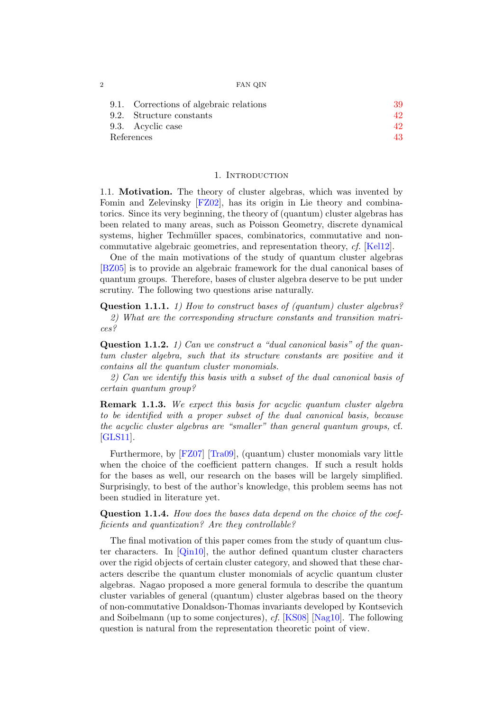| ິ | FAN QIN |
|---|---------|
|---|---------|

|            | 9.1. Corrections of algebraic relations | 39  |
|------------|-----------------------------------------|-----|
|            | 9.2. Structure constants                | 42. |
|            | 9.3. Acyclic case                       | 42. |
| References |                                         | 43. |

#### 1. INTRODUCTION

<span id="page-1-1"></span><span id="page-1-0"></span>1.1. Motivation. The theory of cluster algebras, which was invented by Fomin and Zelevinsky [\[FZ02\]](#page-43-0), has its origin in Lie theory and combinatorics. Since its very beginning, the theory of (quantum) cluster algebras has been related to many areas, such as Poisson Geometry, discrete dynamical systems, higher Techmüller spaces, combinatorics, commutative and noncommutative algebraic geometries, and representation theory, cf. [\[Kel12\]](#page-43-1).

One of the main motivations of the study of quantum cluster algebras [\[BZ05\]](#page-42-1) is to provide an algebraic framework for the dual canonical bases of quantum groups. Therefore, bases of cluster algebra deserve to be put under scrutiny. The following two questions arise naturally.

<span id="page-1-3"></span>Question 1.1.1. 1) How to construct bases of (quantum) cluster algebras? 2) What are the corresponding structure constants and transition matrices?

<span id="page-1-2"></span>Question 1.1.2. 1) Can we construct a "dual canonical basis" of the quantum cluster algebra, such that its structure constants are positive and it contains all the quantum cluster monomials.

2) Can we identify this basis with a subset of the dual canonical basis of certain quantum group?

Remark 1.1.3. We expect this basis for acyclic quantum cluster algebra to be identified with a proper subset of the dual canonical basis, because the acyclic cluster algebras are "smaller" than general quantum groups, cf. [\[GLS11\]](#page-43-2).

Furthermore, by [\[FZ07\]](#page-43-3) [\[Tra09\]](#page-44-0), (quantum) cluster monomials vary little when the choice of the coefficient pattern changes. If such a result holds for the bases as well, our research on the bases will be largely simplified. Surprisingly, to best of the author's knowledge, this problem seems has not been studied in literature yet.

<span id="page-1-4"></span>Question 1.1.4. How does the bases data depend on the choice of the coefficients and quantization? Are they controllable?

The final motivation of this paper comes from the study of quantum cluster characters. In  $[Q\text{in}10]$ , the author defined quantum cluster characters over the rigid objects of certain cluster category, and showed that these characters describe the quantum cluster monomials of acyclic quantum cluster algebras. Nagao proposed a more general formula to describe the quantum cluster variables of general (quantum) cluster algebras based on the theory of non-commutative Donaldson-Thomas invariants developed by Kontsevich and Soibelmann (up to some conjectures), cf. [\[KS08\]](#page-43-4) [\[Nag10\]](#page-43-5). The following question is natural from the representation theoretic point of view.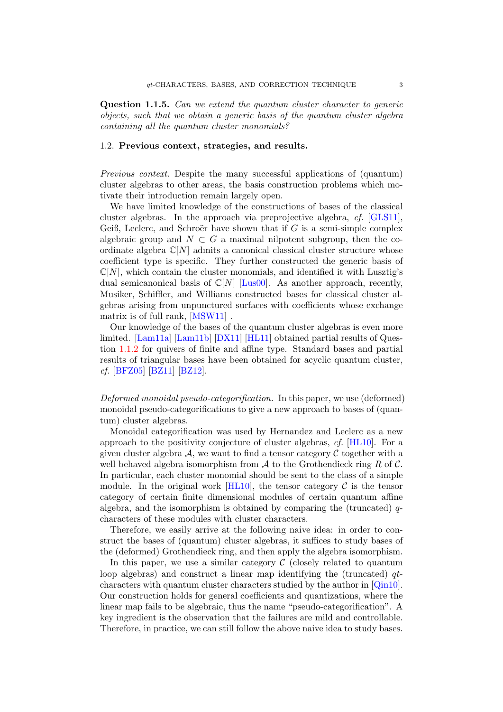<span id="page-2-1"></span>Question 1.1.5. Can we extend the quantum cluster character to generic objects, such that we obtain a generic basis of the quantum cluster algebra containing all the quantum cluster monomials?

## <span id="page-2-0"></span>1.2. Previous context, strategies, and results.

Previous context. Despite the many successful applications of (quantum) cluster algebras to other areas, the basis construction problems which motivate their introduction remain largely open.

We have limited knowledge of the constructions of bases of the classical cluster algebras. In the approach via preprojective algebra, cf. [\[GLS11\]](#page-43-2), Geiß, Leclerc, and Schroër have shown that if  $G$  is a semi-simple complex algebraic group and  $N \subset G$  a maximal nilpotent subgroup, then the coordinate algebra  $\mathbb{C}[N]$  admits a canonical classical cluster structure whose coefficient type is specific. They further constructed the generic basis of  $\mathbb{C}[N]$ , which contain the cluster monomials, and identified it with Lusztig's dual semicanonical basis of  $\mathbb{C}[N]$  [\[Lus00\]](#page-43-6). As another approach, recently, Musiker, Schiffler, and Williams constructed bases for classical cluster algebras arising from unpunctured surfaces with coefficients whose exchange matrix is of full rank, [\[MSW11\]](#page-43-7) .

Our knowledge of the bases of the quantum cluster algebras is even more limited. [\[Lam11a\]](#page-43-8) [\[Lam11b\]](#page-43-9) [\[DX11\]](#page-43-10) [\[HL11\]](#page-43-11) obtained partial results of Question [1.1.2](#page-1-2) for quivers of finite and affine type. Standard bases and partial results of triangular bases have been obtained for acyclic quantum cluster, cf. [\[BFZ05\]](#page-42-2) [\[BZ11\]](#page-42-3) [\[BZ12\]](#page-42-4).

Deformed monoidal pseudo-categorification. In this paper, we use (deformed) monoidal pseudo-categorifications to give a new approach to bases of (quantum) cluster algebras.

Monoidal categorification was used by Hernandez and Leclerc as a new approach to the positivity conjecture of cluster algebras, cf. [\[HL10\]](#page-43-12). For a given cluster algebra  $A$ , we want to find a tensor category  $C$  together with a well behaved algebra isomorphism from  $\mathcal A$  to the Grothendieck ring R of C. In particular, each cluster monomial should be sent to the class of a simple module. In the original work  $[HL10]$ , the tensor category C is the tensor category of certain finite dimensional modules of certain quantum affine algebra, and the isomorphism is obtained by comparing the (truncated)  $q$ characters of these modules with cluster characters.

Therefore, we easily arrive at the following naive idea: in order to construct the bases of (quantum) cluster algebras, it suffices to study bases of the (deformed) Grothendieck ring, and then apply the algebra isomorphism.

In this paper, we use a similar category  $\mathcal C$  (closely related to quantum loop algebras) and construct a linear map identifying the (truncated)  $qt$ characters with quantum cluster characters studied by the author in [\[Qin10\]](#page-44-1). Our construction holds for general coefficients and quantizations, where the linear map fails to be algebraic, thus the name "pseudo-categorification". A key ingredient is the observation that the failures are mild and controllable. Therefore, in practice, we can still follow the above naive idea to study bases.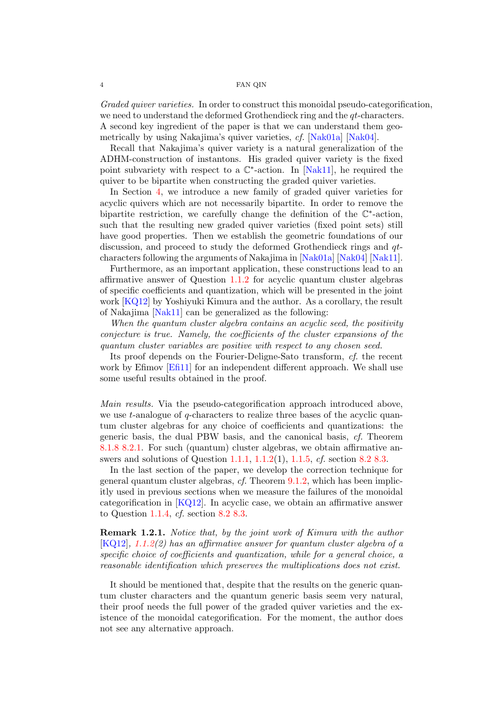Graded quiver varieties. In order to construct this monoidal pseudo-categorification, we need to understand the deformed Grothendieck ring and the  $qt$ -characters. A second key ingredient of the paper is that we can understand them geometrically by using Nakajima's quiver varieties, cf. [\[Nak01a\]](#page-43-13) [\[Nak04\]](#page-44-2).

Recall that Nakajima's quiver variety is a natural generalization of the ADHM-construction of instantons. His graded quiver variety is the fixed point subvariety with respect to a  $\mathbb{C}^*$ -action. In [\[Nak11\]](#page-44-3), he required the quiver to be bipartite when constructing the graded quiver varieties.

In Section [4,](#page-8-0) we introduce a new family of graded quiver varieties for acyclic quivers which are not necessarily bipartite. In order to remove the bipartite restriction, we carefully change the definition of the  $\mathbb{C}^*$ -action, such that the resulting new graded quiver varieties (fixed point sets) still have good properties. Then we establish the geometric foundations of our discussion, and proceed to study the deformed Grothendieck rings and  $q_t$ characters following the arguments of Nakajima in [\[Nak01a\]](#page-43-13) [\[Nak04\]](#page-44-2) [\[Nak11\]](#page-44-3).

Furthermore, as an important application, these constructions lead to an affirmative answer of Question [1.1.2](#page-1-2) for acyclic quantum cluster algebras of specific coefficients and quantization, which will be presented in the joint work [\[KQ12\]](#page-43-14) by Yoshiyuki Kimura and the author. As a corollary, the result of Nakajima [\[Nak11\]](#page-44-3) can be generalized as the following:

When the quantum cluster algebra contains an acyclic seed, the positivity conjecture is true. Namely, the coefficients of the cluster expansions of the quantum cluster variables are positive with respect to any chosen seed.

Its proof depends on the Fourier-Deligne-Sato transform, cf. the recent work by Efimov [\[Efi11\]](#page-43-15) for an independent different approach. We shall use some useful results obtained in the proof.

Main results. Via the pseudo-categorification approach introduced above, we use t-analogue of q-characters to realize three bases of the acyclic quantum cluster algebras for any choice of coefficients and quantizations: the generic basis, the dual PBW basis, and the canonical basis, cf. Theorem [8.1.8](#page-35-1) [8.2.1.](#page-35-2) For such (quantum) cluster algebras, we obtain affirmative answers and solutions of Question [1.1.1,](#page-1-3) [1.1.2\(](#page-1-2)1), [1.1.5,](#page-2-1) cf. section [8.2](#page-35-0) [8.3.](#page-36-0)

In the last section of the paper, we develop the correction technique for general quantum cluster algebras, cf. Theorem [9.1.2,](#page-39-0) which has been implicitly used in previous sections when we measure the failures of the monoidal categorification in [\[KQ12\]](#page-43-14). In acyclic case, we obtain an affirmative answer to Question [1.1.4,](#page-1-4) cf. section [8.2](#page-35-0) [8.3.](#page-36-0)

Remark 1.2.1. Notice that, by the joint work of Kimura with the author [\[KQ12\]](#page-43-14), [1.1.2\(](#page-1-2)2) has an affirmative answer for quantum cluster algebra of a specific choice of coefficients and quantization, while for a general choice, a reasonable identification which preserves the multiplications does not exist.

It should be mentioned that, despite that the results on the generic quantum cluster characters and the quantum generic basis seem very natural, their proof needs the full power of the graded quiver varieties and the existence of the monoidal categorification. For the moment, the author does not see any alternative approach.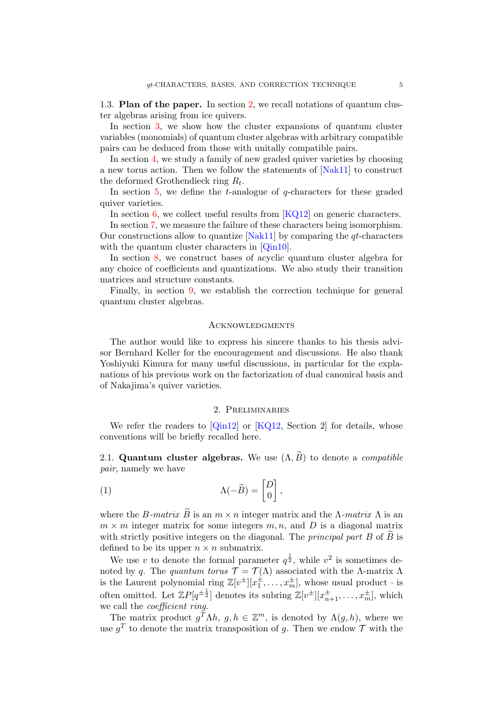<span id="page-4-0"></span>1.3. Plan of the paper. In section [2,](#page-4-2) we recall notations of quantum cluster algebras arising from ice quivers.

In section [3,](#page-6-0) we show how the cluster expansions of quantum cluster variables (monomials) of quantum cluster algebras with arbitrary compatible pairs can be deduced from those with unitally compatible pairs.

In section [4,](#page-8-0) we study a family of new graded quiver varieties by choosing a new torus action. Then we follow the statements of [\[Nak11\]](#page-44-3) to construct the deformed Grothendieck ring  $R_t$ .

In section  $5$ , we define the *t*-analogue of *q*-characters for these graded quiver varieties.

In section  $6$ , we collect useful results from  $[KQ12]$  on generic characters.

In section [7,](#page-27-0) we measure the failure of these characters being isomorphism. Our constructions allow to quantize  $[Nak11]$  by comparing the  $qt$ -characters with the quantum cluster characters in [\[Qin10\]](#page-44-1).

In section [8,](#page-33-0) we construct bases of acyclic quantum cluster algebra for any choice of coefficients and quantizations. We also study their transition matrices and structure constants.

Finally, in section [9,](#page-38-0) we establish the correction technique for general quantum cluster algebras.

#### <span id="page-4-1"></span>**ACKNOWLEDGMENTS**

The author would like to express his sincere thanks to his thesis advisor Bernhard Keller for the encouragement and discussions. He also thank Yoshiyuki Kimura for many useful discussions, in particular for the explanations of his previous work on the factorization of dual canonical basis and of Nakajima's quiver varieties.

#### 2. Preliminaries

<span id="page-4-2"></span>We refer the readers to  $[Qin12]$  or  $[KQ12,$  Section 2 for details, whose conventions will be briefly recalled here.

<span id="page-4-3"></span>2.1. Quantum cluster algebras. We use  $(\Lambda, \widetilde{B})$  to denote a *compatible* pair, namely we have

(1) 
$$
\Lambda(-\widetilde{B}) = \begin{bmatrix} D \\ 0 \end{bmatrix},
$$

where the B-matrix  $\widetilde{B}$  is an  $m \times n$  integer matrix and the  $\Lambda$ -matrix  $\Lambda$  is an  $m \times m$  integer matrix for some integers  $m, n$ , and D is a diagonal matrix with strictly positive integers on the diagonal. The *principal part B* of  $\ddot{B}$  is defined to be its upper  $n \times n$  submatrix.

We use v to denote the formal parameter  $q^{\frac{1}{2}}$ , while  $v^2$  is sometimes denoted by q. The quantum torus  $\mathcal{T} = \mathcal{T}(\Lambda)$  associated with the  $\Lambda$ -matrix  $\Lambda$ is the Laurent polynomial ring  $\mathbb{Z}[v^{\pm}][x_1^{\pm}, \ldots, x_m^{\pm}]$ , whose usual product  $\cdot$  is often omitted. Let  $\mathbb{Z}P[q^{\pm \frac{1}{2}}]$  denotes its subring  $\mathbb{Z}[v^{\pm}][x_{n+1}^{\pm},...,x_{m}^{\pm}]$ , which we call the coefficient ring.

The matrix product  $g^T \Lambda h$ ,  $g, h \in \mathbb{Z}^m$ , is denoted by  $\Lambda(g,h)$ , where we use  $g<sup>T</sup>$  to denote the matrix transposition of g. Then we endow  $\mathcal T$  with the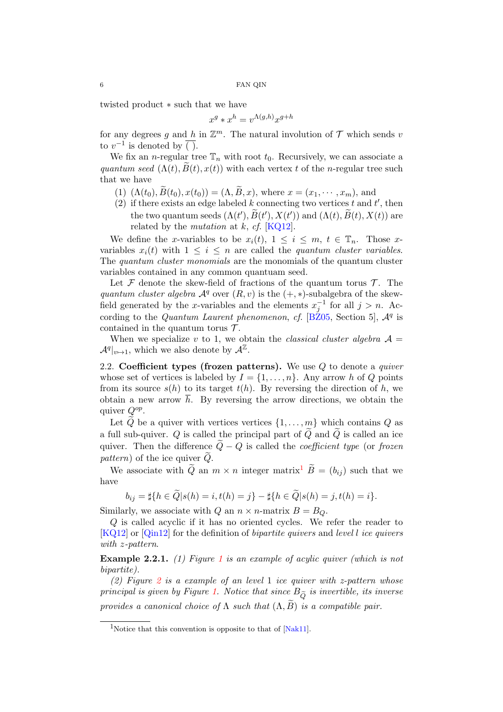twisted product ∗ such that we have

$$
x^g \ast x^h = v^{\Lambda(g,h)} x^{g+h}
$$

for any degrees g and h in  $\mathbb{Z}^m$ . The natural involution of  $\mathcal T$  which sends v to  $v^{-1}$  is denoted by  $\overline{()}.$ 

We fix an *n*-regular tree  $\mathbb{T}_n$  with root  $t_0$ . Recursively, we can associate a quantum seed  $(\Lambda(t), B(t), x(t))$  with each vertex t of the n-regular tree such that we have

- (1)  $(\Lambda(t_0), \widetilde{B}(t_0), x(t_0)) = (\Lambda, \widetilde{B}, x)$ , where  $x = (x_1, \dots, x_m)$ , and
- (2) if there exists an edge labeled  $k$  connecting two vertices  $t$  and  $t'$ , then the two quantum seeds  $(\Lambda(t'), \widetilde{B}(t'), X(t'))$  and  $(\Lambda(t), \widetilde{B}(t), X(t))$  are related by the mutation at  $k$ , cf. [\[KQ12\]](#page-43-14).

We define the x-variables to be  $x_i(t)$ ,  $1 \leq i \leq m$ ,  $t \in \mathbb{T}_n$ . Those xvariables  $x_i(t)$  with  $1 \leq i \leq n$  are called the *quantum cluster variables*. The quantum cluster monomials are the monomials of the quantum cluster variables contained in any common quantuam seed.

Let  $\mathcal F$  denote the skew-field of fractions of the quantum torus  $\mathcal T$ . The quantum cluster algebra  $\mathcal{A}^q$  over  $(R, v)$  is the  $(+, *)$ -subalgebra of the skewfield generated by the x-variables and the elements  $x_j^{-1}$  for all  $j > n$ . According to the *Quantum Laurent phenomenon*, *cf.* [B $\tilde{Z}$ 05, Section 5],  $\mathcal{A}^q$  is contained in the quantum torus  $\mathcal{T}$ .

When we specialize v to 1, we obtain the *classical cluster algebra*  $\mathcal{A} =$  $\mathcal{A}^q|_{v \mapsto 1}$ , which we also denote by  $\mathcal{A}^{\mathbb{Z}}$ .

<span id="page-5-0"></span>2.2. Coefficient types (frozen patterns). We use  $Q$  to denote a *quiver* whose set of vertices is labeled by  $I = \{1, \ldots, n\}$ . Any arrow h of Q points from its source  $s(h)$  to its target  $t(h)$ . By reversing the direction of h, we obtain a new arrow  $\bar{h}$ . By reversing the arrow directions, we obtain the quiver  $Q^{op}$ .

Let  $\overline{Q}$  be a quiver with vertices vertices  $\{1, \ldots, m\}$  which contains  $Q$  as a full sub-quiver. Q is called the principal part of  $\overline{Q}$  and  $\overline{Q}$  is called an ice quiver. Then the difference  $\overline{Q}-Q$  is called the *coefficient type* (or frozen pattern) of the ice quiver  $\tilde{Q}$ .

We associate with  $\widetilde{Q}$  an  $m \times n$  integer matrix<sup>[1](#page-5-1)</sup>  $\widetilde{B} = (b_{ij})$  such that we have

$$
b_{ij} = \sharp\{h \in \widetilde{Q} | s(h) = i, t(h) = j\} - \sharp\{h \in \widetilde{Q} | s(h) = j, t(h) = i\}.
$$

Similarly, we associate with Q an  $n \times n$ -matrix  $B = B_Q$ .

Q is called acyclic if it has no oriented cycles. We refer the reader to [\[KQ12\]](#page-43-14) or [\[Qin12\]](#page-44-4) for the definition of bipartite quivers and level l ice quivers with z-pattern.

Example 2.2.[1](#page-6-1). (1) Figure 1 is an example of acylic quiver (which is not bipartite).

([2](#page-6-2)) Figure 2 is a example of an level 1 ice quiver with z-pattern whose principal is given by Figure [1.](#page-6-1) Notice that since  $B_{\tilde{O}}$  is invertible, its inverse provides a canonical choice of  $\Lambda$  such that  $(\Lambda, \widetilde{B})$  is a compatible pair.

<span id="page-5-1"></span><sup>&</sup>lt;sup>1</sup>Notice that this convention is opposite to that of  $[Nak11]$ .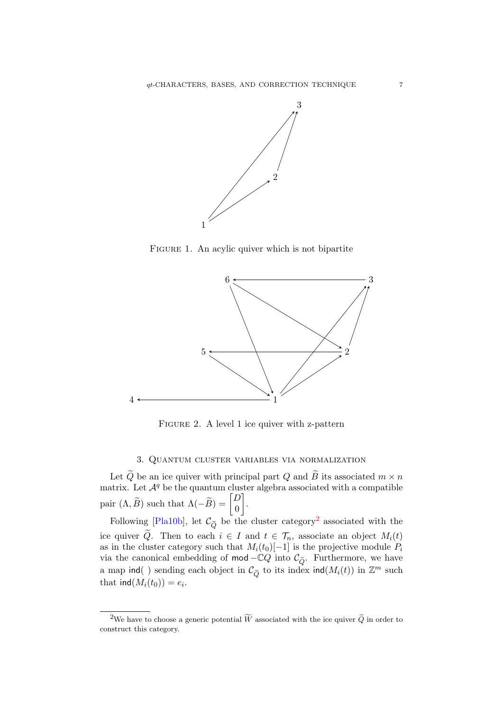<span id="page-6-1"></span>

FIGURE 1. An acylic quiver which is not bipartite

<span id="page-6-2"></span>

FIGURE 2. A level 1 ice quiver with z-pattern

# 3. Quantum cluster variables via normalization

<span id="page-6-0"></span>Let  $Q$  be an ice quiver with principal part  $Q$  and  $\widetilde{B}$  its associated  $m \times n$ matrix. Let  $\mathcal{A}^q$  be the quantum cluster algebra associated with a compatible pair  $(\Lambda, \widetilde{B})$  such that  $\Lambda(-\widetilde{B}) = \begin{bmatrix} D \\ 0 \end{bmatrix}$ 0 .

Following [\[Pla10b\]](#page-44-5), let  $\mathcal{C}_{\widetilde{Q}}$  be the cluster category<sup>[2](#page-6-3)</sup> associated with the ice quiver  $\tilde{Q}$ . Then to each  $i \in I$  and  $t \in \mathcal{T}_n$ , associate an object  $M_i(t)$ as in the cluster category such that  $M_i(t_0)[-1]$  is the projective module  $P_i$ via the canonical embedding of mod – $\mathbb{C}Q$  into  $\mathcal{C}_{\tilde{O}}$ . Furthermore, we have a map ind() sending each object in  $\mathcal{C}_{\tilde{Q}}$  to its index ind( $M_i(t)$ ) in  $\mathbb{Z}^m$  such that  $\text{ind}(M_i(t_0)) = e_i$ .

<span id="page-6-3"></span><sup>&</sup>lt;sup>2</sup>We have to choose a generic potential  $\widetilde{W}$  associated with the ice quiver  $\widetilde{Q}$  in order to construct this category.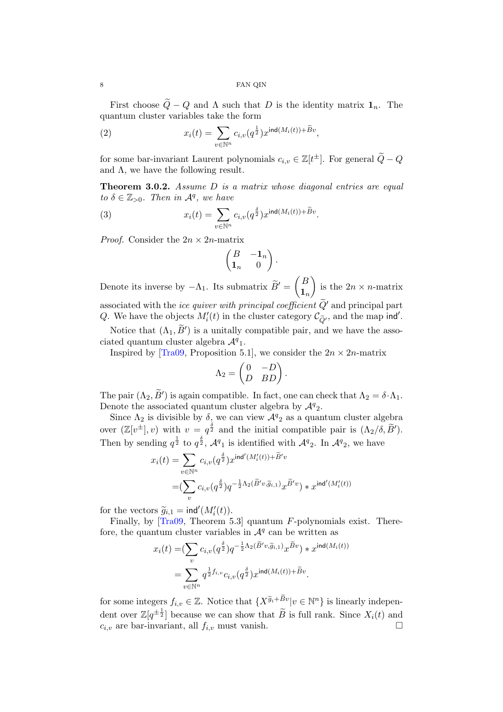First choose  $\tilde{Q} - Q$  and  $\Lambda$  such that D is the identity matrix  $\mathbf{1}_n$ . The quantum cluster variables take the form

(2) 
$$
x_i(t) = \sum_{v \in \mathbb{N}^n} c_{i,v}(q^{\frac{1}{2}}) x^{\text{ind}(M_i(t)) + \widetilde{B}v},
$$

for some bar-invariant Laurent polynomials  $c_{i,v} \in \mathbb{Z}[t^{\pm}]$ . For general  $\widetilde{Q} - Q$ and  $\Lambda$ , we have the following result.

**Theorem 3.0.2.** Assume  $D$  is a matrix whose diagonal entries are equal to  $\delta \in \mathbb{Z}_{>0}$ . Then in  $\mathcal{A}^q$ , we have

(3) 
$$
x_i(t) = \sum_{v \in \mathbb{N}^n} c_{i,v}(q^{\frac{\delta}{2}}) x^{\text{ind}(M_i(t)) + \widetilde{B}v}.
$$

*Proof.* Consider the  $2n \times 2n$ -matrix

$$
\begin{pmatrix} B & -\mathbf{1}_n \\ \mathbf{1}_n & 0 \end{pmatrix}.
$$

Denote its inverse by  $-\Lambda_1$ . Its submatrix  $\widetilde{B}' = \begin{pmatrix} B \\ \mathbf{1}_r \end{pmatrix}$  $\mathbf{1}_n$ is the  $2n \times n$ -matrix associated with the *ice quiver with principal coefficient*  $\tilde{Q}'$  and principal part Q. We have the objects  $M_i'(t)$  in the cluster category  $\mathcal{C}_{\tilde{Q}}$ , and the map ind'.

Notice that  $(\Lambda_1, \widetilde{B}')$  is a unitally compatible pair, and we have the associated quantum cluster algebra  $\mathcal{A}^q$ <sup>1</sup>.

Inspired by [\[Tra09,](#page-44-0) Proposition 5.1], we consider the  $2n \times 2n$ -matrix

$$
\Lambda_2 = \begin{pmatrix} 0 & -D \\ D & BD \end{pmatrix}.
$$

The pair  $(\Lambda_2, \widetilde{B}')$  is again compatible. In fact, one can check that  $\Lambda_2 = \delta \cdot \Lambda_1$ . Denote the associated quantum cluster algebra by  $\mathcal{A}^q_2$ .

Since  $\Lambda_2$  is divisible by  $\delta$ , we can view  $\mathcal{A}^q{}_2$  as a quantum cluster algebra over  $(\mathbb{Z}[v^{\pm}], v)$  with  $v = q^{\frac{\delta}{2}}$  and the initial compatible pair is  $(\Lambda_2/\delta, \widetilde{B}').$ Then by sending  $q^{\frac{1}{2}}$  to  $q^{\frac{3}{2}}$ ,  $\mathcal{A}^q$ <sub>1</sub> is identified with  $\mathcal{A}^q$ <sub>2</sub>. In  $\mathcal{A}^q$ <sub>2</sub>, we have

$$
x_i(t) = \sum_{v \in \mathbb{N}^n} c_{i,v}(q^{\frac{\delta}{2}}) x^{\text{ind}'(M'_i(t)) + \tilde{B}'v}
$$
  
=
$$
(\sum_v c_{i,v}(q^{\frac{\delta}{2}}) q^{-\frac{1}{2}\Lambda_2(\tilde{B}'v, \tilde{g}_{i,1})} x^{\tilde{B}'v}) * x^{\text{ind}'(M'_i(t))}
$$

for the vectors  $\widetilde{g}_{i,1} = \text{ind}'(M'_i(t)).$ <br>Finally, by [Tra00, Theorem 5]

Finally, by [\[Tra09,](#page-44-0) Theorem 5.3] quantum F-polynomials exist. Therefore, the quantum cluster variables in  $\mathcal{A}^q$  can be written as

$$
\begin{aligned} x_i(t)=&(\sum_{v}c_{i,v}(q^{\frac{\delta}{2}})q^{-\frac{1}{2}\Lambda_2(\widetilde{B}'v,\widetilde{g}_{i,1})}x^{\widetilde{B}v})*x^{\operatorname{ind}(M_i(t))}\\ &=\sum_{v\in\mathbb{N}^n}q^{\frac{1}{2}f_{i,v}}c_{i,v}(q^{\frac{\delta}{2}})x^{\operatorname{ind}(M_i(t))+\widetilde{B}v}. \end{aligned}
$$

for some integers  $f_{i,v} \in \mathbb{Z}$ . Notice that  $\{X^{\widetilde{g}_i + \widetilde{B}v} | v \in \mathbb{N}^n\}$  is linearly independent over  $\mathbb{Z}[q^{\pm \frac{1}{2}}]$  because we can show that  $\widetilde{B}$  is full rank. Since  $X_i(t)$  and  $c_{i,v}$  are bar-invariant, all  $f_{i,v}$  must vanish.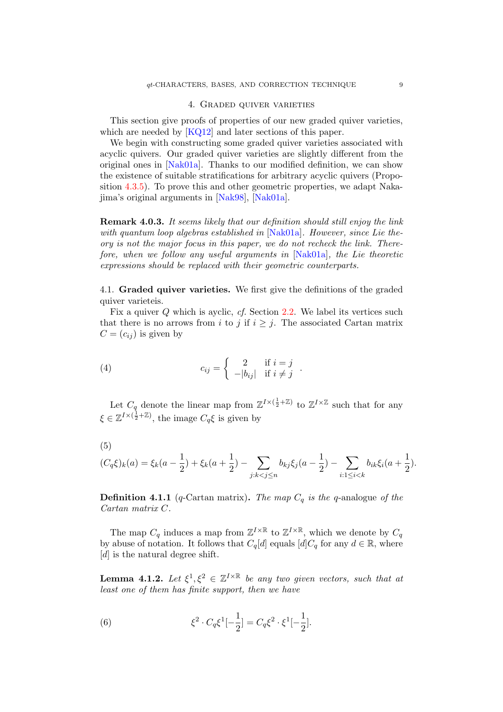#### 4. Graded quiver varieties

<span id="page-8-0"></span>This section give proofs of properties of our new graded quiver varieties, which are needed by [\[KQ12\]](#page-43-14) and later sections of this paper.

We begin with constructing some graded quiver varieties associated with acyclic quivers. Our graded quiver varieties are slightly different from the original ones in [\[Nak01a\]](#page-43-13). Thanks to our modified definition, we can show the existence of suitable stratifications for arbitrary acyclic quivers (Proposition [4.3.5\)](#page-15-0). To prove this and other geometric properties, we adapt Nakajima's original arguments in [\[Nak98\]](#page-43-16), [\[Nak01a\]](#page-43-13).

Remark 4.0.3. It seems likely that our definition should still enjoy the link with quantum loop algebras established in  $[Nak01a]$ . However, since Lie theory is not the major focus in this paper, we do not recheck the link. Therefore, when we follow any useful arguments in [\[Nak01a\]](#page-43-13), the Lie theoretic expressions should be replaced with their geometric counterparts.

<span id="page-8-1"></span>4.1. Graded quiver varieties. We first give the definitions of the graded quiver varieteis.

Fix a quiver Q which is ayclic, cf. Section [2.2.](#page-5-0) We label its vertices such that there is no arrows from i to j if  $i \geq j$ . The associated Cartan matrix  $C = (c_{ij})$  is given by

(4) 
$$
c_{ij} = \begin{cases} 2 & \text{if } i = j \\ -|b_{ij}| & \text{if } i \neq j \end{cases}.
$$

Let  $C_q$  denote the linear map from  $\mathbb{Z}^{I \times (\frac{1}{2} + \mathbb{Z})}$  to  $\mathbb{Z}^{I \times \mathbb{Z}}$  such that for any  $\xi \in \mathbb{Z}^{I \times (\frac{1}{2} + \mathbb{Z})}$ , the image  $C_q \xi$  is given by

$$
(5)
$$

$$
(C_q\xi)_k(a) = \xi_k(a - \frac{1}{2}) + \xi_k(a + \frac{1}{2}) - \sum_{j:k < j \le n} b_{kj}\xi_j(a - \frac{1}{2}) - \sum_{i:1 \le i < k} b_{ik}\xi_i(a + \frac{1}{2}).
$$

**Definition 4.1.1** (q-Cartan matrix). The map  $C_q$  is the q-analogue of the Cartan matrix C.

The map  $C_q$  induces a map from  $\mathbb{Z}^{I \times \mathbb{R}}$  to  $\mathbb{Z}^{I \times \mathbb{R}}$ , which we denote by  $C_q$ by abuse of notation. It follows that  $C_q[d]$  equals  $[d]C_q$  for any  $d \in \mathbb{R}$ , where [d] is the natural degree shift.

**Lemma 4.1.2.** Let  $\xi^1, \xi^2 \in \mathbb{Z}^{I \times \mathbb{R}}$  be any two given vectors, such that at least one of them has finite support, then we have

<span id="page-8-2"></span>(6) 
$$
\xi^2 \cdot C_q \xi^1[-\frac{1}{2}] = C_q \xi^2 \cdot \xi^1[-\frac{1}{2}].
$$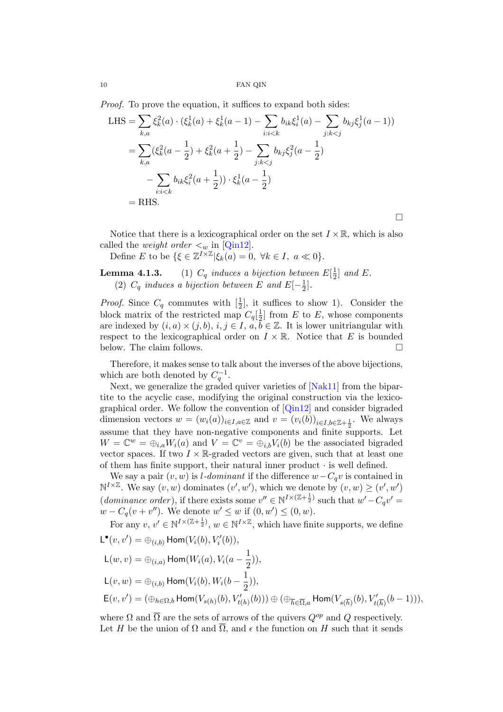Proof. To prove the equation, it suffices to expand both sides:

LHS = 
$$
\sum_{k,a} \xi_k^2(a) \cdot (\xi_k^1(a) + \xi_k^1(a-1) - \sum_{i:i < k} b_{ik}\xi_i^1(a) - \sum_{j:k < j} b_{kj}\xi_j^1(a-1))
$$
  
= 
$$
\sum_{k,a} (\xi_k^2(a - \frac{1}{2}) + \xi_k^2(a + \frac{1}{2}) - \sum_{j:k < j} b_{kj}\xi_j^2(a - \frac{1}{2})
$$
  
- 
$$
\sum_{i:i < k} b_{ik}\xi_i^2(a + \frac{1}{2}) \cdot \xi_k^1(a - \frac{1}{2})
$$
  
= RHS.

 $\Box$ 

Notice that there is a lexicographical order on the set  $I \times \mathbb{R}$ , which is also called the *weight order*  $\lt_w$  in [\[Qin12\]](#page-44-4).

Define E to be  $\{\xi \in \mathbb{Z}^{I \times \mathbb{Z}} | \xi_k(a) = 0, \ \forall k \in I, \ a \ll 0\}.$ 

**Lemma 4.1.3.** (1)  $C_q$  induces a bijection between  $E[\frac{1}{2}]$  $\frac{1}{2}$  and E. (2)  $C_q$  induces a bijection between E and  $E[-\frac{1}{2}]$  $\frac{1}{2}$ .

*Proof.* Since  $C_q$  commutes with  $\left[\frac{1}{2}\right]$ , it suffices to show 1). Consider the block matrix of the restricted map  $C_q[\frac{1}{2}]$  $\frac{1}{2}$  from E to E, whose components are indexed by  $(i, a) \times (j, b), i, j \in I, a, b \in \mathbb{Z}$ . It is lower unitriangular with respect to the lexicographical order on  $I \times \mathbb{R}$ . Notice that E is bounded below. The claim follows.

Therefore, it makes sense to talk about the inverses of the above bijections, which are both denoted by  $C_q^{-1}$ .

Next, we generalize the graded quiver varieties of  $[Nak11]$  from the bipartite to the acyclic case, modifying the original construction via the lexicographical order. We follow the convention of [\[Qin12\]](#page-44-4) and consider bigraded dimension vectors  $w = (w_i(a))_{i \in I, a \in \mathbb{Z}}$  and  $v = (v_i(b))_{i \in I, b \in \mathbb{Z} + \frac{1}{2}}$ . We always assume that they have non-negative components and finite supports. Let  $W = \mathbb{C}^w = \bigoplus_{i,a} W_i(a)$  and  $V = \mathbb{C}^v = \bigoplus_{i,b} V_i(b)$  be the associated bigraded vector spaces. If two  $I \times \mathbb{R}$ -graded vectors are given, such that at least one of them has finite support, their natural inner product  $\cdot$  is well defined.

We say a pair  $(v, w)$  is *l*-dominant if the difference  $w - C_q v$  is contained in  $\mathbb{N}^{I \times \mathbb{Z}}$ . We say  $(v, w)$  dominates  $(v', w')$ , which we denote by  $(v, w) \geq (v', w')$ (dominance order), if there exists some  $v'' \in N^{I \times (Z + \frac{1}{2})}$  such that  $w' - C_q v' =$  $w - C_q(v + v'')$ . We denote  $w' \leq w$  if  $(0, w') \leq (0, w)$ .

For any  $v, v' \in \mathbb{N}^{I \times (\mathbb{Z} + \frac{1}{2})}$ ,  $w \in \mathbb{N}^{I \times \mathbb{Z}}$ , which have finite supports, we define  $\mathsf{L}^\bullet(v,v') = \oplus_{(i,b)} \mathsf{Hom}(V_i(b),V'_i(b)),$ 

$$
\begin{aligned} &\mathsf L (w,v) = \oplus_{(i,a)} \operatorname{\mathsf{Hom}}(W_i(a), V_i(a-\frac{1}{2})),\\ &\mathsf L (v,w) = \oplus_{(i,b)} \operatorname{\mathsf{Hom}}(V_i(b), W_i(b-\frac{1}{2})),\\ &\mathsf E (v,v') = (\oplus_{h \in \Omega,b} \operatorname{\mathsf{Hom}}(V_{s(h)}(b), V_{t(h)}'(b))) \oplus (\oplus_{\overline{h} \in \overline{\Omega},a} \operatorname{\mathsf{Hom}}(V_{s(\overline{h})}(b), V_{t(\overline{h})}'(b-1))), \end{aligned}
$$

where  $\Omega$  and  $\overline{\Omega}$  are the sets of arrows of the quivers  $Q^{op}$  and  $Q$  respectively. Let H be the union of  $\Omega$  and  $\overline{\Omega}$ , and  $\epsilon$  the function on H such that it sends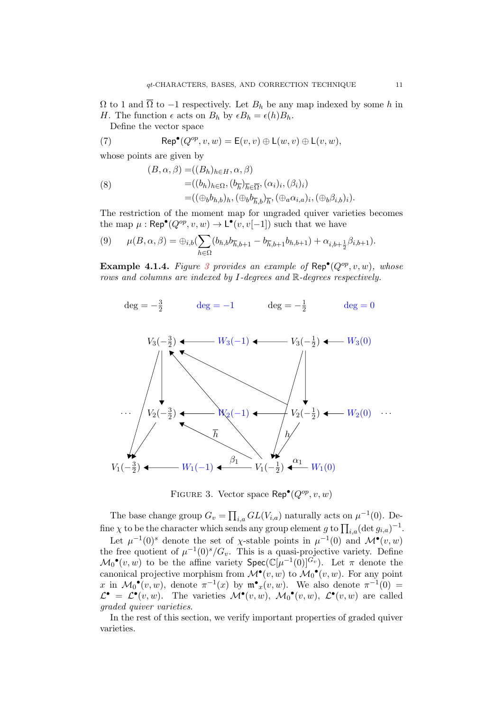$\Omega$  to 1 and  $\overline{\Omega}$  to -1 respectively. Let  $B_h$  be any map indexed by some h in H. The function  $\epsilon$  acts on  $B_h$  by  $\epsilon B_h = \epsilon(h)B_h$ .

Define the vector space

(7) 
$$
\operatorname{Rep}^{\bullet}(Q^{op}, v, w) = \mathsf{E}(v, v) \oplus \mathsf{L}(w, v) \oplus \mathsf{L}(v, w),
$$

whose points are given by

(8)  
\n
$$
(B, \alpha, \beta) = ((B_h)_{h \in H}, \alpha, \beta)
$$
\n
$$
= ((b_h)_{h \in \Omega}, (b_{\overline{h}})_{\overline{h} \in \overline{\Omega}}, (\alpha_i)_i, (\beta_i)_i)
$$
\n
$$
= ((\oplus_b b_{h,b})_h, (\oplus_b b_{\overline{h},b})_{\overline{h}}, (\oplus_a \alpha_{i,a})_i, (\oplus_b \beta_{i,b})_i).
$$

The restriction of the moment map for ungraded quiver varieties becomes the map  $\mu : \mathsf{Rep}^{\bullet}(Q^{op}, v, w) \to \mathsf{L}^{\bullet}(v, v[-1])$  such that we have

$$
(9) \qquad \mu(B,\alpha,\beta) = \bigoplus_{i,b} \left( \sum_{h \in \Omega} (b_{h,b} b_{\overline{h},b+1} - b_{\overline{h},b+1} b_{h,b+1}) + \alpha_{i,b+\frac{1}{2}} \beta_{i,b+1} \right).
$$

**Example 4.1.4.** Figure [3](#page-10-0) provides an example of  $\text{Rep}^{\bullet}(Q^{op}, v, w)$ , whose rows and columns are indexed by I-degrees and R-degrees respectively.

<span id="page-10-0"></span>
$$
deg = -\frac{3}{2}
$$
  $deg = -1$   $deg = -\frac{1}{2}$   $deg = 0$ 



FIGURE 3. Vector space  $\mathsf{Rep}^{\bullet}(Q^{op}, v, w)$ 

The base change group  $G_v = \prod_{i,a} GL(V_{i,a})$  naturally acts on  $\mu^{-1}(0)$ . Define  $\chi$  to be the character which sends any group element g to  $\prod_{i,a} (\det g_{i,a})^{-1}$ .

Let  $\mu^{-1}(0)^s$  denote the set of  $\chi$ -stable points in  $\mu^{-1}(0)$  and  $\mathcal{M}^{\bullet}(v,w)$ the free quotient of  $\mu^{-1}(0)^s/G_v$ . This is a quasi-projective variety. Define  $\mathcal{M}_0^{\bullet}(v, w)$  to be the affine variety  $\mathsf{Spec}(\mathbb{C}[\mu^{-1}(0)]^{G_v})$ . Let  $\pi$  denote the canonical projective morphism from  $\mathcal{M}^{\bullet}(v, w)$  to  $\mathcal{M}_0^{\bullet}(v, w)$ . For any point x in  $\mathcal{M}_0^{\bullet}(v,w)$ , denote  $\pi^{-1}(x)$  by  $\mathfrak{m}^{\bullet}_x(v,w)$ . We also denote  $\pi^{-1}(0)$  =  $\mathcal{L}^{\bullet} = \mathcal{L}^{\bullet}(v, w)$ . The varieties  $\mathcal{M}^{\bullet}(v, w)$ ,  $\mathcal{M}_0^{\bullet}(v, w)$ ,  $\mathcal{L}^{\bullet}(v, w)$  are called graded quiver varieties.

In the rest of this section, we verify important properties of graded quiver varieties.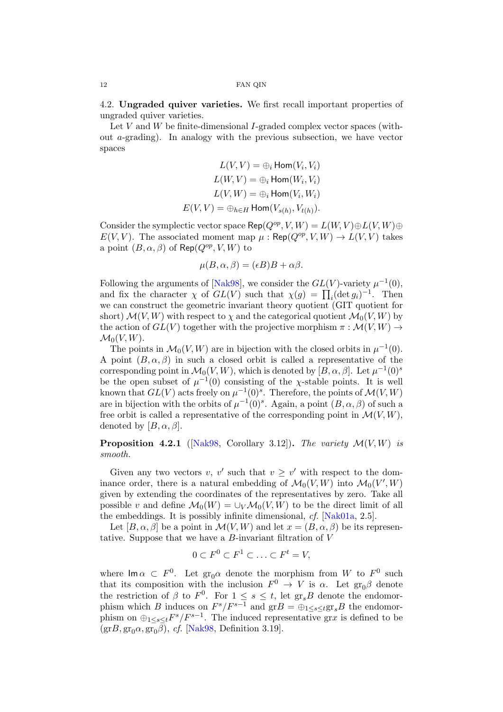<span id="page-11-0"></span>4.2. Ungraded quiver varieties. We first recall important properties of ungraded quiver varieties.

Let  $V$  and  $W$  be finite-dimensional  $I$ -graded complex vector spaces (without  $a$ -grading). In analogy with the previous subsection, we have vector spaces

$$
L(V, V) = \bigoplus_i \text{Hom}(V_i, V_i)
$$

$$
L(W, V) = \bigoplus_i \text{Hom}(W_i, V_i)
$$

$$
L(V, W) = \bigoplus_i \text{Hom}(V_i, W_i)
$$

$$
E(V, V) = \bigoplus_{h \in H} \text{Hom}(V_{s(h)}, V_{t(h)}).
$$

Consider the symplectic vector space Rep( $Q^{op}, V, W$ ) =  $L(W, V) \oplus L(V, W) \oplus$  $E(V, V)$ . The associated moment map  $\mu : \mathsf{Rep}(Q^{op}, V, W) \to L(V, V)$  takes a point  $(B, \alpha, \beta)$  of Rep( $Q^{op}, V, W$ ) to

$$
\mu(B, \alpha, \beta) = (\epsilon B)B + \alpha \beta.
$$

Following the arguments of [\[Nak98\]](#page-43-16), we consider the  $GL(V)$ -variety  $\mu^{-1}(0)$ , and fix the character  $\chi$  of  $GL(V)$  such that  $\chi(g) = \prod_i (\det g_i)^{-1}$ . Then we can construct the geometric invariant theory quotient (GIT quotient for short)  $\mathcal{M}(V, W)$  with respect to  $\chi$  and the categorical quotient  $\mathcal{M}_0(V, W)$  by the action of  $GL(V)$  together with the projective morphism  $\pi : \mathcal{M}(V, W) \to$  $\mathcal{M}_0(V,W)$ .

The points in  $\mathcal{M}_0(V, W)$  are in bijection with the closed orbits in  $\mu^{-1}(0)$ . A point  $(B, \alpha, \beta)$  in such a closed orbit is called a representative of the corresponding point in  $\mathcal{M}_0(V, W)$ , which is denoted by  $[B, \alpha, \beta]$ . Let  $\mu^{-1}(0)^s$ be the open subset of  $\mu^{-1}(0)$  consisting of the x-stable points. It is well known that  $GL(V)$  acts freely on  $\mu^{-1}(0)^s$ . Therefore, the points of  $\mathcal{M}(V, W)$ are in bijection with the orbits of  $\mu^{-1}(0)^s$ . Again, a point  $(B, \alpha, \beta)$  of such a free orbit is called a representative of the corresponding point in  $\mathcal{M}(V, W)$ , denoted by  $[B, \alpha, \beta]$ .

<span id="page-11-1"></span>**Proposition 4.2.1** ( $[Nak98, Corollary 3.12]$  $[Nak98, Corollary 3.12]$ ). The variety  $\mathcal{M}(V, W)$  is smooth.

Given any two vectors v, v' such that  $v \geq v'$  with respect to the dominance order, there is a natural embedding of  $\mathcal{M}_0(V, W)$  into  $\mathcal{M}_0(V', W)$ given by extending the coordinates of the representatives by zero. Take all possible v and define  $\mathcal{M}_0(W) = \bigcup_V \mathcal{M}_0(V, W)$  to be the direct limit of all the embeddings. It is possibly infinite dimensional, cf. [\[Nak01a,](#page-43-13) 2.5].

Let  $[B, \alpha, \beta]$  be a point in  $\mathcal{M}(V, W)$  and let  $x = (B, \alpha, \beta)$  be its representative. Suppose that we have a  $B$ -invariant filtration of  $V$ 

$$
0 \subset F^0 \subset F^1 \subset \ldots \subset F^t = V,
$$

where  $\mathsf{Im}\,\alpha \subset F^0$ . Let  $\mathrm{gr}_0\alpha$  denote the morphism from W to  $F^0$  such that its composition with the inclusion  $F^0 \to V$  is  $\alpha$ . Let  $gr_0\beta$  denote the restriction of  $\beta$  to  $F^0$ . For  $1 \leq s \leq t$ , let  $gr_sB$  denote the endomorphism which B induces on  $F^s/F^{s-1}$  and  $grB = \bigoplus_{1 \leq s \leq t} gr_sB$  the endomorphism on  $\bigoplus_{1\leq s\leq t}F^s/F^{s-1}$ . The induced representative grx is defined to be  $(\text{gr}B, \text{gr}_0\alpha, \text{gr}_0\beta)$ , cf. [\[Nak98,](#page-43-16) Definition 3.19].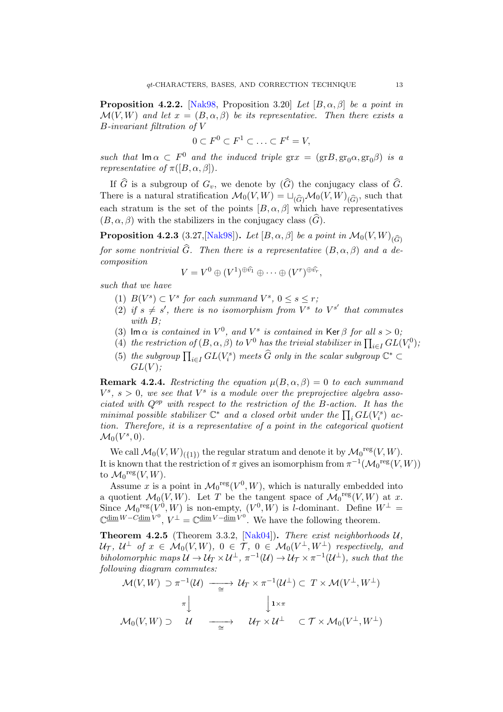**Proposition 4.2.2.** [\[Nak98,](#page-43-16) Proposition 3.20] Let  $[B, \alpha, \beta]$  be a point in  $\mathcal{M}(V, W)$  and let  $x = (B, \alpha, \beta)$  be its representative. Then there exists a B-invariant filtration of V

$$
0 \subset F^0 \subset F^1 \subset \ldots \subset F^t = V,
$$

such that  $\text{Im }\alpha \subset F^0$  and the induced triple  $\text{gr } x = (\text{gr }B, \text{gr}_0\alpha, \text{gr}_0\beta)$  is a *representative of*  $\pi([B, \alpha, \beta]).$ 

If  $\widehat{G}$  is a subgroup of  $G_v$ , we denote by  $(\widehat{G})$  the conjugacy class of  $\widehat{G}$ . There is a natural stratification  $\mathcal{M}_0(V, W) = \sqcup_{(\widehat{G})} \mathcal{M}_0(V, W)_{(\widehat{G})}$ , such that each stratum is the set of the points  $[B, \alpha, \beta]$  which have representatives  $(B, \alpha, \beta)$  with the stabilizers in the conjugacy class  $(\widehat{G})$ .

<span id="page-12-1"></span>**Proposition 4.2.3** (3.27, [\[Nak98\]](#page-43-16)). Let  $[B, \alpha, \beta]$  be a point in  $\mathcal{M}_0(V, W)_{(\widehat{G})}$ for some nontrivial  $\widehat{G}$ . Then there is a representative  $(B, \alpha, \beta)$  and a decomposition

$$
V = V^{0} \oplus (V^{1})^{\oplus \widehat{v_1}} \oplus \cdots \oplus (V^{r})^{\oplus \widehat{v_r}},
$$

such that we have

- (1)  $B(V^s) \subset V^s$  for each summand  $V^s$ ,  $0 \leq s \leq r$ ;
- (2) if  $s \neq s'$ , there is no isomorphism from  $V^s$  to  $V^{s'}$  that commutes with  $B$ :
- (3) Im  $\alpha$  is contained in  $V^0$ , and  $V^s$  is contained in Ker  $\beta$  for all  $s > 0$ ;
- (4) the restriction of  $(B, \alpha, \beta)$  to  $V^0$  has the trivial stabilizer in  $\prod_{i \in I} GL(V_i^0)$ ;
- (5) the subgroup  $\prod_{i\in I} GL(V_i^s)$  meets  $\widehat{G}$  only in the scalar subgroup  $\mathbb{C}^* \subset$  $GL(V)$ :

<span id="page-12-2"></span>**Remark 4.2.4.** Restricting the equation  $\mu(B, \alpha, \beta) = 0$  to each summand  $V^s$ ,  $s > 0$ , we see that  $V^s$  is a module over the preprojective algebra associated with  $Q^{op}$  with respect to the restriction of the B-action. It has the minimal possible stabilizer  $\mathbb{C}^*$  and a closed orbit under the  $\prod_i GL(V_i^s)$  action. Therefore, it is a representative of a point in the categorical quotient  $\mathcal{M}_0(V^s,0)$ .

We call  $\mathcal{M}_0(V, W)_{({1})}$  the regular stratum and denote it by  $\mathcal{M}_0$ <sup>reg</sup> $(V, W)$ . It is known that the restriction of  $\pi$  gives an isomorphism from  $\pi^{-1}(\mathcal{M}_0^{\text{reg}}(V,W))$ to  $\mathcal{M}_0{}^{\text{reg}}(V,W)$ .

Assume x is a point in  $\mathcal{M}_0^{\text{reg}}(V^0, W)$ , which is naturally embedded into a quotient  $\mathcal{M}_0(V, W)$ . Let T be the tangent space of  $\mathcal{M}_0$ <sup>reg</sup> $(V, W)$  at x. Since  $\mathcal{M}_0^{\text{reg}}(V^0, W)$  is non-empty,  $(V^0, W)$  is *l*-dominant. Define  $W^{\perp}$  =  $\mathbb{C}^{\dim W - C \dim V^0}, V^{\perp} = \mathbb{C}^{\dim V - \dim V^0}.$  We have the following theorem.

<span id="page-12-0"></span>**Theorem 4.2.5** (Theorem 3.3.2, [\[Nak04\]](#page-44-2)). There exist neighborhoods  $U$ ,  $\mathcal{U}_{\mathcal{T}}, \ \mathcal{U}^{\perp} \ \textit{of} \ \textit{x} \ \in \ \mathcal{M}_0(V,W), \ 0 \ \in \ \mathcal{T}, \ 0 \ \in \ \mathcal{M}_0(V^{\perp}, W^{\perp}) \ \textit{respectively, and}$ biholomorphic maps  $\mathcal{U} \to \mathcal{U}_T \times \mathcal{U}^{\perp}$ ,  $\pi^{-1}(\mathcal{U}) \to \mathcal{U}_T \times \pi^{-1}(\mathcal{U}^{\perp})$ , such that the following diagram commutes:

$$
\mathcal{M}(V,W) \supset \pi^{-1}(\mathcal{U}) \longrightarrow \mathcal{U}_T \times \pi^{-1}(\mathcal{U}^{\perp}) \subset T \times \mathcal{M}(V^{\perp}, W^{\perp})
$$

$$
\uparrow \qquad \qquad \downarrow \qquad \qquad \downarrow \qquad \qquad \downarrow \qquad \downarrow \qquad \downarrow \qquad \downarrow \qquad \downarrow \qquad \downarrow \qquad \downarrow \qquad \downarrow \qquad \downarrow \qquad \downarrow \qquad \downarrow \qquad \downarrow \qquad \downarrow \qquad \downarrow \qquad \downarrow \qquad \downarrow \qquad \downarrow \qquad \downarrow \qquad \downarrow \qquad \downarrow \qquad \downarrow \qquad \downarrow \qquad \downarrow \qquad \downarrow \qquad \downarrow \qquad \downarrow \qquad \downarrow \qquad \downarrow \qquad \downarrow \qquad \downarrow \qquad \downarrow \qquad \downarrow \qquad \downarrow \qquad \downarrow \qquad \downarrow \qquad \downarrow \qquad \downarrow \qquad \downarrow \qquad \downarrow \qquad \downarrow \qquad \downarrow \qquad \downarrow \qquad \downarrow \qquad \downarrow \qquad \downarrow \qquad \downarrow \qquad \downarrow \qquad \downarrow \qquad \downarrow \qquad \downarrow \qquad \downarrow \qquad \downarrow \qquad \downarrow \qquad \downarrow \qquad \downarrow \qquad \downarrow \qquad \downarrow \qquad \downarrow \qquad \downarrow \qquad \downarrow \qquad \downarrow \qquad \downarrow \qquad \downarrow \qquad \downarrow \qquad \downarrow \qquad \downarrow \qquad \downarrow \qquad \downarrow \qquad \downarrow \qquad \downarrow \qquad \downarrow \qquad \downarrow \qquad \downarrow \qquad \downarrow \qquad \downarrow \qquad \downarrow \qquad \downarrow \qquad \downarrow \qquad \downarrow \qquad \downarrow \qquad \downarrow \qquad \downarrow \qquad \downarrow \qquad \downarrow \qquad \downarrow \qquad \downarrow \qquad \downarrow \qquad \downarrow \qquad \downarrow \qquad \downarrow \qquad \downarrow \qquad \downarrow \qquad \downarrow \qquad \downarrow \qquad \downarrow \qquad \downarrow \qquad \downarrow \qquad \downarrow \qquad \downarrow \qquad \downarrow \qquad \downarrow \qquad \downarrow \qquad \downarrow \qquad \downarrow \qquad \downarrow \qquad \downarrow \qquad \downarrow \qquad \downarrow \qquad \downarrow \q
$$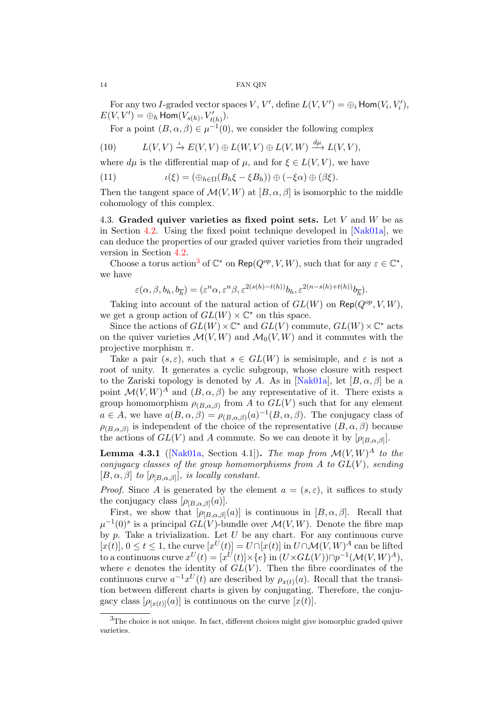For any two I-graded vector spaces  $V, V',$  define  $L(V, V') = \bigoplus_i \text{Hom}(V_i, V'_i)$ ,  $E(V, V') = \bigoplus_h \text{Hom}(V_{s(h)}, V'_{t(h)}).$ 

For a point  $(B, \alpha, \beta) \in \mu^{-1}(0)$ , we consider the following complex

<span id="page-13-2"></span>(10) 
$$
L(V, V) \xrightarrow{\iota} E(V, V) \oplus L(W, V) \oplus L(V, W) \xrightarrow{d\mu} L(V, V),
$$

where  $d\mu$  is the differential map of  $\mu$ , and for  $\xi \in L(V, V)$ , we have

(11) 
$$
\iota(\xi) = (\bigoplus_{h \in \Omega} (B_h \xi - \xi B_h)) \oplus (-\xi \alpha) \oplus (\beta \xi).
$$

Then the tangent space of  $\mathcal{M}(V, W)$  at  $[B, \alpha, \beta]$  is isomorphic to the middle cohomology of this complex.

<span id="page-13-0"></span>4.3. Graded quiver varieties as fixed point sets. Let  $V$  and  $W$  be as in Section [4.2.](#page-11-0) Using the fixed point technique developed in [\[Nak01a\]](#page-43-13), we can deduce the properties of our graded quiver varieties from their ungraded version in Section [4.2.](#page-11-0)

Choose a torus action<sup>[3](#page-13-1)</sup> of  $\mathbb{C}^*$  on Rep( $Q^{op}, V, W$ ), such that for any  $\varepsilon \in \mathbb{C}^*$ , we have

$$
\varepsilon(\alpha,\beta,b_h,b_{\overline{h}})=(\varepsilon^n\alpha,\varepsilon^n\beta,\varepsilon^{2(s(h)-t(h))}b_h,\varepsilon^{2(n-s(h)+t(h))}b_{\overline{h}}).
$$

Taking into account of the natural action of  $GL(W)$  on  $\mathsf{Rep}(Q^{op}, V, W)$ , we get a group action of  $GL(W) \times \mathbb{C}^*$  on this space.

Since the actions of  $GL(W) \times \mathbb{C}^*$  and  $GL(V)$  commute,  $GL(W) \times \mathbb{C}^*$  acts on the quiver varieties  $\mathcal{M}(V, W)$  and  $\mathcal{M}_0(V, W)$  and it commutes with the projective morphism  $\pi$ .

Take a pair  $(s, \varepsilon)$ , such that  $s \in GL(W)$  is semisimple, and  $\varepsilon$  is not a root of unity. It generates a cyclic subgroup, whose closure with respect to the Zariski topology is denoted by A. As in [\[Nak01a\]](#page-43-13), let  $[B, \alpha, \beta]$  be a point  $\mathcal{M}(V,W)^A$  and  $(B,\alpha,\beta)$  be any representative of it. There exists a group homomorphism  $\rho_{(B,\alpha,\beta)}$  from A to  $GL(V)$  such that for any element  $a \in A$ , we have  $a(B, \alpha, \beta) = \rho_{(B, \alpha, \beta)}(a)^{-1}(B, \alpha, \beta)$ . The conjugacy class of  $\rho_{(B,\alpha,\beta)}$  is independent of the choice of the representative  $(B,\alpha,\beta)$  because the actions of  $GL(V)$  and A commute. So we can denote it by  $[\rho_{[B,\alpha,\beta]}].$ 

**Lemma 4.3.1** ([\[Nak01a,](#page-43-13) Section 4.1]). The map from  $\mathcal{M}(V, W)^A$  to the conjugacy classes of the group homomorphisms from  $A$  to  $GL(V)$ , sending  $[B, \alpha, \beta]$  to  $[\rho_{[B,\alpha,\beta]}],$  is locally constant.

*Proof.* Since A is generated by the element  $a = (s, \varepsilon)$ , it suffices to study the conjugacy class  $[\rho_{[B,\alpha,\beta]}(a)].$ 

First, we show that  $[\rho_{B,\alpha,\beta]}(a)]$  is continuous in  $[B,\alpha,\beta]$ . Recall that  $\mu^{-1}(0)^s$  is a principal  $GL(V)$ -bundle over  $\mathcal{M}(V, W)$ . Denote the fibre map by  $p$ . Take a trivialization. Let  $U$  be any chart. For any continuous curve  $[x(t)], 0 \le t \le 1$ , the curve  $[x^U(t)] = U \cap [x(t)]$  in  $U \cap \mathcal{M}(V, W)^A$  can be lifted to a continuous curve  $x^U(t) = [x^U(t)] \times \{e\}$  in  $(U \times GL(V)) \cap p^{-1}(\mathcal{M}(V, W)^A)$ , where  $e$  denotes the identity of  $GL(V)$ . Then the fibre coordinates of the continuous curve  $a^{-1}x^U(t)$  are described by  $\rho_{x(t)}(a)$ . Recall that the transition between different charts is given by conjugating. Therefore, the conjugacy class  $[\rho_{[x(t)]}(a)]$  is continuous on the curve  $[x(t)]$ .

<span id="page-13-1"></span><sup>3</sup>The choice is not unique. In fact, different choices might give isomorphic graded quiver varieties.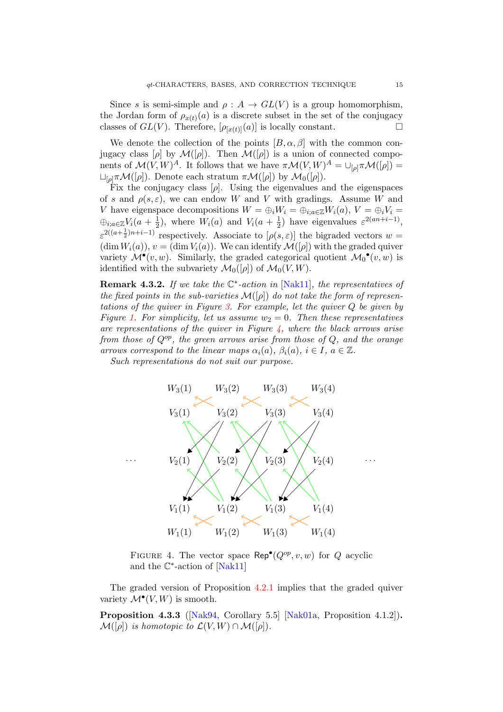Since s is semi-simple and  $\rho : A \to GL(V)$  is a group homomorphism, the Jordan form of  $\rho_{x(t)}(a)$  is a discrete subset in the set of the conjugacy classes of  $GL(V)$ . Therefore,  $[\rho_{[x(t)]}(a)]$  is locally constant.

We denote the collection of the points  $[B, \alpha, \beta]$  with the common conjugacy class  $[\rho]$  by  $\mathcal{M}([\rho])$ . Then  $\mathcal{M}([\rho])$  is a union of connected components of  $\mathcal{M}(V,W)^A$ . It follows that we have  $\pi \mathcal{M}(V,W)^A = \bigcup_{[\rho]} \pi \mathcal{M}([\rho]) =$  $L_{\lbrack\rho\rbrack} \pi \mathcal{M}(\lbrack\rho\rbrack)$ . Denote each stratum  $\pi \mathcal{M}(\lbrack\rho\rbrack)$  by  $\mathcal{M}_0(\lbrack\rho\rbrack)$ .

Fix the conjugacy class  $[\rho]$ . Using the eigenvalues and the eigenspaces of s and  $\rho(s, \varepsilon)$ , we can endow W and V with gradings. Assume W and V have eigenspace decompositions  $W = \bigoplus_i W_i = \bigoplus_{i : a \in \mathbb{Z}} W_i(a), V = \bigoplus_i V_i =$  $\oplus_{i;a\in\mathbb{Z}}V_i(a+\frac{1}{2})$  $\frac{1}{2}$ ), where  $W_i(a)$  and  $V_i(a + \frac{1}{2})$  $\frac{1}{2}$ ) have eigenvalues  $\varepsilon^{2(an+i-1)}$ ,  $\varepsilon^{2((a+\frac{1}{2})n+i-1)}$  respectively. Associate to  $[\rho(s,\varepsilon)]$  the bigraded vectors  $w=$  $(\dim W_i(a)), v = (\dim V_i(a)).$  We can identify  $\mathcal{M}([\rho])$  with the graded quiver variety  $\mathcal{M}^{\bullet}(v, w)$ . Similarly, the graded categorical quotient  $\mathcal{M}_0^{\bullet}(v, w)$  is identified with the subvariety  $\mathcal{M}_0([\rho])$  of  $\mathcal{M}_0(V, W)$ .

**Remark 4.3.2.** If we take the  $\mathbb{C}^*$ -action in [\[Nak11\]](#page-44-3), the representatives of the fixed points in the sub-varieties  $\mathcal{M}([\rho])$  do not take the form of representations of the quiver in Figure [3.](#page-10-0) For example, let the quiver Q be given by Figure [1.](#page-6-1) For simplicity, let us assume  $w_2 = 0$ . Then these representatives are representations of the quiver in Figure  $\chi$ , where the black arrows arise from those of  $Q^{op}$ , the green arrows arise from those of Q, and the orange arrows correspond to the linear maps  $\alpha_i(a)$ ,  $\beta_i(a)$ ,  $i \in I$ ,  $a \in \mathbb{Z}$ .

Such representations do not suit our purpose.

<span id="page-14-0"></span>

FIGURE 4. The vector space  $\mathsf{Rep}^{\bullet}(Q^{op}, v, w)$  for Q acyclic and the  $\mathbb{C}^*$ -action of [\[Nak11\]](#page-44-3)

The graded version of Proposition [4.2.1](#page-11-1) implies that the graded quiver variety  $\mathcal{M}^{\bullet}(V, W)$  is smooth.

Proposition 4.3.3 ([\[Nak94,](#page-43-17) Corollary 5.5] [\[Nak01a,](#page-43-13) Proposition 4.1.2]).  $\mathcal{M}([\rho])$  is homotopic to  $\mathcal{L}(V, W) \cap \mathcal{M}([\rho]).$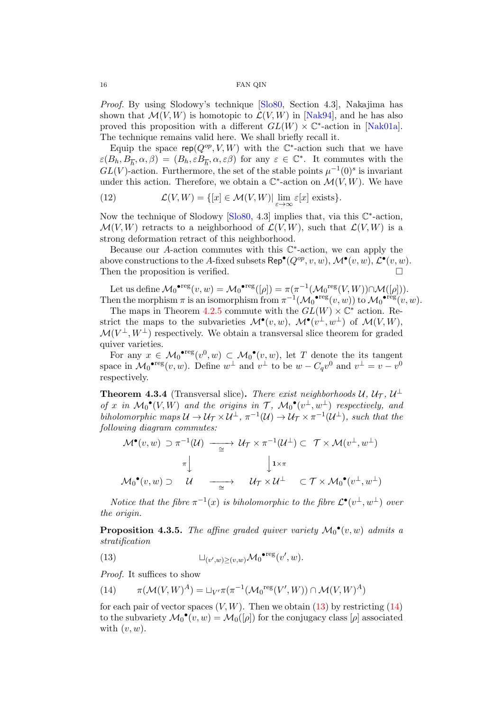Proof. By using Slodowy's technique [\[Slo80,](#page-44-6) Section 4.3], Nakajima has shown that  $\mathcal{M}(V, W)$  is homotopic to  $\mathcal{L}(V, W)$  in [\[Nak94\]](#page-43-17), and he has also proved this proposition with a different  $GL(W) \times \mathbb{C}^*$ -action in [\[Nak01a\]](#page-43-13). The technique remains valid here. We shall briefly recall it.

Equip the space  $\mathsf{rep}(Q^{op}, V, W)$  with the  $\mathbb{C}^*$ -action such that we have  $\varepsilon(B_h, B_{\overline{h}}, \alpha, \beta) = (B_h, \varepsilon B_{\overline{h}}, \alpha, \varepsilon \beta)$  for any  $\varepsilon \in \mathbb{C}^*$ . It commutes with the  $GL(V)$ -action. Furthermore, the set of the stable points  $\mu^{-1}(0)^s$  is invariant under this action. Therefore, we obtain a  $\mathbb{C}^*$ -action on  $\mathcal{M}(V, W)$ . We have

(12) 
$$
\mathcal{L}(V, W) = \{ [x] \in \mathcal{M}(V, W) | \lim_{\varepsilon \to \infty} \varepsilon[x] \text{ exists} \}.
$$

Now the technique of Slodowy  $[Slo80, 4.3]$  $[Slo80, 4.3]$  implies that, via this  $\mathbb{C}^*$ -action,  $\mathcal{M}(V, W)$  retracts to a neighborhood of  $\mathcal{L}(V, W)$ , such that  $\mathcal{L}(V, W)$  is a strong deformation retract of this neighborhood.

Because our A-action commutes with this  $\mathbb{C}^*$ -action, we can apply the above constructions to the A-fixed subsets  $\mathsf{Rep}^{\bullet}(Q^{op}, v, w), \mathcal{M}^{\bullet}(v, w), \mathcal{L}^{\bullet}(v, w)$ . Then the proposition is verified.  $\Box$ 

Let us define  $\mathcal{M}_0^{\bullet \text{reg}}(v, w) = \mathcal{M}_0^{\bullet \text{reg}}([\rho]) = \pi(\pi^{-1}(\mathcal{M}_0^{\text{reg}}(V, W)) \cap \mathcal{M}([\rho])).$ Then the morphism  $\pi$  is an isomorphism from  $\pi^{-1}(\mathcal{M}_0^{\bullet \text{reg}}(v,w))$  to  $\mathcal{M}_0^{\bullet \text{reg}}(v,w)$ .

The maps in Theorem [4.2.5](#page-12-0) commute with the  $GL(W) \times \mathbb{C}^*$  action. Restrict the maps to the subvarieties  $\mathcal{M}^{\bullet}(v,w)$ ,  $\mathcal{M}^{\bullet}(v^{\perp},w^{\perp})$  of  $\mathcal{M}(V,W)$ ,  $\mathcal{M}(V^{\perp}, W^{\perp})$  respectively. We obtain a transversal slice theorem for graded quiver varieties.

For any  $x \in \mathcal{M}_0^{\bullet \text{reg}}(v^0, w) \subset \mathcal{M}_0^{\bullet}(v, w)$ , let T denote the its tangent space in  $\mathcal{M}_0^{\bullet \text{reg}}(v, w)$ . Define  $w^{\perp}$  and  $v^{\perp}$  to be  $w - C_q v^0$  and  $v^{\perp} = v - v^0$ respectively.

<span id="page-15-3"></span>**Theorem 4.3.4** (Transversal slice). There exist neighborhoods  $\mathcal{U}, \mathcal{U}_{\mathcal{T}}, \mathcal{U}^{\perp}$ of x in  $\mathcal{M}_0^{\bullet}(V,W)$  and the origins in T,  $\mathcal{M}_0^{\bullet}(v^{\perp}, w^{\perp})$  respectively, and biholomorphic maps  $\mathcal{U} \to \mathcal{U}_{\mathcal{T}} \times \mathcal{U}^{\perp}$ ,  $\pi^{-1}(\mathcal{U}) \to \mathcal{U}_{\mathcal{T}} \times \pi^{-1}(\mathcal{U}^{\perp})$ , such that the following diagram commutes:

$$
\mathcal{M}^{\bullet}(v, w) \supset \pi^{-1}(\mathcal{U}) \longrightarrow \mathcal{U}_{\mathcal{T}} \times \pi^{-1}(\mathcal{U}^{\perp}) \subset \mathcal{T} \times \mathcal{M}(v^{\perp}, w^{\perp})
$$

$$
\pi \downarrow \qquad \qquad \downarrow 1 \times \pi
$$

$$
\mathcal{M}_0^{\bullet}(v, w) \supset \mathcal{U} \longrightarrow \mathcal{U}_{\mathcal{T}} \times \mathcal{U}^{\perp} \subset \mathcal{T} \times \mathcal{M}_0^{\bullet}(v^{\perp}, w^{\perp})
$$

Notice that the fibre  $\pi^{-1}(x)$  is biholomorphic to the fibre  $\mathcal{L}^{\bullet}(v^{\perp}, w^{\perp})$  over the origin.

<span id="page-15-0"></span>**Proposition 4.3.5.** The affine graded quiver variety  $\mathcal{M}_0^{\bullet}(v, w)$  admits a stratification

<span id="page-15-1"></span>(13) 
$$
\sqcup_{(v',w)\geq(v,w)} \mathcal{M}_0^{\bullet \text{reg}}(v',w).
$$

Proof. It suffices to show

<span id="page-15-2"></span>(14) 
$$
\pi(\mathcal{M}(V,W)^A) = \sqcup_{V'} \pi(\pi^{-1}(\mathcal{M}_0^{\text{reg}}(V',W)) \cap \mathcal{M}(V,W)^A)
$$

for each pair of vector spaces  $(V, W)$ . Then we obtain [\(13\)](#page-15-1) by restricting [\(14\)](#page-15-2) to the subvariety  $\mathcal{M}_0^{\bullet}(v, w) = \mathcal{M}_0([\rho])$  for the conjugacy class  $[\rho]$  associated with  $(v, w)$ .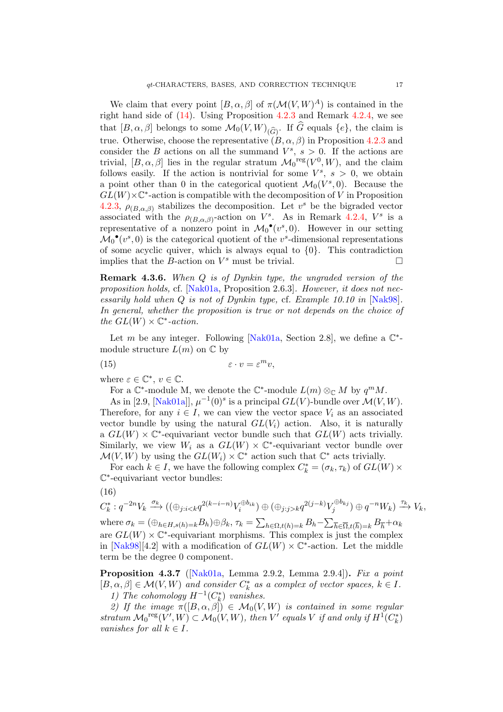We claim that every point  $[B, \alpha, \beta]$  of  $\pi(\mathcal{M}(V, W)^A)$  is contained in the right hand side of [\(14\)](#page-15-2). Using Proposition [4.2.3](#page-12-1) and Remark [4.2.4,](#page-12-2) we see that  $[B, \alpha, \beta]$  belongs to some  $\mathcal{M}_0(V, W)_{(\widehat{G})}$ . If G equals  $\{e\}$ , the claim is true. Otherwise, choose the representative  $(B, \alpha, \beta)$  in Proposition [4.2.3](#page-12-1) and consider the B actions on all the summand  $V^s$ ,  $s > 0$ . If the actions are trivial,  $[B, \alpha, \beta]$  lies in the regular stratum  $\mathcal{M}_0^{\text{reg}}(V^0, W)$ , and the claim follows easily. If the action is nontrivial for some  $V^s$ ,  $s > 0$ , we obtain a point other than 0 in the categorical quotient  $\mathcal{M}_0(V^s,0)$ . Because the  $GL(W) \times \mathbb{C}^*$ -action is compatible with the decomposition of V in Proposition [4.2.3,](#page-12-1)  $\rho_{(B,\alpha,\beta)}$  stabilizes the decomposition. Let  $v^s$  be the bigraded vector associated with the  $\rho_{(B,\alpha,\beta)}$ -action on  $V^s$ . As in Remark [4.2.4,](#page-12-2)  $V^s$  is a representative of a nonzero point in  $\mathcal{M}_0^{\bullet}(v^s,0)$ . However in our setting  $\mathcal{M}_0^{\bullet}(v^s,0)$  is the categorical quotient of the  $v^s$ -dimensional representations of some acyclic quiver, which is always equal to  $\{0\}$ . This contradiction implies that the B-action on  $V^s$  must be trivial.

Remark 4.3.6. When Q is of Dynkin type, the ungraded version of the proposition holds, cf.  $[Nak01a, Proposition 2.6.3]$  $[Nak01a, Proposition 2.6.3]$ . However, it does not necessarily hold when Q is not of Dynkin type, cf. Example 10.10 in [\[Nak98\]](#page-43-16). In general, whether the proposition is true or not depends on the choice of the  $GL(W) \times \mathbb{C}^*$ -action.

Let m be any integer. Following [\[Nak01a,](#page-43-13) Section 2.8], we define a  $\mathbb{C}^*$ module structure  $L(m)$  on  $\mathbb C$  by

$$
(15) \qquad \qquad \varepsilon \cdot v = \varepsilon^m v,
$$

where  $\varepsilon \in \mathbb{C}^*, v \in \mathbb{C}$ .

For a  $\mathbb{C}^*$ -module M, we denote the  $\mathbb{C}^*$ -module  $L(m) \otimes_{\mathbb{C}} M$  by  $q^m M$ .

As in [2.9, [\[Nak01a\]](#page-43-13)],  $\mu^{-1}(0)^s$  is a principal  $GL(V)$ -bundle over  $\mathcal{M}(V, W)$ . Therefore, for any  $i \in I$ , we can view the vector space  $V_i$  as an associated vector bundle by using the natural  $GL(V_i)$  action. Also, it is naturally a  $GL(W) \times \mathbb{C}^*$ -equivariant vector bundle such that  $GL(W)$  acts trivially. Similarly, we view  $W_i$  as a  $GL(W) \times \mathbb{C}^*$ -equivariant vector bundle over  $\mathcal{M}(V, W)$  by using the  $GL(W_i) \times \mathbb{C}^*$  action such that  $\mathbb{C}^*$  acts trivially.

For each  $k \in I$ , we have the following complex  $C_k^* = (\sigma_k, \tau_k)$  of  $GL(W) \times$ C ∗ -equivariant vector bundles:

$$
(16)
$$

$$
C_k^* : q^{-2n}V_k \xrightarrow{\sigma_k} ((\oplus_{j:i < k} q^{2(k-i-n)}V_i^{\oplus b_{ik}}) \oplus (\oplus_{j:j > k} q^{2(j-k)}V_j^{\oplus b_{kj}}) \oplus q^{-n}W_k) \xrightarrow{\tau_k} V_k,
$$

where  $\sigma_k = (\bigoplus_{h \in H, s(h)=k} B_h) \oplus \beta_k$ ,  $\tau_k = \sum_{h \in \Omega, t(h)=k} B_h - \sum_{\overline{h} \in \overline{\Omega}, t(\overline{h})=k} B_{\overline{h}} + \alpha_k$ are  $GL(W) \times \mathbb{C}^*$ -equivariant morphisms. This complex is just the complex in  $[Nak98][4.2]$  $[Nak98][4.2]$  with a modification of  $GL(W) \times \mathbb{C}^*$ -action. Let the middle term be the degree 0 component.

<span id="page-16-0"></span>**Proposition 4.3.7** ( $[Nak01a, Lemma 2.9.2, Lemma 2.9.4]$  $[Nak01a, Lemma 2.9.2, Lemma 2.9.4]$ ). Fix a point  $[B, \alpha, \beta] \in \mathcal{M}(V, W)$  and consider  $C_k^*$  as a complex of vector spaces,  $k \in I$ .

1) The cohomology  $H^{-1}(C_k^*)$  vanishes.

2) If the image  $\pi([B,\alpha,\beta]) \in \mathcal{M}_0(V,W)$  is contained in some regular stratum  $\mathcal{M}_0^{\text{reg}}(V', W) \subset \mathcal{M}_0(V, W)$ , then  $V'$  equals V if and only if  $H^1(C_k^*)$ vanishes for all  $k \in I$ .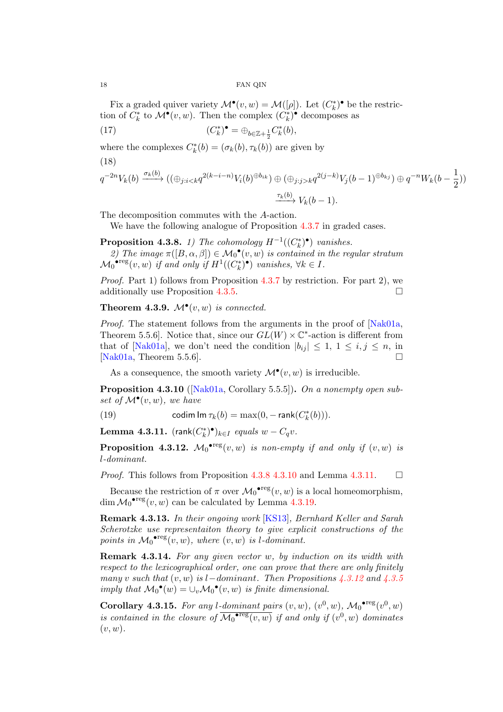Fix a graded quiver variety  $\mathcal{M}^{\bullet}(v, w) = \mathcal{M}([\rho])$ . Let  $(C_k^*)^{\bullet}$  be the restriction of  $C_k^*$  to  $\mathcal{M}^{\bullet}(v, w)$ . Then the complex  $(C_k^*)^{\bullet}$  decomposes as

(17) 
$$
(C_k^*)^{\bullet} = \bigoplus_{b \in \mathbb{Z} + \frac{1}{2}} C_k^*(b),
$$

where the complexes  $C_k^*(b) = (\sigma_k(b), \tau_k(b))$  are given by

(18)

$$
q^{-2n}V_k(b) \xrightarrow{\sigma_k(b)} ((\oplus_{j:i < k} q^{2(k-i-n)}V_i(b)^{\oplus b_{ik}}) \oplus (\oplus_{j:j > k} q^{2(j-k)}V_j(b-1)^{\oplus b_{kj}}) \oplus q^{-n}W_k(b-\frac{1}{2}))
$$
\n
$$
\xrightarrow{\tau_k(b)} V_k(b-1).
$$

The decomposition commutes with the A-action.

We have the following analogue of Proposition [4.3.7](#page-16-0) in graded cases.

<span id="page-17-0"></span>**Proposition 4.3.8.** 1) The cohomology  $H^{-1}((C_k^*)^{\bullet})$  vanishes.

2) The image  $\pi([B,\alpha,\beta]) \in \mathcal{M}_0^{\bullet}(v,w)$  is contained in the regular stratum  $\mathcal{M}_0^{\bullet \text{reg}}(v, w)$  if and only if  $H^1((C_k^*)^{\bullet})$  vanishes,  $\forall k \in I$ .

Proof. Part 1) follows from Proposition [4.3.7](#page-16-0) by restriction. For part 2), we additionally use Proposition [4.3.5.](#page-15-0)

<span id="page-17-4"></span>**Theorem 4.3.9.**  $\mathcal{M}^{\bullet}(v, w)$  is connected.

*Proof.* The statement follows from the arguments in the proof of [\[Nak01a,](#page-43-13) Theorem 5.5.6. Notice that, since our  $GL(W) \times \mathbb{C}^*$ -action is different from that of [\[Nak01a\]](#page-43-13), we don't need the condition  $|b_{ij}| \leq 1, 1 \leq i, j \leq n$ , in [\[Nak01a,](#page-43-13) Theorem 5.5.6].  $\square$ 

As a consequence, the smooth variety  $\mathcal{M}^{\bullet}(v, w)$  is irreducible.

<span id="page-17-1"></span>Proposition 4.3.10 ([\[Nak01a,](#page-43-13) Corollary 5.5.5]). On a nonempty open subset of  $\mathcal{M}^{\bullet}(v, w)$ , we have

(19) 
$$
\text{codim Im }\tau_k(b) = \max(0, -\text{rank}(C_k^*(b))).
$$

<span id="page-17-2"></span>**Lemma 4.3.11.**  $(\text{rank}(C_k^*)^{\bullet})_{k \in I}$  equals  $w - C_q v$ .

<span id="page-17-3"></span>**Proposition 4.3.12.**  $\mathcal{M}_0^{\bullet \text{reg}}(v, w)$  is non-empty if and only if  $(v, w)$  is l-dominant.

*Proof.* This follows from Proposition [4.3.8](#page-17-0) [4.3.10](#page-17-1) and Lemma [4.3.11.](#page-17-2)  $\Box$ 

Because the restriction of  $\pi$  over  $\mathcal{M}_0^{\bullet \text{reg}}(v, w)$  is a local homeomorphism, dim  $\mathcal{M}_0^{\bullet \text{reg}}(v, w)$  can be calculated by Lemma [4.3.19.](#page-19-2)

Remark 4.3.13. In their ongoing work [\[KS13\]](#page-43-18), Bernhard Keller and Sarah Scherotzke use representaiton theory to give explicit constructions of the points in  $\mathcal{M}_0^{\bullet \, \text{reg}}(v, w)$ , where  $(v, w)$  is l-dominant.

<span id="page-17-6"></span>Remark 4.3.14. For any given vector w, by induction on its width with respect to the lexicographical order, one can prove that there are only finitely many v such that  $(v, w)$  is l–dominant. Then Propositions [4.3.12](#page-17-3) and [4.3.5](#page-15-0) imply that  $\mathcal{M}_0^{\bullet}(w) = \cup_v \mathcal{M}_0^{\bullet}(v, w)$  is finite dimensional.

<span id="page-17-5"></span>Corollary 4.3.15. For any l-dominant pairs  $(v, w)$ ,  $(v<sup>0</sup>, w)$ ,  $\mathcal{M}_0^{\bullet \text{reg}}(v<sup>0</sup>, w)$ is contained in the closure of  $\overline{\mathcal{M}_0^{\bullet \text{reg}}(v,w)}$  if and only if  $(v^0, w)$  dominates  $(v, w)$ .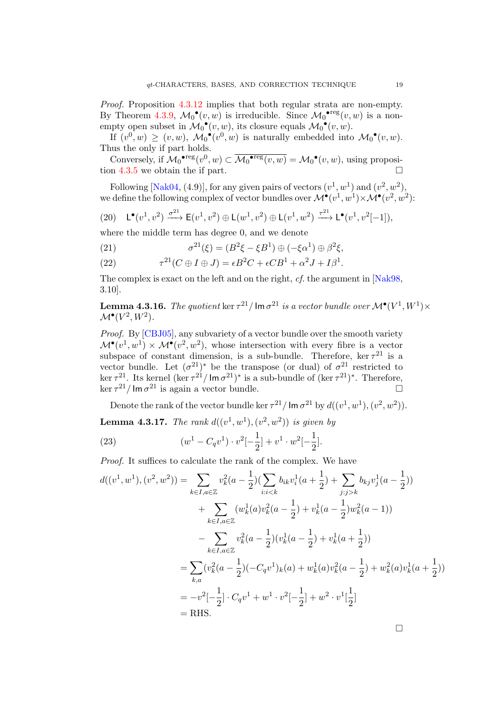Proof. Proposition [4.3.12](#page-17-3) implies that both regular strata are non-empty. By Theorem [4.3.9,](#page-17-4)  $\mathcal{M}_0^{\bullet}(v,w)$  is irreducible. Since  $\mathcal{M}_0^{\bullet \text{reg}}(v,w)$  is a nonempty open subset in  $\mathcal{M}_0^{\bullet}(v, w)$ , its closure equals  $\mathcal{M}_0^{\bullet}(v, w)$ .

If  $(v^0, w) \ge (v, w)$ ,  $\mathcal{M}_0^{\bullet}(v^0, w)$  is naturally embedded into  $\mathcal{M}_0^{\bullet}(v, w)$ . Thus the only if part holds.

Conversely, if  $\mathcal{M}_0^{\bullet \text{reg}}(v^0, w) \subset \overline{\mathcal{M}_0^{\bullet \text{reg}}(v, w)} = \mathcal{M}_0^{\bullet}(v, w)$ , using proposition [4.3.5](#page-15-0) we obtain the if part.

Following [\[Nak04,](#page-44-2) (4.9)], for any given pairs of vectors  $(v^1, w^1)$  and  $(v^2, w^2)$ , we define the following complex of vector bundles over  $\mathcal{M}^{\bullet}(v^1, w^1) \times \mathcal{M}^{\bullet}(v^2, w^2)$ :

<span id="page-18-1"></span>(20) 
$$
\mathsf{L}^{\bullet}(v^1,v^2) \xrightarrow{\sigma^{21}} \mathsf{E}(v^1,v^2) \oplus \mathsf{L}(w^1,v^2) \oplus \mathsf{L}(v^1,w^2) \xrightarrow{\tau^{21}} \mathsf{L}^{\bullet}(v^1,v^2[-1]),
$$

where the middle term has degree 0, and we denote

(21) 
$$
\sigma^{21}(\xi) = (B^2 \xi - \xi B^1) \oplus (-\xi \alpha^1) \oplus \beta^2 \xi,
$$

(22) 
$$
\tau^{21}(C \oplus I \oplus J) = \epsilon B^2 C + \epsilon C B^1 + \alpha^2 J + I \beta^1.
$$

The complex is exact on the left and on the right, cf. the argument in [\[Nak98,](#page-43-16) 3.10].

**Lemma 4.3.16.** The quotient  $\ker \tau^{21}/\mathsf{Im}\,\sigma^{21}$  is a vector bundle over  $\mathcal{M}^\bullet(V^1,W^1)\times$  $\mathcal{M}^\bullet(V^2,W^2)$ .

Proof. By [\[CBJ05\]](#page-42-5), any subvariety of a vector bundle over the smooth variety  $\mathcal{M}^{\bullet}(v^1, w^1) \times \mathcal{M}^{\bullet}(v^2, w^2)$ , whose intersection with every fibre is a vector subspace of constant dimension, is a sub-bundle. Therefore, ker  $\tau^{21}$  is a vector bundle. Let  $(\sigma^{21})^*$  be the transpose (or dual) of  $\sigma^{21}$  restricted to ker  $\tau^{21}$ . Its kernel (ker  $\tau^{21}$ /lm  $\sigma^{21}$ )\* is a sub-bundle of (ker  $\tau^{21}$ )\*. Therefore,  $\ker \tau^{21}$  / Im  $\sigma^{21}$  is again a vector bundle.

Denote the rank of the vector bundle ker  $\tau^{21}$  / lm  $\sigma^{21}$  by  $d((v^1, w^1), (v^2, w^2))$ .

**Lemma 4.3.17.** The rank  $d((v^1, w^1), (v^2, w^2))$  is given by

<span id="page-18-0"></span>(23) 
$$
(w^{1} - C_{q}v^{1}) \cdot v^{2}[-\frac{1}{2}] + v^{1} \cdot w^{2}[-\frac{1}{2}].
$$

Proof. It suffices to calculate the rank of the complex. We have

$$
d((v^1, w^1), (v^2, w^2)) = \sum_{k \in I, a \in \mathbb{Z}} v_k^2 (a - \frac{1}{2}) (\sum_{i:i < k} b_{ik} v_i^1 (a + \frac{1}{2}) + \sum_{j:j > k} b_{kj} v_j^1 (a - \frac{1}{2}))
$$
  
+ 
$$
\sum_{k \in I, a \in \mathbb{Z}} (w_k^1(a) v_k^2(a - \frac{1}{2}) + v_k^1(a - \frac{1}{2}) w_k^2(a - 1))
$$
  
- 
$$
\sum_{k \in I, a \in \mathbb{Z}} v_k^2(a - \frac{1}{2}) (v_k^1(a - \frac{1}{2}) + v_k^1(a + \frac{1}{2}))
$$
  
= 
$$
\sum_{k,a} (v_k^2(a - \frac{1}{2}) (-C_q v^1)_k(a) + w_k^1(a) v_k^2(a - \frac{1}{2}) + w_k^2(a) v_k^1(a + \frac{1}{2}))
$$
  
= 
$$
-v^2[-\frac{1}{2}] \cdot C_q v^1 + w^1 \cdot v^2[-\frac{1}{2}] + w^2 \cdot v^1[\frac{1}{2}]
$$
  
= RHS.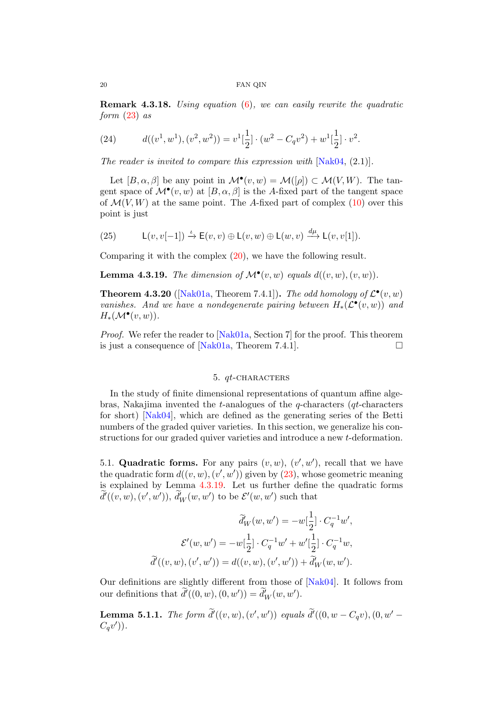**Remark 4.3.18.** Using equation  $(6)$ , we can easily rewrite the quadratic form  $(23)$  as

(24) 
$$
d((v^1, w^1), (v^2, w^2)) = v^1[\frac{1}{2}] \cdot (w^2 - C_q v^2) + w^1[\frac{1}{2}] \cdot v^2.
$$

The reader is invited to compare this expression with  $[Nak04, (2.1)].$  $[Nak04, (2.1)].$ 

Let  $[B, \alpha, \beta]$  be any point in  $\mathcal{M}^{\bullet}(v, w) = \mathcal{M}([\rho]) \subset \mathcal{M}(V, W)$ . The tangent space of  $\mathcal{M}^{\bullet}(v, w)$  at  $[B, \alpha, \beta]$  is the A-fixed part of the tangent space of  $\mathcal{M}(V, W)$  at the same point. The A-fixed part of complex [\(10\)](#page-13-2) over this point is just

(25) 
$$
L(v, v[-1]) \xrightarrow{\iota} E(v, v) \oplus L(v, w) \oplus L(w, v) \xrightarrow{d\mu} L(v, v[1]).
$$

Comparing it with the complex [\(20\)](#page-18-1), we have the following result.

<span id="page-19-2"></span>**Lemma 4.3.19.** The dimension of  $\mathcal{M}^{\bullet}(v, w)$  equals  $d((v, w), (v, w))$ .

<span id="page-19-3"></span>**Theorem 4.3.20** ([\[Nak01a,](#page-43-13) Theorem 7.4.1]). The odd homology of  $\mathcal{L}^{\bullet}(v, w)$ vanishes. And we have a nondegenerate pairing between  $H_*(\mathcal{L}^{\bullet}(v,w))$  and  $H_*(\mathcal{M}^\bullet(v,w)).$ 

Proof. We refer the reader to [\[Nak01a,](#page-43-13) Section 7] for the proof. This theorem is just a consequence of [\[Nak01a,](#page-43-13) Theorem 7.4.1].  $\Box$ 

### 5. *qt*-CHARACTERS

<span id="page-19-0"></span>In the study of finite dimensional representations of quantum affine algebras, Nakajima invented the t-analogues of the q-characters (qt-characters for short) [\[Nak04\]](#page-44-2), which are defined as the generating series of the Betti numbers of the graded quiver varieties. In this section, we generalize his constructions for our graded quiver varieties and introduce a new t-deformation.

<span id="page-19-1"></span>5.1. Quadratic forms. For any pairs  $(v, w)$ ,  $(v', w')$ , recall that we have the quadratic form  $d((v, w), (v', w'))$  given by  $(23)$ , whose geometric meaning is explained by Lemma [4.3.19.](#page-19-2) Let us further define the quadratic forms  $\tilde{d}'((v, w), (v', w')), \tilde{d}'_W(w, w')$  to be  $\mathcal{E}'(w, w')$  such that

$$
\widetilde{d}'_W(w, w') = -w[\frac{1}{2}] \cdot C_q^{-1}w',
$$

$$
\mathcal{E}'(w, w') = -w[\frac{1}{2}] \cdot C_q^{-1}w' + w'[\frac{1}{2}] \cdot C_q^{-1}w,
$$

$$
\widetilde{d}'((v, w), (v', w')) = d((v, w), (v', w')) + \widetilde{d}'_W(w, w').
$$

Our definitions are slightly different from those of [\[Nak04\]](#page-44-2). It follows from our definitions that  $\tilde{d}'((0, w), (0, w')) = \tilde{d}'_W(w, w').$ 

**Lemma 5.1.1.** The form  $\tilde{d}'((v, w), (v', w'))$  equals  $\tilde{d}'((0, w - C_qv), (0, w' - C_qv'))$  $C_qv')$ ).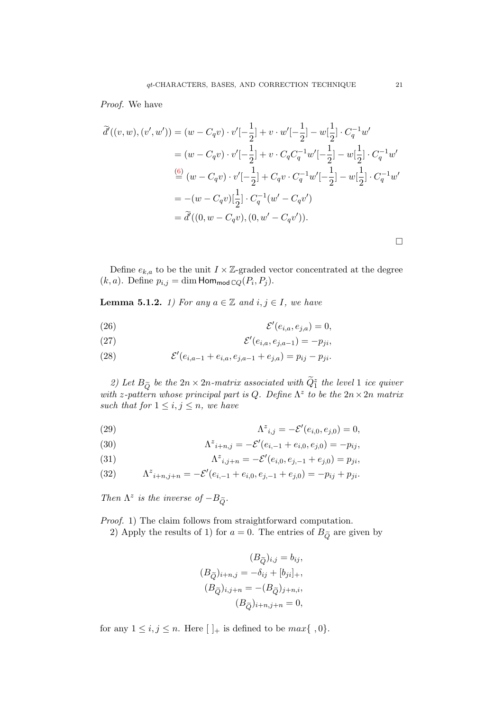### Proof. We have

$$
\widetilde{d}'((v, w), (v', w')) = (w - C_q v) \cdot v'[-\frac{1}{2}] + v \cdot w'[-\frac{1}{2}] - w[\frac{1}{2}] \cdot C_q^{-1} w'\n= (w - C_q v) \cdot v'[-\frac{1}{2}] + v \cdot C_q C_q^{-1} w'[-\frac{1}{2}] - w[\frac{1}{2}] \cdot C_q^{-1} w'\n\frac{(6)}{2} (w - C_q v) \cdot v'[-\frac{1}{2}] + C_q v \cdot C_q^{-1} w'[-\frac{1}{2}] - w[\frac{1}{2}] \cdot C_q^{-1} w'\n= -(w - C_q v)[\frac{1}{2}] \cdot C_q^{-1} (w' - C_q v')\n= \widetilde{d}'((0, w - C_q v), (0, w' - C_q v')).
$$

Define  $e_{k,a}$  to be the unit  $I \times \mathbb{Z}$ -graded vector concentrated at the degree  $(k, a)$ . Define  $p_{i,j} = \dim \text{Hom}_{\text{mod } \mathbb{C} Q}(P_i, P_j)$ .

<span id="page-20-0"></span>**Lemma 5.1.2.** 1) For any  $a \in \mathbb{Z}$  and  $i, j \in I$ , we have

(26) 
$$
\mathcal{E}'(e_{i,a}, e_{j,a}) = 0,
$$

$$
\mathcal{E}'(e_{i,a}, e_{j,a-1}) = -p_{ji},
$$

(28) 
$$
\mathcal{E}'(e_{i,a-1}+e_{i,a},e_{j,a-1}+e_{j,a})=p_{ij}-p_{ji}.
$$

2) Let  $B_{\widetilde{Q}}$  be the  $2n \times 2n$ -matrix associated with  $\widetilde{Q}_1^z$  the level 1 ice quiver with z-pattern whose principal part is Q. Define  $\Lambda^z$  to be the  $2n \times 2n$  matrix such that for  $1 \leq i, j \leq n$ , we have

(29) 
$$
\Lambda^{z}{}_{i,j} = -\mathcal{E}'(e_{i,0}, e_{j,0}) = 0,
$$

(30) 
$$
\Lambda^{z}{}_{i+n,j} = -\mathcal{E}'(e_{i,-1} + e_{i,0}, e_{j,0}) = -p_{ij},
$$

(31) 
$$
\Lambda^z_{i,j+n} = -\mathcal{E}'(e_{i,0}, e_{j,-1} + e_{j,0}) = p_{ji},
$$

(32) 
$$
\Lambda^{z}{}_{i+n,j+n} = -\mathcal{E}'(e_{i,-1} + e_{i,0}, e_{j,-1} + e_{j,0}) = -p_{ij} + p_{ji}.
$$

Then  $\Lambda^z$  is the inverse of  $-B_{\widetilde{Q}}$ .

Proof. 1) The claim follows from straightforward computation.

2) Apply the results of 1) for  $a = 0$ . The entries of  $B_{\tilde{Q}}$  are given by

$$
(B_{\widetilde{Q}})_{i,j} = b_{ij},
$$
  
\n
$$
(B_{\widetilde{Q}})_{i+n,j} = -\delta_{ij} + [b_{ji}]_+,
$$
  
\n
$$
(B_{\widetilde{Q}})_{i,j+n} = -(B_{\widetilde{Q}})_{j+n,i},
$$
  
\n
$$
(B_{\widetilde{Q}})_{i+n,j+n} = 0,
$$

for any  $1 \leq i, j \leq n$ . Here  $[\ ]_{+}$  is defined to be  $max\{\ ,0\}.$ 

 $\Box$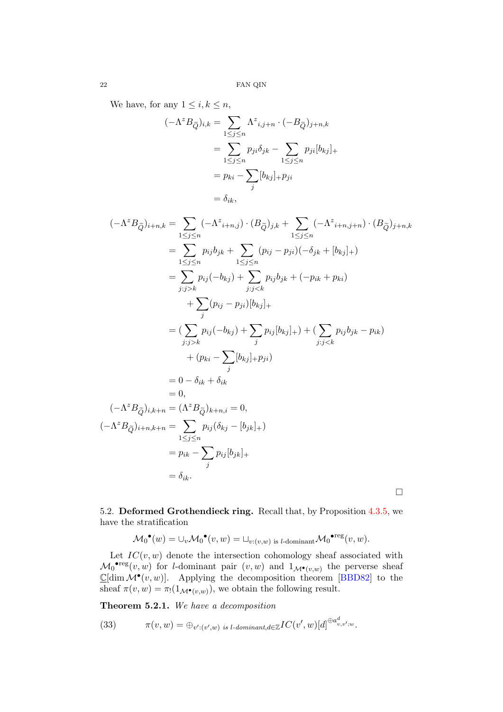We have, for any  $1 \leq i, k \leq n$ ,

$$
(-\Lambda^z B_{\widetilde{Q}})_{i,k} = \sum_{1 \le j \le n} \Lambda^z_{i,j+n} \cdot (-B_{\widetilde{Q}})_{j+n,k}
$$
  
= 
$$
\sum_{1 \le j \le n} p_{ji} \delta_{jk} - \sum_{1 \le j \le n} p_{ji} [b_{kj}]_+
$$
  
= 
$$
p_{ki} - \sum_j [b_{kj}]_+ p_{ji}
$$
  
= 
$$
\delta_{ik},
$$

$$
(-\Lambda^{z}B_{\tilde{Q}})_{i+n,k} = \sum_{1 \leq j \leq n} (-\Lambda^{z}{}_{i+n,j}) \cdot (B_{\tilde{Q}})_{j,k} + \sum_{1 \leq j \leq n} (-\Lambda^{z}{}_{i+n,j+n}) \cdot (B_{\tilde{Q}})_{j+n,k}
$$
  
\n
$$
= \sum_{1 \leq j \leq n} p_{ij}b_{jk} + \sum_{1 \leq j \leq n} (p_{ij} - p_{ji})(-\delta_{jk} + [b_{kj}]_{+})
$$
  
\n
$$
= \sum_{j:j > k} p_{ij}(-b_{kj}) + \sum_{j:j < k} p_{ij}b_{jk} + (-p_{ik} + p_{ki})
$$
  
\n
$$
+ \sum_{j:j > k} (p_{ij} - p_{ji})[b_{kj}]_{+}
$$
  
\n
$$
= (\sum_{j:j > k} p_{ij}(-b_{kj}) + \sum_{j} p_{ij}[b_{kj}]_{+}) + (\sum_{j:j < k} p_{ij}b_{jk} - p_{ik})
$$
  
\n
$$
+ (p_{ki} - \sum_{j} [b_{kj}]_{+} p_{ji})
$$
  
\n
$$
= 0 - \delta_{ik} + \delta_{ik}
$$
  
\n
$$
= 0,
$$
  
\n
$$
(-\Lambda^{z}B_{\tilde{Q}})_{i,k+n} = (\Lambda^{z}B_{\tilde{Q}})_{k+n,i} = 0,
$$
  
\n
$$
(-\Lambda^{z}B_{\tilde{Q}})_{i+n,k+n} = \sum_{1 \leq j \leq n} p_{ij}(\delta_{kj} - [b_{jk}]_{+})
$$
  
\n
$$
= p_{ik} - \sum_{j} p_{ij}[b_{jk}]_{+}
$$
  
\n
$$
= \delta_{ik}.
$$

<span id="page-21-0"></span>5.2. Deformed Grothendieck ring. Recall that, by Proposition [4.3.5,](#page-15-0) we have the stratification

$$
\mathcal{M}_0^{\bullet}(w) = \cup_v \mathcal{M}_0^{\bullet}(v, w) = \cup_{v:(v, w) \text{ is } l\text{-dominant}} \mathcal{M}_0^{\bullet \text{reg}}(v, w).
$$

Let  $IC(v, w)$  denote the intersection cohomology sheaf associated with  $\mathcal{M}_0^{\bullet \text{reg}}(v, w)$  for *l*-dominant pair  $(v, w)$  and  $1_{\mathcal{M}^\bullet(v, w)}$  the perverse sheaf  $\mathbb{C}[\dim \mathcal{M}^\bullet(v,w)]$ . Applying the decomposition theorem [\[BBD82\]](#page-42-6) to the sheaf  $\pi(v, w) = \pi_1(1_{\mathcal{M}^\bullet(v, w)})$ , we obtain the following result.

<span id="page-21-1"></span>Theorem 5.2.1. We have a decomposition

<span id="page-21-2"></span>(33) 
$$
\pi(v, w) = \bigoplus_{v':(v', w) \text{ is } l\text{-dominant}, d \in \mathbb{Z}} IC(v', w)[d]^{\oplus a_{v, v': w}^d}.
$$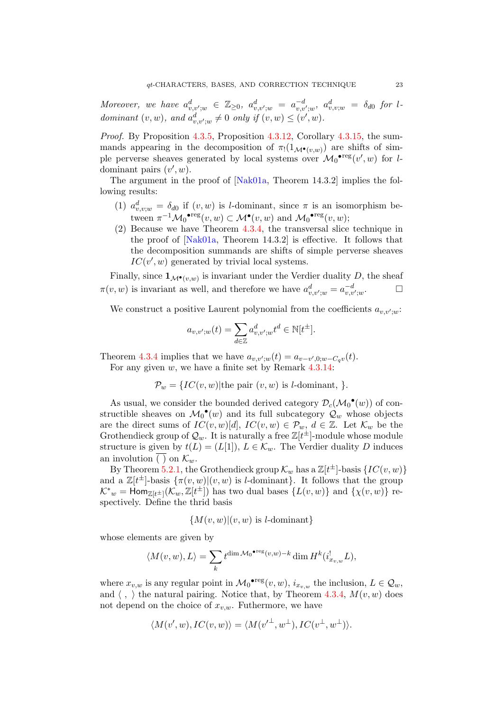Moreover, we have  $a^d_{v,v';w} \in \mathbb{Z}_{\geq 0}$ ,  $a^d_{v,v';w} = a^{-d}_{v,v';w}$ ,  $a^d_{v,v;w} = \delta_{d0}$  for ldominant  $(v, w)$ , and  $a_{v,v';w}^d \neq 0$  only if  $(v, w) \leq (v', w)$ .

Proof. By Proposition [4.3.5,](#page-15-0) Proposition [4.3.12,](#page-17-3) Corollary [4.3.15,](#page-17-5) the summands appearing in the decomposition of  $\pi_1(1_{\mathcal{M}^\bullet(v,w)})$  are shifts of simple perverse sheaves generated by local systems over  $\mathcal{M}_0^{\bullet \text{reg}}(v',w)$  for ldominant pairs  $(v', w)$ .

The argument in the proof of [\[Nak01a,](#page-43-13) Theorem 14.3.2] implies the following results:

- (1)  $a_{v,v;w}^d = \delta_{d0}$  if  $(v, w)$  is *l*-dominant, since  $\pi$  is an isomorphism between  $\pi^{-1} \mathcal{M}_0^{\bullet \text{reg}}(v, w) \subset \mathcal{M}^{\bullet}(v, w)$  and  $\mathcal{M}_0^{\bullet \text{reg}}(v, w)$ ;
- (2) Because we have Theorem [4.3.4,](#page-15-3) the transversal slice technique in the proof of [\[Nak01a,](#page-43-13) Theorem 14.3.2] is effective. It follows that the decomposition summands are shifts of simple perverse sheaves  $IC(v', w)$  generated by trivial local systems.

Finally, since  $\mathbf{1}_{\mathcal{M}^\bullet(v,w)}$  is invariant under the Verdier duality D, the sheaf  $\pi(v, w)$  is invariant as well, and therefore we have  $a_{v,v';w}^d = a_{v,v';w}^{-d}$  $\Box$ 

We construct a positive Laurent polynomial from the coefficients  $a_{v,v';w}$ :

$$
a_{v,v';w}(t) = \sum_{d \in \mathbb{Z}} a_{v,v';w}^d t^d \in \mathbb{N}[t^{\pm}].
$$

Theorem [4.3.4](#page-15-3) implies that we have  $a_{v,v';w}(t) = a_{v-v',0;w-C_qv}(t)$ . For any given w, we have a finite set by Remark [4.3.14:](#page-17-6)

 $\mathcal{P}_w = \{IC(v, w) | \text{the pair } (v, w) \text{ is } l \text{-dominant, } \}.$ 

As usual, we consider the bounded derived category  $\mathcal{D}_{c}(\mathcal{M}_{0}^{\bullet}(w))$  of constructible sheaves on  $\mathcal{M}_0^{\bullet}(w)$  and its full subcategory  $\mathcal{Q}_w$  whose objects are the direct sums of  $IC(v, w)[d], IC(v, w) \in \mathcal{P}_w, d \in \mathbb{Z}$ . Let  $\mathcal{K}_w$  be the Grothendieck group of  $\mathcal{Q}_w$ . It is naturally a free  $\mathbb{Z}[t^{\pm}]$ -module whose module structure is given by  $t(L) = (L[1]), L \in \mathcal{K}_w$ . The Verdier duality D induces an involution ( ) on  $\mathcal{K}_w$ .

By Theorem [5.2.1,](#page-21-1) the Grothendieck group  $\mathcal{K}_w$  has a  $\mathbb{Z}[t^{\pm}]$ -basis  $\{IC(v, w)\}$ and a  $\mathbb{Z}[t^{\pm}]$ -basis  $\{\pi(v,w)|(v,w)$  is *l*-dominant}. It follows that the group  $\mathcal{K}^*_{w} = \text{Hom}_{\mathbb{Z}[t^{\pm}]}(\mathcal{K}_w, \mathbb{Z}[t^{\pm}])$  has two dual bases  $\{L(v, w)\}\$  and  $\{\chi(v, w)\}\$ respectively. Define the thrid basis

$$
\{M(v, w) | (v, w) \text{ is } l\text{-dominant}\}
$$

whose elements are given by

$$
\langle M(v,w),L\rangle=\sum_{k}t^{\dim \mathcal{M}_0\bullet\mathrm{reg}(v,w)-k}\dim H^k(i^!_{x_v,w}L),
$$

where  $x_{v,w}$  is any regular point in  $\mathcal{M}_0^{\bullet \text{reg}}(v, w), i_{x_{v,w}}$  the inclusion,  $L \in \mathcal{Q}_w$ , and  $\langle , \rangle$  the natural pairing. Notice that, by Theorem [4.3.4,](#page-15-3)  $M(v, w)$  does not depend on the choice of  $x_{v,w}$ . Futhermore, we have

$$
\langle M(v',w), IC(v,w)\rangle = \langle M(v'^{\perp},w^{\perp}), IC(v^{\perp},w^{\perp})\rangle.
$$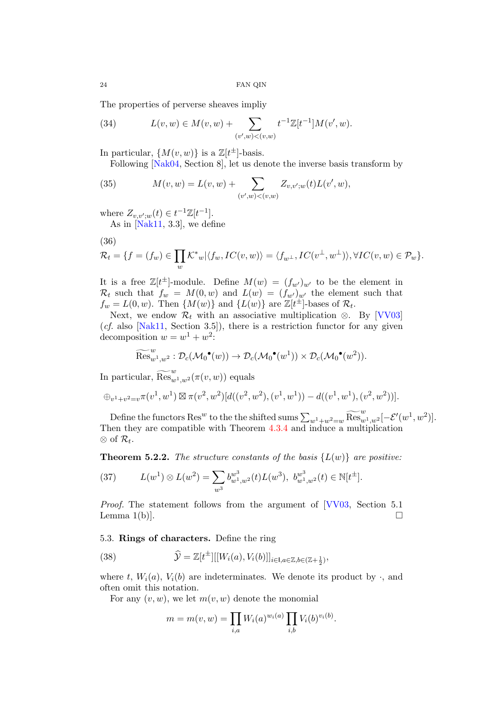The properties of perverse sheaves impliy

(34) 
$$
L(v, w) \in M(v, w) + \sum_{(v', w) < (v, w)} t^{-1} \mathbb{Z}[t^{-1}] M(v', w).
$$

In particular,  $\{M(v, w)\}\$ is a  $\mathbb{Z}[t^{\pm}]$ -basis.

Following [\[Nak04,](#page-44-2) Section 8], let us denote the inverse basis transform by

<span id="page-23-1"></span>(35) 
$$
M(v, w) = L(v, w) + \sum_{(v', w) < (v, w)} Z_{v, v'; w}(t) L(v', w),
$$

where  $Z_{v,v';w}(t) \in t^{-1}\mathbb{Z}[t^{-1}].$ 

As in  $[Nak11, 3.3]$  $[Nak11, 3.3]$ , we define

$$
(36)
$$

$$
\mathcal{R}_t = \{ f = (f_w) \in \prod_w \mathcal{K}^*_{w} | \langle f_w, IC(v, w) \rangle = \langle f_{w^{\perp}}, IC(v^{\perp}, w^{\perp}) \rangle, \forall IC(v, w) \in \mathcal{P}_w \}.
$$

It is a free  $\mathbb{Z}[t^{\pm}]$ -module. Define  $M(w) = (f_{w'})_{w'}$  to be the element in  $\mathcal{R}_t$  such that  $f_w = M(0, w)$  and  $L(w) = (f_{w'})_{w'}$  the element such that  $f_w = L(0, w)$ . Then  $\{M(w)\}\$ and  $\{L(w)\}\$ are  $\mathbb{Z}[t^{\pm}]$ -bases of  $\mathcal{R}_t$ .

Next, we endow  $\mathcal{R}_t$  with an associative multiplication ⊗. By [\[VV03\]](#page-44-7)  $(cf. also [Nak11, Section 3.5]),$  $(cf. also [Nak11, Section 3.5]),$  $(cf. also [Nak11, Section 3.5]),$  there is a restriction functor for any given decomposition  $w = w^1 + w^2$ :

$$
\widetilde{\mathrm{Res}}_{w^1,w^2}^{w}: \mathcal{D}_c(\mathcal{M}_0^{\bullet}(w)) \to \mathcal{D}_c(\mathcal{M}_0^{\bullet}(w^1)) \times \mathcal{D}_c(\mathcal{M}_0^{\bullet}(w^2)).
$$

In particular,  $\widetilde{\operatorname{Res}}_{w^1,w^2}(\pi(v,w))$  equals

$$
\oplus_{v^1+v^2=v} \pi(v^1,w^1) \boxtimes \pi(v^2,w^2) [d((v^2,w^2),(v^1,w^1))-d((v^1,w^1),(v^2,w^2))].
$$

Define the functors Res<sup>w</sup> to the the shifted sums  $\sum_{w_1+w_2=w} \widetilde{\text{Res}}_{w_1,w_2}^{w_1}[-\mathcal{E}'(w_1,w_2)].$ Then they are compatible with Theorem [4.3.4](#page-15-3) and induce a multiplication  $\otimes$  of  $\mathcal{R}_t$ .

**Theorem 5.2.2.** The structure constants of the basis  $\{L(w)\}\$ are positive:

<span id="page-23-2"></span>(37) 
$$
L(w^{1}) \otimes L(w^{2}) = \sum_{w^{3}} b_{w^{1},w^{2}}^{w^{3}}(t) L(w^{3}), b_{w^{1},w^{2}}^{w^{3}}(t) \in \mathbb{N}[t^{\pm}].
$$

Proof. The statement follows from the argument of [\[VV03,](#page-44-7) Section 5.1] Lemma 1(b)].  $\square$ 

### <span id="page-23-0"></span>5.3. Rings of characters. Define the ring

(38) 
$$
\widehat{\mathcal{Y}} = \mathbb{Z}[t^{\pm}][[W_i(a), V_i(b)]]_{i \in I, a \in \mathbb{Z}, b \in (\mathbb{Z} + \frac{1}{2})},
$$

where t,  $W_i(a)$ ,  $V_i(b)$  are indeterminates. We denote its product by  $\cdot$ , and often omit this notation.

For any  $(v, w)$ , we let  $m(v, w)$  denote the monomial

$$
m = m(v, w) = \prod_{i,a} W_i(a)^{w_i(a)} \prod_{i,b} V_i(b)^{v_i(b)}.
$$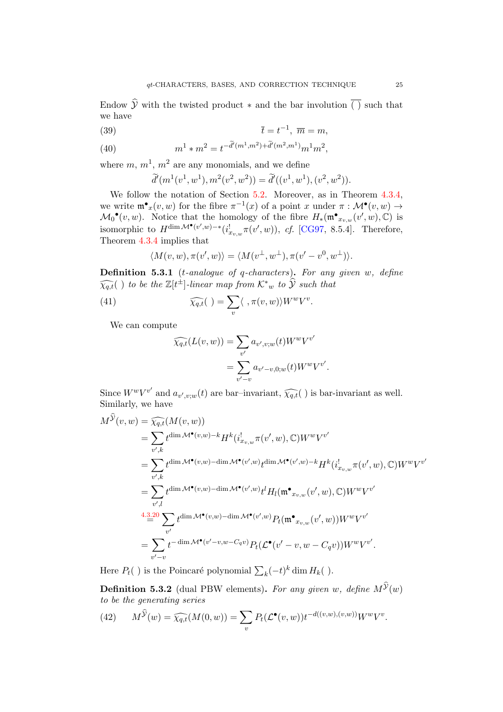Endow  $\hat{y}$  with the twisted product  $*$  and the bar involution  $\overline{()}$  such that we have

$$
(39) \t\t \bar{t} = t^{-1}, \ \overline{m} = m,
$$

(40) 
$$
m^{1} * m^{2} = t^{-\tilde{d}'(m^{1}, m^{2}) + \tilde{d}'(m^{2}, m^{1})} m^{1} m^{2},
$$

where  $m, m<sup>1</sup>, m<sup>2</sup>$  are any monomials, and we define

$$
\tilde{d}'(m^1(v^1, w^1), m^2(v^2, w^2)) = \tilde{d}'((v^1, w^1), (v^2, w^2)).
$$

We follow the notation of Section [5.2.](#page-21-0) Moreover, as in Theorem [4.3.4,](#page-15-3) we write  $\mathfrak{m}^{\bullet}{}_{x}(v,w)$  for the fibre  $\pi^{-1}(x)$  of a point x under  $\pi : \mathcal{M}^{\bullet}(v,w) \to$  $\mathcal{M}_0^{\bullet}(v,w)$ . Notice that the homology of the fibre  $H_*(\mathfrak{m}^{\bullet}_{x_v,w}(v',w),\mathbb{C})$  is isomorphic to  $H^{\dim M^{\bullet}(v',w)-*}(i_{x_v,w}^!\pi(v',w)),$  cf. [\[CG97,](#page-42-7) 8.5.4]. Therefore, Theorem [4.3.4](#page-15-3) implies that

$$
\langle M(v, w), \pi(v', w) \rangle = \langle M(v^{\perp}, w^{\perp}), \pi(v' - v^0, w^{\perp}) \rangle.
$$

**Definition 5.3.1** (*t*-analogue of q-characters). For any given  $w$ , define  $\widehat{\chi_{q,t}}(\ )$  to be the  $\mathbb{Z}[t^{\pm}]$ -linear map from  $\mathcal{K}^*_{w}$  to  $\widehat{\mathcal{Y}}$  such that

(41) 
$$
\widehat{\chi_{q,t}}(\ ) = \sum_{v} \langle \ , \pi(v,w) \rangle W^w V^v.
$$

We can compute

$$
\widehat{\chi_{q,t}}(L(v,w)) = \sum_{v'} a_{v',v;w}(t) W^w V^{v'} \n= \sum_{v'-v} a_{v'-v,0;w}(t) W^w V^{v'}.
$$

Since  $W^w V^{v'}$  and  $a_{v',v,w}(t)$  are bar-invariant,  $\widehat{\chi_{q,t}}(t)$  is bar-invariant as well.<br>Similarly we have Similarly, we have

$$
M^{\hat{\mathcal{Y}}}(v, w) = \widehat{\chi_{q,t}}(M(v, w))
$$
  
\n
$$
= \sum_{v',k} t^{\dim \mathcal{M}^{\bullet}(v,w)-k} H^{k}(i_{x_{v,w}}^{\mathsf{I}} \pi(v', w), \mathbb{C}) W^{w} V^{v'}
$$
  
\n
$$
= \sum_{v',k} t^{\dim \mathcal{M}^{\bullet}(v,w)-\dim \mathcal{M}^{\bullet}(v',w)} t^{\dim \mathcal{M}^{\bullet}(v',w)-k} H^{k}(i_{x_{v,w}}^{\mathsf{I}} \pi(v', w), \mathbb{C}) W^{w} V^{v'}
$$
  
\n
$$
= \sum_{v',l} t^{\dim \mathcal{M}^{\bullet}(v,w)-\dim \mathcal{M}^{\bullet}(v',w)} t^{l} H_{l}(\mathfrak{m}^{\bullet}_{x_{v,w}}(v', w), \mathbb{C}) W^{w} V^{v'}
$$
  
\n
$$
+ \frac{4 \cdot 3 \cdot 20}{\pi^{2}} \sum_{v'} t^{\dim \mathcal{M}^{\bullet}(v,w)-\dim \mathcal{M}^{\bullet}(v',w)} P_{t}(\mathfrak{m}^{\bullet}_{x_{v,w}}(v', w)) W^{w} V^{v'}
$$
  
\n
$$
= \sum_{v'-v} t^{-\dim \mathcal{M}^{\bullet}(v'-v,w-C_{q}v)} P_{t}(\mathcal{L}^{\bullet}(v'-v,w-C_{q}v)) W^{w} V^{v'}.
$$

Here  $P_t()$  is the Poincaré polynomial  $\sum_k (-t)^k \dim H_k()$ .

<span id="page-24-0"></span>**Definition 5.3.2** (dual PBW elements). For any given w, define  $M^{\mathcal{Y}}(w)$ to be the generating series

(42) 
$$
M^{\mathcal{Y}}(w) = \widehat{\chi_{q,t}}(M(0,w)) = \sum_{v} P_t(\mathcal{L}^{\bullet}(v,w))t^{-d((v,w),(v,w))}W^wV^v.
$$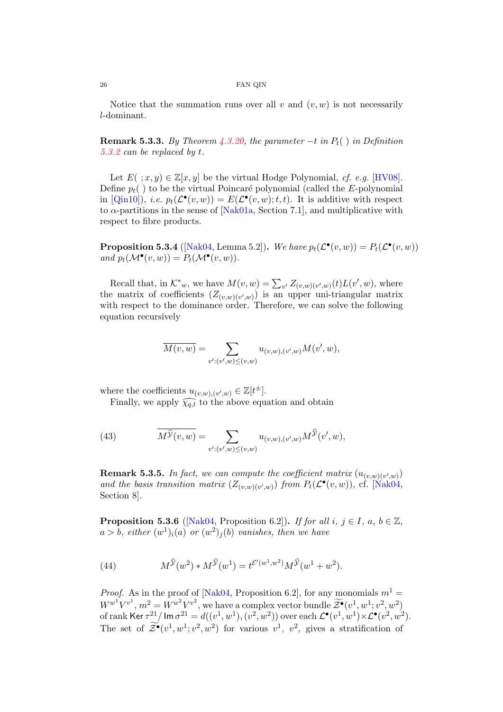Notice that the summation runs over all v and  $(v, w)$  is not necessarily l-dominant.

**Remark 5.3.3.** By Theorem  $\angle 4.3.20$ , the parameter  $-t$  in  $P_t()$  in Definition [5.3.2](#page-24-0) can be replaced by t.

Let  $E(\cdot; x, y) \in \mathbb{Z}[x, y]$  be the virtual Hodge Polynomial, cf. e.g. [\[HV08\]](#page-43-19). Define  $p_t()$  to be the virtual Poincaré polynomial (called the E-polynomial in [\[Qin10\]](#page-44-1)), *i.e.*  $p_t(\mathcal{L}^{\bullet}(v,w)) = E(\mathcal{L}^{\bullet}(v,w);t,t)$ . It is additive with respect to  $\alpha$ -partitions in the sense of [\[Nak01a,](#page-43-13) Section 7.1], and multiplicative with respect to fibre products.

**Proposition 5.3.4** ([\[Nak04,](#page-44-2) Lemma 5.2]). We have  $p_t(\mathcal{L}^{\bullet}(v, w)) = P_t(\mathcal{L}^{\bullet}(v, w))$ and  $p_t(\mathcal{M}^{\bullet}(v,w)) = P_t(\mathcal{M}^{\bullet}(v,w)).$ 

Recall that, in  $\mathcal{K}^*_{w}$ , we have  $M(v, w) = \sum_{v'} Z_{(v,w)(v',w)}(t) L(v', w)$ , where the matrix of coefficients  $(Z_{(v,w)(v',w)})$  is an upper uni-triangular matrix with respect to the dominance order. Therefore, we can solve the following equation recursively

$$
\overline{M(v,w)} = \sum_{v':(v',w)\leq (v,w)} u_{(v,w),(v',w)} M(v',w),
$$

where the coefficients  $u_{(v,w),(v',w)} \in \mathbb{Z}[t^{\pm}].$ 

Finally, we apply  $\widehat{\chi_{q,t}}$  to the above equation and obtain

<span id="page-25-1"></span>(43) 
$$
\overline{M}^{\widehat{\mathcal{Y}}}(v,w) = \sum_{v':(v',w)\leq (v,w)} u_{(v,w),(v',w)} M^{\widehat{\mathcal{Y}}}(v',w),
$$

**Remark 5.3.5.** In fact, we can compute the coefficient matrix  $(u_{(v,w)(v',w)})$ and the basis transition matrix  $(Z_{(v,w)(v',w)})$  from  $P_t(\mathcal{L}^{\bullet}(v,w))$ , cf. [\[Nak04,](#page-44-2) Section 8].

<span id="page-25-0"></span>**Proposition 5.3.6** ([\[Nak04,](#page-44-2) Proposition 6.2]). If for all  $i, j \in I$ ,  $a, b \in \mathbb{Z}$ ,  $a > b$ , either  $(w^{1})_{i}(a)$  or  $(w^{2})_{j}(b)$  vanishes, then we have

(44) 
$$
M^{\hat{\mathcal{Y}}}(w^2) * M^{\hat{\mathcal{Y}}}(w^1) = t^{\mathcal{E}'(w^1, w^2)} M^{\hat{\mathcal{Y}}}(w^1 + w^2).
$$

*Proof.* As in the proof of [\[Nak04,](#page-44-2) Proposition 6.2], for any monomials  $m<sup>1</sup>$  =  $W^{w^1}V^{v^1}, m^2 = W^{w^2}V^{v^2}$ , we have a complex vector bundle  $\widetilde{\mathcal{Z}^{\bullet}}(v^1, w^1; v^2, w^2)$ of rank Ker  $\tau^{21}/\mathsf{Im}\,\sigma^{21}=d((v^1,w^1),(v^2,w^2))$  over each  $\mathcal{L}^\bullet(v^1,w^1){\times}\mathcal{L}^\bullet(v^2,w^2)$ . The set of  $\widetilde{\mathcal{Z}}^{\bullet}(v^1, w^1; v^2, w^2)$  for various  $v^1$ ,  $v^2$ , gives a stratification of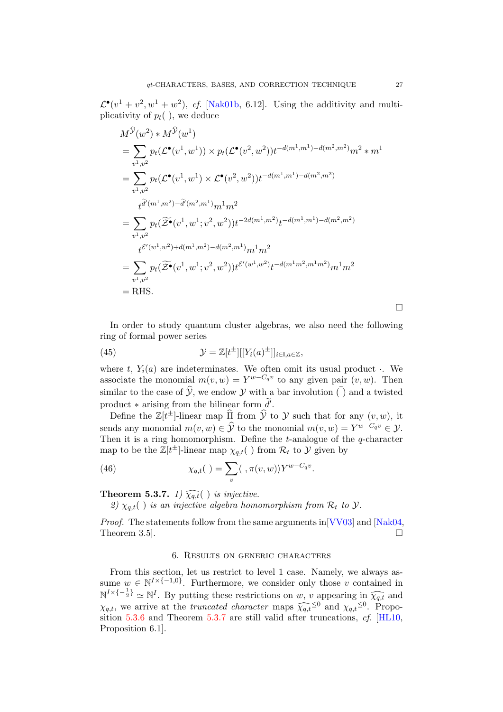$\mathcal{L}^{\bullet}(v^1+v^2,w^1+w^2)$ , cf. [\[Nak01b,](#page-43-20) 6.12]. Using the additivity and multiplicativity of  $p_t($ ), we deduce

$$
M^{\hat{y}}(w^{2}) * M^{\hat{y}}(w^{1})
$$
  
=  $\sum_{v^{1},v^{2}} p_{t}(\mathcal{L}^{\bullet}(v^{1},w^{1})) \times p_{t}(\mathcal{L}^{\bullet}(v^{2},w^{2}))t^{-d(m^{1},m^{1})-d(m^{2},m^{2})}m^{2} * m^{1}$   
=  $\sum_{v^{1},v^{2}} p_{t}(\mathcal{L}^{\bullet}(v^{1},w^{1}) \times \mathcal{L}^{\bullet}(v^{2},w^{2}))t^{-d(m^{1},m^{1})-d(m^{2},m^{2})}$   

$$
t^{\tilde{d}'}(m^{1},m^{2})-\tilde{d}'(m^{2},m^{1})}m^{1}m^{2}
$$
  
=  $\sum_{v^{1},v^{2}} p_{t}(\widetilde{\mathcal{Z}^{\bullet}}(v^{1},w^{1};v^{2},w^{2}))t^{-2d(m^{1},m^{2})}t^{-d(m^{1},m^{1})-d(m^{2},m^{2})}$   

$$
t^{\mathcal{E}'(w^{1},w^{2})+d(m^{1},m^{2})-d(m^{2},m^{1})}m^{1}m^{2}
$$
  
=  $\sum_{v^{1},v^{2}} p_{t}(\widetilde{\mathcal{Z}^{\bullet}}(v^{1},w^{1};v^{2},w^{2}))t^{\mathcal{E}'(w^{1},w^{2})}t^{-d(m^{1}m^{2},m^{1}m^{2})}m^{1}m^{2}$   
= RHS.

In order to study quantum cluster algebras, we also need the following ring of formal power series

(45) 
$$
\mathcal{Y} = \mathbb{Z}[t^{\pm}][[Y_i(a)^{\pm}]]_{i \in I, a \in \mathbb{Z}},
$$

where t,  $Y_i(a)$  are indeterminates. We often omit its usual product. We associate the monomial  $m(v, w) = Y^{w - C_q v}$  to any given pair  $(v, w)$ . Then similar to the case of  $\hat{y}$ , we endow Y with a bar involution  $\overline{()}$  and a twisted product  $*$  arising from the bilinear form  $\widetilde{d}'$ .

Define the  $\mathbb{Z}[t^{\pm}]$ -linear map  $\widehat{\Pi}$  from  $\widehat{\mathcal{Y}}$  to  $\mathcal{Y}$  such that for any  $(v, w)$ , it sends any monomial  $m(v, w) \in \widehat{\mathcal{Y}}$  to the monomial  $m(v, w) = Y^{w - C_q v} \in \mathcal{Y}$ . Then it is a ring homomorphism. Define the  $t$ -analogue of the  $q$ -character map to be the  $\mathbb{Z}[t^{\pm}]$ -linear map  $\chi_{q,t}(\cdot)$  from  $\mathcal{R}_t$  to  $\mathcal{Y}$  given by

(46) 
$$
\chi_{q,t}(t) = \sum_{v} \langle \, , \pi(v,w) \rangle Y^{w-C_qv}.
$$

<span id="page-26-1"></span>**Theorem 5.3.7.** 1)  $\widehat{\chi_{q,t}}( \ )$  is injective.

2)  $\chi_{a,t}(\cdot)$  is an injective algebra homomorphism from  $\mathcal{R}_t$  to  $\mathcal{Y}$ .

*Proof.* The statements follow from the same arguments in  $[VV03]$  and  $[Nak04]$ , Theorem 3.5].  $\Box$ 

### 6. Results on generic characters

<span id="page-26-0"></span>From this section, let us restrict to level 1 case. Namely, we always assume  $w \in \mathbb{N}^{I \times \{-1,0\}}$ . Furthermore, we consider only those v contained in  $\mathbb{N}^{I \times \{-\frac{1}{2}\}} \simeq \mathbb{N}^{I}$ . By putting these restrictions on w, v appearing in  $\widehat{\chi_{q,t}}$  and  $\chi_{q,t}$ , we arrive at the *truncated character* maps  $\widehat{\chi_{q,t}}^{\leq 0}$  and  $\chi_{q,t}^{\leq 0}$ . Proposition 5.3.6 and Theorem 5.3.7 are still valid after truncations of [HI 10] sition [5.3.6](#page-25-0) and Theorem [5.3.7](#page-26-1) are still valid after truncations, cf. [\[HL10,](#page-43-12) Proposition 6.1].

 $\Box$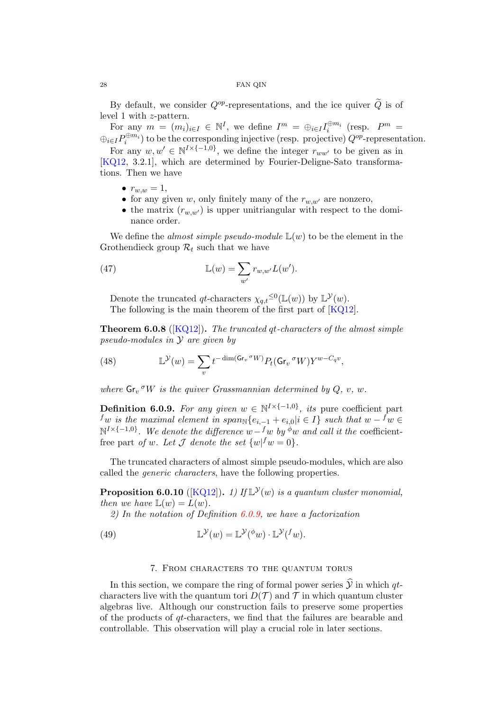By default, we consider  $Q^{op}$ -representations, and the ice quiver  $\widetilde{Q}$  is of level 1 with z-pattern.

For any  $m = (m_i)_{i \in I} \in \mathbb{N}^I$ , we define  $I^m = \bigoplus_{i \in I} I_i^{\oplus m_i}$  (resp.  $P^m =$  $\oplus_{i\in I}P_i^{\oplus m_i})$  to be the corresponding injective (resp. projective)  $Q^{op}$ -representation. For any  $w, w' \in \mathbb{N}^{I \times \{-1,0\}}$ , we define the integer  $r_{ww'}$  to be given as in [\[KQ12,](#page-43-14) 3.2.1], which are determined by Fourier-Deligne-Sato transformations. Then we have

- $r_{w,w} = 1$ ,
- for any given w, only finitely many of the  $r_{w,w'}$  are nonzero,
- the matrix  $(r_{w,w'})$  is upper unitriangular with respect to the dominance order.

We define the *almost simple pseudo-module*  $\mathbb{L}(w)$  to be the element in the Grothendieck group  $\mathcal{R}_t$  such that we have

(47) 
$$
\mathbb{L}(w) = \sum_{w'} r_{w,w'} L(w').
$$

Denote the truncated qt-characters  $\chi_{q,t} \leq^0 (\mathbb{L}(w))$  by  $\mathbb{L}^{\mathcal{Y}}(w)$ . The following is the main theorem of the first part of [\[KQ12\]](#page-43-14).

**Theorem 6.0.8** ( $[KQ12]$ ). The truncated at-characters of the almost simple pseudo-modules in Y are given by

(48) 
$$
\mathbb{L}^{\mathcal{Y}}(w) = \sum_{v} t^{-\dim(\mathsf{Gr}_v \,^{\sigma} W)} P_t(\mathsf{Gr}_v \,^{\sigma} W) Y^{w - C_q v},
$$

where  $\mathsf{Gr}_v \,^{\sigma} W$  is the quiver Grassmannian determined by  $Q, v, w$ .

<span id="page-27-1"></span>**Definition 6.0.9.** For any given  $w \in \mathbb{N}^{I \times \{-1,0\}}$ , its pure coefficient part  $f_w$  is the maximal element in span<sub>N</sub>{ $e_{i,-1} + e_{i,0}$ |i ∈ I} such that  $w - f_w \in$  $\mathbb{N}^{I \times \{-1,0\}}$ . We denote the difference  $w-fw$  by  $\phi w$  and call it the coefficientfree part of w. Let  $\mathcal J$  denote the set  $\{w | f w = 0\}.$ 

The truncated characters of almost simple pseudo-modules, which are also called the generic characters, have the following properties.

**Proposition 6.0.10** ([\[KQ12\]](#page-43-14)). 1) If  $\mathbb{L}^{\mathcal{Y}}(w)$  is a quantum cluster monomial, then we have  $\mathbb{L}(w) = L(w)$ .

2) In the notation of Definition  $6.0.9$ , we have a factorization

<span id="page-27-2"></span>(49) 
$$
\mathbb{L}^{\mathcal{Y}}(w) = \mathbb{L}^{\mathcal{Y}}(\phi w) \cdot \mathbb{L}^{\mathcal{Y}}(f w).
$$

## 7. From characters to the quantum torus

<span id="page-27-0"></span>In this section, we compare the ring of formal power series  $\hat{y}$  in which qtcharacters live with the quantum tori  $D(\mathcal{T})$  and  $\mathcal T$  in which quantum cluster algebras live. Although our construction fails to preserve some properties of the products of qt-characters, we find that the failures are bearable and controllable. This observation will play a crucial role in later sections.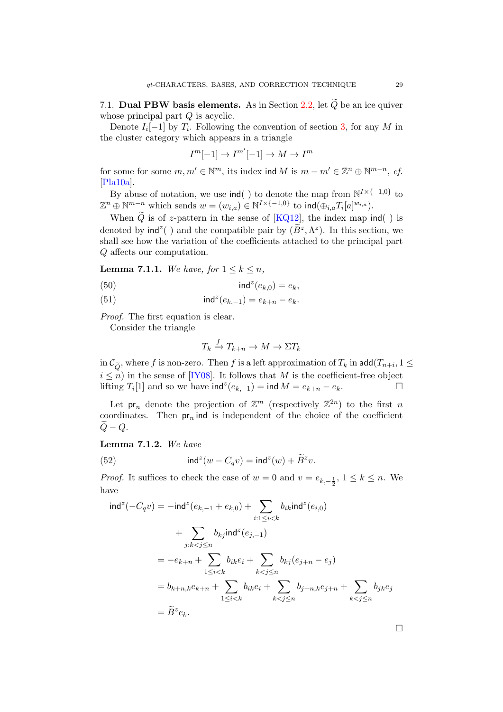<span id="page-28-0"></span>7.1. Dual PBW basis elements. As in Section [2.2,](#page-5-0) let  $\widetilde{Q}$  be an ice quiver whose principal part  $Q$  is acyclic.

Denote  $I_i[-1]$  by  $T_i$ . Following the convention of section [3,](#page-6-0) for any M in the cluster category which appears in a triangle

$$
I^m[-1] \to I^{m'}[-1] \to M \to I^m
$$

for some for some  $m, m' \in \mathbb{N}^m$ , its index ind M is  $m - m' \in \mathbb{Z}^n \oplus \mathbb{N}^{m-n}$ , cf. [\[Pla10a\]](#page-44-8).

By abuse of notation, we use  $\text{ind}(\cdot)$  to denote the map from  $\mathbb{N}^{I \times \{-1,0\}}$  to  $\mathbb{Z}^n \oplus \mathbb{N}^{m-n}$  which sends  $w = (w_{i,a}) \in \mathbb{N}^{I \times \{-1,0\}}$  to  $\textsf{ind}(\bigoplus_{i,a} T_i[a]^{w_{i,a}})$ .

When  $\widetilde{Q}$  is of z-pattern in the sense of [\[KQ12\]](#page-43-14), the index map  $\mathsf{ind}(\ )$  is denoted by  $\text{ind}^z$  ) and the compatible pair by  $(\widetilde{B}^z, \Lambda^z)$ . In this section, we shall see how the variation of the coefficients attached to the principal part Q affects our computation.

<span id="page-28-2"></span>**Lemma 7.1.1.** We have, for  $1 \leq k \leq n$ ,

ind<sup>z</sup> (50) (ek,0) = ek,

(51) 
$$
\text{ind}^z(e_{k,-1}) = e_{k+n} - e_k.
$$

Proof. The first equation is clear.

Consider the triangle

$$
T_k \xrightarrow{f} T_{k+n} \to M \to \Sigma T_k
$$

in  $\mathcal{C}_{\widetilde{Q}}$ , where f is non-zero. Then f is a left approximation of  $T_k$  in add $(T_{n+i}, 1 \leq$  $i \leq n$ ) in the sense of [\[IY08\]](#page-43-21). It follows that M is the coefficient-free object lifting  $T_i[1]$  and so we have ind<sup>z</sup> $(e_{k-1})$  = ind  $M = e_{k+n} - e_k$ .  $\Box$ 

Let  $pr_n$  denote the projection of  $\mathbb{Z}^m$  (respectively  $\mathbb{Z}^{2n}$ ) to the first n coordinates. Then  $pr_n$  ind is independent of the choice of the coefficient  $Q - Q$ .

<span id="page-28-1"></span>Lemma 7.1.2. We have

(52) 
$$
\operatorname{ind}^{z}(w - C_{q}v) = \operatorname{ind}^{z}(w) + \widetilde{B}^{z}v.
$$

*Proof.* It suffices to check the case of  $w = 0$  and  $v = e_{k, -\frac{1}{2}}$ ,  $1 \le k \le n$ . We have

$$
\text{ind}^{z}(-C_{q}v) = -\text{ind}^{z}(e_{k,-1} + e_{k,0}) + \sum_{i:1 \leq i < k} b_{ik}\text{ind}^{z}(e_{i,0})
$$
\n
$$
+ \sum_{j:k < j \leq n} b_{kj}\text{ind}^{z}(e_{j,-1})
$$
\n
$$
= -e_{k+n} + \sum_{1 \leq i < k} b_{ik}e_{i} + \sum_{k < j \leq n} b_{kj}(e_{j+n} - e_{j})
$$
\n
$$
= b_{k+n,k}e_{k+n} + \sum_{1 \leq i < k} b_{ik}e_{i} + \sum_{k < j \leq n} b_{j+n,k}e_{j+n} + \sum_{k < j \leq n} b_{jk}e_{j}
$$
\n
$$
= \widetilde{B}^{z}e_{k}.
$$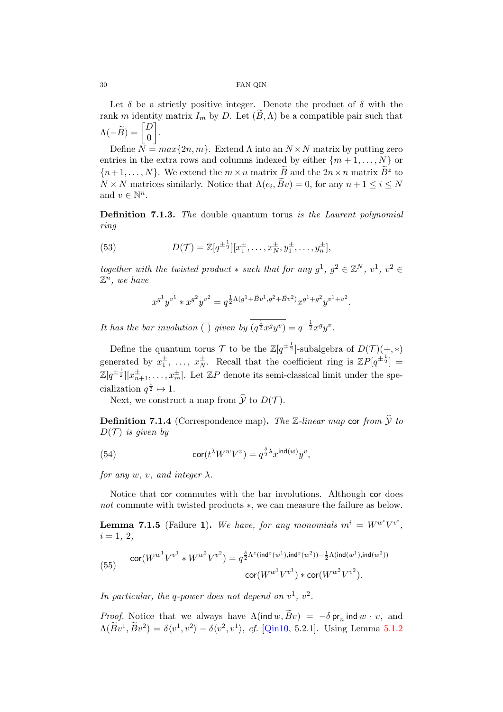Let  $\delta$  be a strictly positive integer. Denote the product of  $\delta$  with the rank m identity matrix  $I_m$  by D. Let  $(B, \Lambda)$  be a compatible pair such that  $\Lambda(-\widetilde{B}) = \begin{bmatrix} D \ 0 \end{bmatrix}$  $\overline{0}$ .

Define  $\overline{N} = max\{2n, m\}$ . Extend  $\Lambda$  into an  $N \times N$  matrix by putting zero entries in the extra rows and columns indexed by either  $\{m+1,\ldots,N\}$  or  $\{n+1,\ldots,N\}$ . We extend the  $m \times n$  matrix  $\widetilde{B}$  and the  $2n \times n$  matrix  $\widetilde{B}^z$  to  $N \times N$  matrices similarly. Notice that  $\Lambda(e_i, Bv) = 0$ , for any  $n + 1 \le i \le N$ and  $v \in \mathbb{N}^n$ .

**Definition 7.1.3.** The double quantum torus is the Laurent polynomial ring

<span id="page-29-1"></span>(53) 
$$
D(\mathcal{T}) = \mathbb{Z}[q^{\pm \frac{1}{2}}][x_1^{\pm}, \dots, x_N^{\pm}, y_1^{\pm}, \dots, y_n^{\pm}],
$$

together with the twisted product  $*$  such that for any  $g^1, g^2 \in \mathbb{Z}^N$ ,  $v^1, v^2 \in$  $\mathbb{Z}^n$ , we have

$$
x^{g^1}y^{v^1} * x^{g^2}y^{v^2} = q^{\frac{1}{2}\Lambda(g^1 + \widetilde{B}v^1, g^2 + \widetilde{B}v^2)} x^{g^1 + g^2}y^{v^1 + v^2}.
$$

It has the bar involution  $\overline{()}$  given by  $(q^{\frac{1}{2}}x^gy^v) = q^{-\frac{1}{2}}x^gy^v$ .

Define the quantum torus  $\mathcal T$  to be the  $\mathbb Z[q^{\pm \frac{1}{2}}]$ -subalgebra of  $D(\mathcal T)(+,*)$ generated by  $x_1^{\pm}, \ldots, x_N^{\pm}$  $\frac{1}{N}$ . Recall that the coefficient ring is  $\mathbb{Z}P[q^{\pm \frac{1}{2}}] =$  $\mathbb{Z}[q^{\pm \frac{1}{2}}][x_{n+1}^{\pm}, \ldots, x_{m}^{\pm}].$  Let  $\mathbb{Z}P$  denote its semi-classical limit under the specialization  $q^{\frac{1}{2}} \mapsto 1$ .

Next, we construct a map from  $\widehat{\mathcal{V}}$  to  $D(\mathcal{T})$ .

**Definition 7.1.4** (Correspondence map). The Z-linear map cor from  $\hat{y}$  to  $D(\mathcal{T})$  is given by

(54) 
$$
\operatorname{cor}(t^{\lambda}W^wV^v) = q^{\frac{\delta}{2}\lambda}x^{\operatorname{ind}(w)}y^v,
$$

for any w, v, and integer  $\lambda$ .

Notice that cor commutes with the bar involutions. Although cor does not commute with twisted products ∗, we can measure the failure as below.

**Lemma 7.1.5** (Failure 1). We have, for any monomials  $m^i = W^{w^i}V^{v^i}$ ,  $i = 1, 2,$ 

<span id="page-29-0"></span>(55) 
$$
\operatorname{cor}(W^{w^1}V^{v^1} * W^{w^2}V^{v^2}) = q^{\frac{\delta}{2}\Lambda^z(\operatorname{ind}^z(w^1), \operatorname{ind}^z(w^2)) - \frac{1}{2}\Lambda(\operatorname{ind}(w^1), \operatorname{ind}(w^2))}{\operatorname{cor}(W^{w^1}V^{v^1}) * \operatorname{cor}(W^{w^2}V^{v^2})}.
$$

In particular, the q-power does not depend on  $v^1$ ,  $v^2$ .

*Proof.* Notice that we always have  $\Lambda(\text{ind } w, Bv) = -\delta \text{ pr}_n \text{ ind } w \cdot v$ , and  $\Lambda(\widetilde{B}v^1, \widetilde{B}v^2) = \delta\langle v^1, v^2 \rangle - \delta\langle v^2, v^1 \rangle$ , cf. [\[Qin10,](#page-44-1) 5.2.1]. Using Lemma [5.1.2](#page-20-0)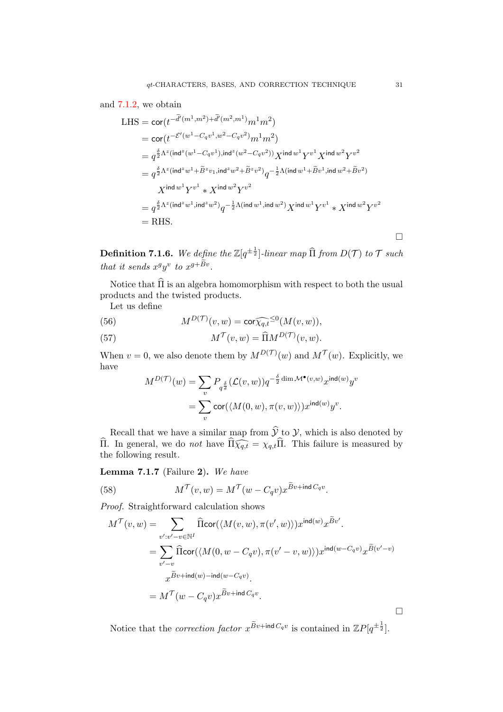## and [7.1.2,](#page-28-1) we obtain

LHS = 
$$
\text{cor}(t^{-\tilde{d}'(m^1, m^2) + \tilde{d}'(m^2, m^1)} m^1 m^2)
$$
  
\n=  $\text{cor}(t^{-\mathcal{E}'(w^1 - C_q v^1, w^2 - C_q v^2)} m^1 m^2)$   
\n=  $q^{\frac{\delta}{2} \Lambda^z (\text{ind}^z (w^1 - C_q v^1), \text{ind}^z (w^2 - C_q v^2))} X^{\text{ind} w^1 Y^{v^1} X^{\text{ind} w^2} Y^{v^2}$   
\n=  $q^{\frac{\delta}{2} \Lambda^z (\text{ind}^z w^1 + \tilde{B}^z v_1, \text{ind}^z w^2 + \tilde{B}^z v^2)} q^{-\frac{1}{2} \Lambda (\text{ind} w^1 + \tilde{B} v^1, \text{ind} w^2 + \tilde{B} v^2)}$   
\n $X^{\text{ind} w^1 Y^{v^1} * X^{\text{ind} w^2} Y^{v^2}$   
\n=  $q^{\frac{\delta}{2} \Lambda^z (\text{ind}^z w^1, \text{ind}^z w^2)} q^{-\frac{1}{2} \Lambda (\text{ind} w^1, \text{ind} w^2)} X^{\text{ind} w^1 Y^{v^1} * X^{\text{ind} w^2} Y^{v^2}$   
\n= RHS.

**Definition 7.1.6.** We define the  $\mathbb{Z}[q^{\pm \frac{1}{2}}]$ -linear map  $\widehat{\Pi}$  from  $D(\mathcal{T})$  to  $\mathcal{T}$  such that it sends  $x^gy^v$  to  $x^{g+Bv}$ .

Notice that  $\widehat{\Pi}$  is an algebra homomorphism with respect to both the usual products and the twisted products.

Let us define

(56) 
$$
M^{D(\mathcal{T})}(v,w) = \text{cor} \widehat{\chi_{q,t}}^{\leq 0}(M(v,w)),
$$

(57) 
$$
M^{\mathcal{T}}(v,w) = \widehat{\Pi} M^{D(\mathcal{T})}(v,w).
$$

When  $v = 0$ , we also denote them by  $M^{D(\mathcal{T})}(w)$  and  $M^{\mathcal{T}}(w)$ . Explicitly, we have

$$
M^{D(\mathcal{T})}(w) = \sum_{v} P_{q^{\frac{\delta}{2}}}(\mathcal{L}(v, w)) q^{-\frac{\delta}{2} \dim \mathcal{M}^{\bullet}(v, w)} x^{\text{ind}(w)} y^{v}
$$
  
= 
$$
\sum_{v} \text{cor}(\langle M(0, w), \pi(v, w) \rangle) x^{\text{ind}(w)} y^{v}.
$$

Recall that we have a similar map from  $\mathcal{Y}$  to  $\mathcal{Y}$ , which is also denoted by Π. In general, we do *not* have  $\Pi \widehat{\chi_{q,t}} = \chi_{q,t} \Pi$ . This failure is measured by the following result the following result.

Lemma 7.1.7 (Failure 2). We have

<span id="page-30-0"></span>(58) 
$$
M^{\mathcal{T}}(v,w) = M^{\mathcal{T}}(w - C_q v) x^{Bv + \text{ind } C_q v}.
$$

Proof. Straightforward calculation shows

$$
M^{\mathcal{T}}(v, w) = \sum_{v': v' - v \in \mathbb{N}^I} \widehat{\text{flcor}}(\langle M(v, w), \pi(v', w) \rangle) x^{\text{ind}(w)} x^{\widetilde{B}v'}.
$$
  
\n
$$
= \sum_{v' - v} \widehat{\text{flcor}}(\langle M(0, w - C_q v), \pi(v' - v, w) \rangle) x^{\text{ind}(w - C_q v)} x^{\widetilde{B}(v' - v)}
$$
  
\n
$$
x^{\widetilde{B}v + \text{ind}(w) - \text{ind}(w - C_q v)}.
$$
  
\n
$$
= M^{\mathcal{T}}(w - C_q v) x^{\widetilde{B}v + \text{ind } C_q v}.
$$

Notice that the *correction factor*  $x^{\widetilde{B}v + \text{ind }C_qv}$  is contained in  $\mathbb{Z}P[q^{\pm \frac{1}{2}}]$ .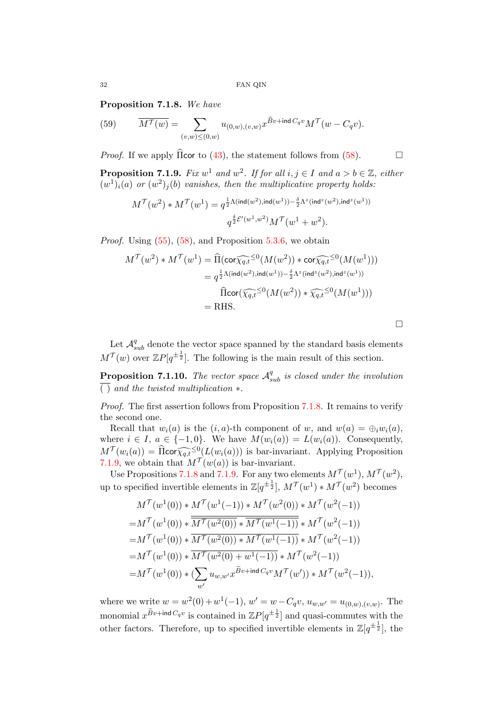<span id="page-31-0"></span>Proposition 7.1.8. We have

(59) 
$$
\overline{M^{\mathcal{T}}(w)} = \sum_{(v,w)\leq(0,w)} u_{(0,w),(v,w)} x^{\widetilde{B}v + \text{ind }C_q v} M^{\mathcal{T}}(w - C_q v).
$$

*Proof.* If we apply  $\widehat{\Pi}$  cor to [\(43\)](#page-25-1), the statement follows from [\(58\)](#page-30-0).

<span id="page-31-1"></span>**Proposition 7.1.9.** Fix  $w^1$  and  $w^2$ . If for all  $i, j \in I$  and  $a > b \in \mathbb{Z}$ , either  $(w^{1})_{i}(a)$  or  $(w^{2})_{j}(b)$  vanishes, then the multiplicative property holds:

$$
\begin{aligned} M^{\mathcal{T}}(w^2)*M^{\mathcal{T}}(w^1) = q^{\frac{1}{2}\Lambda(\mathrm{ind}(w^2),\mathrm{ind}(w^1)) - \frac{\delta}{2}\Lambda^z(\mathrm{ind}^z(w^2),\mathrm{ind}^z(w^1))}\\ q^{\frac{\delta}{2}\mathcal{E}'(w^1,w^2)}M^{\mathcal{T}}(w^1+w^2). \end{aligned}
$$

*Proof.* Using  $(55)$ ,  $(58)$ , and Proposition  $5.3.6$ , we obtain

$$
M^{\mathcal{T}}(w^2) * M^{\mathcal{T}}(w^1) = \widehat{\Pi}(\operatorname{cor} \widehat{\chi_{q,t}}^{\leq 0}(M(w^2)) * \operatorname{cor} \widehat{\chi_{q,t}}^{\leq 0}(M(w^1)))
$$
  
\n
$$
= q^{\frac{1}{2}\Lambda(\operatorname{ind}(w^2), \operatorname{ind}(w^1)) - \frac{\delta}{2}\Lambda^z(\operatorname{ind}^z(w^2), \operatorname{ind}^z(w^1))}
$$
  
\n
$$
\widehat{\Pi} \operatorname{cor}(\widehat{\chi_{q,t}}^{\leq 0}(M(w^2)) * \widehat{\chi_{q,t}}^{\leq 0}(M(w^1)))
$$
  
\n
$$
= \operatorname{RHS}.
$$

 $\Box$ 

Let  $\mathcal{A}^q_{sub}$  denote the vector space spanned by the standard basis elements  $M^{\mathcal{T}}(w)$  over  $\mathbb{Z}P[q^{\pm \frac{1}{2}}]$ . The following is the main result of this section.

<span id="page-31-2"></span>**Proposition 7.1.10.** The vector space  $A_{sub}^q$  is closed under the involution ( ) and the twisted multiplication ∗.

Proof. The first assertion follows from Proposition [7.1.8.](#page-31-0) It remains to verify the second one.

Recall that  $w_i(a)$  is the  $(i, a)$ -th component of w, and  $w(a) = \bigoplus_i w_i(a)$ , where  $i \in I$ ,  $a \in \{-1,0\}$ . We have  $M(w_i(a)) = L(w_i(a))$ . Consequently,  $M^{\mathcal{T}}(w_i(a)) = \widehat{\Pi} \text{cor} \widehat{\chi_q}_i \widehat{\epsilon}^{\leq 0}(L(w_i(a)))$  is bar-invariant. Applying Proposition  $Z_{1,0}$  we obtain that  $M^{\mathcal{T}}(w(a))$  is bar-invariant. [7.1.9,](#page-31-1) we obtain that  $M^{\mathcal{T}}(w(a))$  is bar-invariant.

Use Propositions [7.1.8](#page-31-0) and [7.1.9.](#page-31-1) For any two elements  $M^{\mathcal{T}}(w^1), M^{\mathcal{T}}(w^2),$ up to specified invertible elements in  $\mathbb{Z}[q^{\pm \frac{1}{2}}], M^{\mathcal{T}}(w^1) * M^{\mathcal{T}}(w^2)$  becomes

$$
M^{\mathcal{T}}(w^{1}(0)) * M^{\mathcal{T}}(w^{1}(-1)) * M^{\mathcal{T}}(w^{2}(0)) * M^{\mathcal{T}}(w^{2}(-1))
$$
  
=  $M^{\mathcal{T}}(w^{1}(0)) * \overline{M^{\mathcal{T}}(w^{2}(0))} * \overline{M^{\mathcal{T}}(w^{1}(-1))} * M^{\mathcal{T}}(w^{2}(-1))$   
=  $M^{\mathcal{T}}(w^{1}(0)) * \overline{M^{\mathcal{T}}(w^{2}(0))} * \overline{M^{\mathcal{T}}(w^{1}(-1))} * M^{\mathcal{T}}(w^{2}(-1))$   
=  $M^{\mathcal{T}}(w^{1}(0)) * \overline{M^{\mathcal{T}}(w^{2}(0) + w^{1}(-1))} * M^{\mathcal{T}}(w^{2}(-1))$   
=  $M^{\mathcal{T}}(w^{1}(0)) * (\sum_{w'} u_{w,w'} x^{\widetilde{B}v + \text{ind } C_q v} M^{\mathcal{T}}(w')) * M^{\mathcal{T}}(w^{2}(-1)),$ 

where we write  $w = w^2(0) + w^1(-1)$ ,  $w' = w - C_q v$ ,  $u_{w,w'} = u_{(0,w),(v,w)}$ . The monomial  $x^{\widetilde{B}v + \text{ind }C_qv}$  is contained in  $\mathbb{Z}P[q^{\pm \frac{1}{2}}]$  and quasi-commutes with the other factors. Therefore, up to specified invertible elements in  $\mathbb{Z}[q^{\pm \frac{1}{2}}]$ , the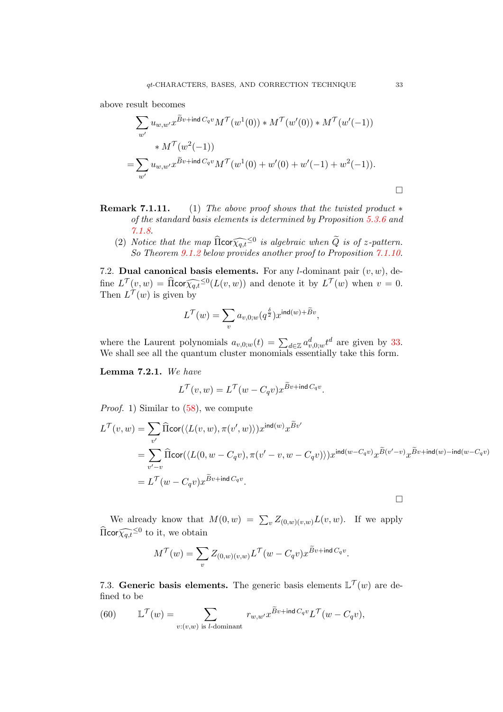above result becomes

$$
\sum_{w'} u_{w,w'} x^{\widetilde{B}v + \text{ind } C_q v} M^{\mathcal{T}}(w^1(0)) * M^{\mathcal{T}}(w'(0)) * M^{\mathcal{T}}(w'(-1))
$$
  
 
$$
* M^{\mathcal{T}}(w^2(-1))
$$
  
= 
$$
\sum_{w'} u_{w,w'} x^{\widetilde{B}v + \text{ind } C_q v} M^{\mathcal{T}}(w^1(0) + w'(0) + w'(-1) + w^2(-1)).
$$

- Remark 7.1.11. (1) The above proof shows that the twisted product  $*$ of the standard basis elements is determined by Proposition [5.3.6](#page-25-0) and [7.1.8.](#page-31-0)
	- (2) Notice that the map  $\widehat{\text{Roor}}_{q,t}^{\infty}$  is algebraic when  $\widetilde{Q}$  is of z-pattern.<br>So Theorem 0.1.2 below provides another proof to Proposition 7.1.10 So Theorem [9.1.2](#page-39-0) below provides another proof to Proposition [7.1.10.](#page-31-2)

<span id="page-32-0"></span>7.2. Dual canonical basis elements. For any *l*-dominant pair  $(v, w)$ , define  $L^{\mathcal{T}}(v, w) = \widehat{\text{fl}} \text{cor} \widehat{\chi_{q,t}}^{\leq 0}(L(v, w))$  and denote it by  $L^{\mathcal{T}}(w)$  when  $v = 0$ .<br>Then  $L^{\mathcal{T}}(w)$  is given by Then  $L^{\mathcal{T}}(w)$  is given by

$$
L^{\mathcal{T}}(w) = \sum_{v} a_{v,0;w}(q^{\frac{\delta}{2}}) x^{\mathrm{ind}(w) + \widetilde{B}v},
$$

where the Laurent polynomials  $a_{v,0;w}(t) = \sum_{d \in \mathbb{Z}} a_{v,0;w}^d t^d$  are given by [33.](#page-21-2) We shall see all the quantum cluster monomials essentially take this form.

Lemma 7.2.1. We have

$$
L^{\mathcal{T}}(v,w) = L^{\mathcal{T}}(w - C_q v) x^{\widetilde{B}v + \text{ind }C_q v}.
$$

*Proof.* 1) Similar to  $(58)$ , we compute

$$
L^{\mathcal{T}}(v, w) = \sum_{v'} \widehat{\Pi} \text{cor}(\langle L(v, w), \pi(v', w) \rangle) x^{\text{ind}(w)} x^{\widetilde{B}v'}
$$
  
= 
$$
\sum_{v' - v} \widehat{\Pi} \text{cor}(\langle L(0, w - C_q v), \pi(v' - v, w - C_q v) \rangle) x^{\text{ind}(w - C_q v)} x^{\widetilde{B}(v' - v)} x^{\widetilde{B}v + \text{ind}(w) - \text{ind}(w - C_q v)}
$$
  
= 
$$
L^{\mathcal{T}}(w - C_q v) x^{\widetilde{B}v + \text{ind } C_q v}.
$$

 $\Box$ 

We already know that  $M(0, w) = \sum_{v} Z_{(0,w)(v,w)} L(v, w)$ . If we apply  $\widehat{\Pi}$ cor $\widehat{\chi_{q,t}}^{\leq 0}$  to it, we obtain

$$
M^{\mathcal{T}}(w) = \sum_{v} Z_{(0,w)(v,w)} L^{\mathcal{T}}(w - C_q v) x^{\widetilde{B}v + \text{ind }C_q v}.
$$

<span id="page-32-1"></span>7.3. Generic basis elements. The generic basis elements  $\mathbb{L}^{\mathcal{T}}(w)$  are defined to be

<span id="page-32-2"></span>(60) 
$$
\mathbb{L}^{\mathcal{T}}(w) = \sum_{v:(v,w) \text{ is } l\text{-dominant}} r_{w,w'} x^{\widetilde{B}v+\text{ind }C_qv} L^{\mathcal{T}}(w - C_qv),
$$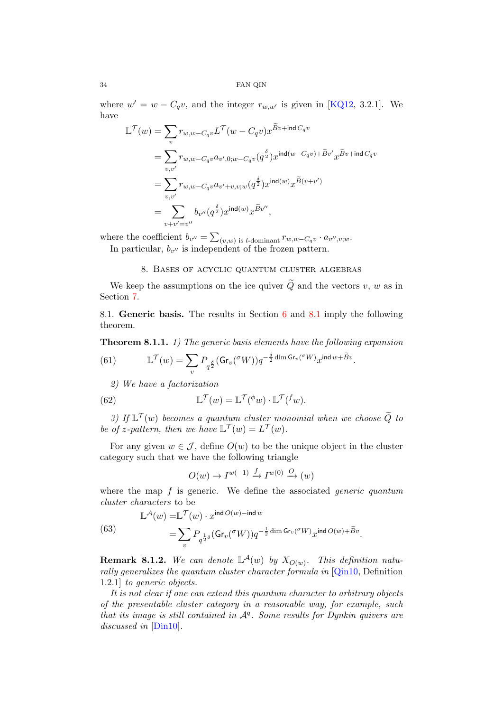where  $w' = w - C_q v$ , and the integer  $r_{w,w'}$  is given in [\[KQ12,](#page-43-14) 3.2.1]. We have

$$
\mathbb{L}^{\mathcal{T}}(w) = \sum_{v} r_{w,w-C_qv} \mathbb{L}^{\mathcal{T}}(w - C_q v) x^{\widetilde{B}v + \mathrm{ind}\,C_q v}
$$
\n
$$
= \sum_{v,v'} r_{w,w-C_qv} a_{v',0;w-C_qv} (q^{\frac{\delta}{2}}) x^{\mathrm{ind}(w-C_qv) + \widetilde{B}v'} x^{\widetilde{B}v + \mathrm{ind}\,C_q v}
$$
\n
$$
= \sum_{v,v'} r_{w,w-C_qv} a_{v'+v,v;w} (q^{\frac{\delta}{2}}) x^{\mathrm{ind}(w)} x^{\widetilde{B}(v+v')}
$$
\n
$$
= \sum_{v+v'=v''} b_{v''} (q^{\frac{\delta}{2}}) x^{\mathrm{ind}(w)} x^{\widetilde{B}v''},
$$

where the coefficient  $b_{v''} = \sum_{(v,w)}$  is l-dominant  $r_{w,w-C_qv} \cdot a_{v'',v,w}$ . In particular,  $b_{v''}$  is independent of the frozen pattern.

8. Bases of acyclic quantum cluster algebras

<span id="page-33-0"></span>We keep the assumptions on the ice quiver  $\widetilde{Q}$  and the vectors v, w as in Section [7.](#page-27-0)

<span id="page-33-1"></span>8.1. Generic basis. The results in Section [6](#page-26-0) and [8.1](#page-33-1) imply the following theorem.

Theorem 8.1.1. 1) The generic basis elements have the following expansion

(61) 
$$
\mathbb{L}^{\mathcal{T}}(w) = \sum_{v} P_{q^{\frac{\delta}{2}}}(\text{Gr}_{v}({^{\sigma}W})) q^{-\frac{\delta}{2} \dim \text{Gr}_{v}({^{\sigma}W})} x^{\text{ind }w + \widetilde{B}v}.
$$

2) We have a factorization

<span id="page-33-2"></span>(62) 
$$
\mathbb{L}^{\mathcal{T}}(w) = \mathbb{L}^{\mathcal{T}}(\phi w) \cdot \mathbb{L}^{\mathcal{T}}(f w).
$$

3) If  $\mathbb{L}^{\mathcal{T}}(w)$  becomes a quantum cluster monomial when we choose  $\widetilde{Q}$  to be of z-pattern, then we have  $\mathbb{L}^{\mathcal{T}}(w) = L^{\mathcal{T}}(w)$ .

For any given  $w \in \mathcal{J}$ , define  $O(w)$  to be the unique object in the cluster category such that we have the following triangle

$$
O(w) \to I^{w(-1)} \xrightarrow{f} I^{w(0)} \xrightarrow{O} (w)
$$

where the map  $f$  is generic. We define the associated *generic quantum* cluster characters to be

.

(63) 
$$
\mathbb{L}^{\mathcal{A}}(w) = \mathbb{L}^{\mathcal{T}}(w) \cdot x^{\text{ind }O(w) - \text{ind }w} = \sum_{v} P_{q^{\frac{1}{2}\delta}}(\text{Gr}_{v}(\sigma W)) q^{-\frac{1}{2}\dim \text{Gr}_{v}(\sigma W)} x^{\text{ind }O(w) + \widetilde{B}v}
$$

**Remark 8.1.2.** We can denote  $\mathbb{L}^{\mathcal{A}}(w)$  by  $X_{O(w)}$ . This definition natu-rally generalizes the quantum cluster character formula in [\[Qin10,](#page-44-1) Definition 1.2.1] to generic objects.

It is not clear if one can extend this quantum character to arbitrary objects of the presentable cluster category in a reasonable way, for example, such that its image is still contained in  $A<sup>q</sup>$ . Some results for Dynkin quivers are discussed in [\[Din10\]](#page-42-8).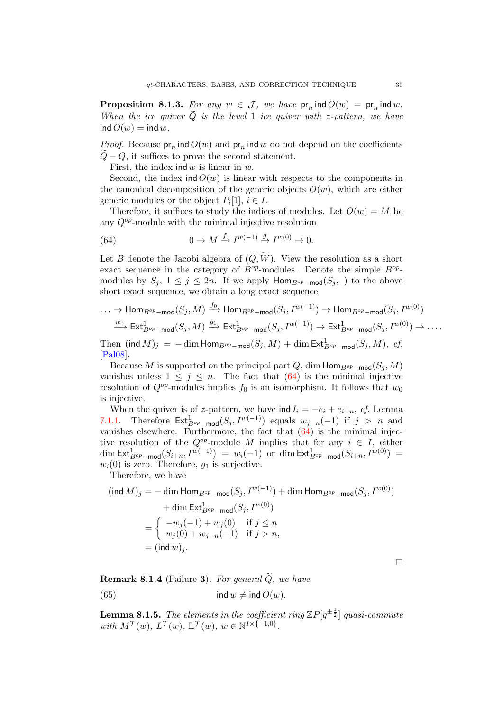<span id="page-34-1"></span>**Proposition 8.1.3.** For any  $w \in \mathcal{J}$ , we have  $pr_n$  ind  $O(w) = pr_n$  ind w. When the ice quiver  $\tilde{Q}$  is the level 1 ice quiver with z-pattern, we have ind  $O(w) = \text{ind } w$ .

*Proof.* Because  $pr_n$  ind  $O(w)$  and  $pr_n$  ind w do not depend on the coefficients  $Q - Q$ , it suffices to prove the second statement.

First, the index ind  $w$  is linear in  $w$ .

Second, the index ind  $O(w)$  is linear with respects to the components in the canonical decomposition of the generic objects  $O(w)$ , which are either generic modules or the object  $P_i[1], i \in I$ .

Therefore, it suffices to study the indices of modules. Let  $O(w) = M$  be any  $Q^{op}$ -module with the minimal injective resolution

<span id="page-34-0"></span>(64) 
$$
0 \to M \xrightarrow{f} I^{w(-1)} \xrightarrow{g} I^{w(0)} \to 0.
$$

Let B denote the Jacobi algebra of  $(\widetilde{Q}, \widetilde{W})$ . View the resolution as a short exact sequence in the category of  $B^{op}$ -modules. Denote the simple  $B^{op}$ modules by  $S_j$ ,  $1 \leq j \leq 2n$ . If we apply  $\text{Hom}_{B^{op}-\text{mod}}(S_j)$  to the above short exact sequence, we obtain a long exact sequence

$$
\cdots \to \text{Hom}_{B^{op}-\text{mod}}(S_j, M) \xrightarrow{f_0} \text{Hom}_{B^{op}-\text{mod}}(S_j, I^{w(-1)}) \to \text{Hom}_{B^{op}-\text{mod}}(S_j, I^{w(0)})
$$
  
\n
$$
\xrightarrow{w_0} \text{Ext}_{B^{op}-\text{mod}}^1(S_j, M) \xrightarrow{g_1} \text{Ext}_{B^{op}-\text{mod}}^1(S_j, I^{w(-1)}) \to \text{Ext}_{B^{op}-\text{mod}}^1(S_j, I^{w(0)}) \to \dots
$$
  
\nThen (ind  $M$ )<sub>i</sub> = -dim Hom\_{B^{op}-\text{mod}}(S\_i, M) + dim Ext\_{B^{op}-\text{mod}}^1(S\_i, M). cf.

Then  $(\operatorname{\mathsf{ind}} M)_j \,=\, -\dim \operatorname{\mathsf{Hom}}_{B^{op}-\mathsf{mod}}(S_j,M) + \dim \operatorname{\mathsf{Ext}}_{B^{op}-\mathsf{mod}}^1(S_j,M),\,\,cf.$ [\[Pal08\]](#page-44-9).

Because M is supported on the principal part Q, dim  $\textsf{Hom}_{B^{op}-\textsf{mod}}(S_i, M)$ vanishes unless  $1 \leq j \leq n$ . The fact that [\(64\)](#page-34-0) is the minimal injective resolution of  $Q^{op}$ -modules implies  $f_0$  is an isomorphism. It follows that  $w_0$ is injective.

When the quiver is of z-pattern, we have  $\text{ind } I_i = -e_i + e_{i+n}$ , cf. Lemma [7.1.1.](#page-28-2) Therefore  $\mathsf{Ext}^1_{B^{op}-\mathsf{mod}}(S_j, I^{w(-1)})$  equals  $w_{j-n}(-1)$  if  $j > n$  and vanishes elsewhere. Furthermore, the fact that  $(64)$  is the minimal injective resolution of the  $Q^{op}$ -module M implies that for any  $i \in I$ , either  $\dim \text{\sf Ext}^1_{B^{op}-\textsf{mod}}(S_{i+n},I^{w(-1)}) \;=\; w_i(-1) \;\; \text{or} \;\; \dim \text{\sf Ext}^1_{B^{op}-\textsf{mod}}(S_{i+n},I^{w(0)}) \;=\;$  $w_i(0)$  is zero. Therefore,  $g_1$  is surjective.

Therefore, we have

$$
(\text{ind } M)_j = -\dim \text{Hom}_{B^{op} - \text{mod}}(S_j, I^{w(-1)}) + \dim \text{Hom}_{B^{op} - \text{mod}}(S_j, I^{w(0)})
$$
  
+ 
$$
\dim \text{Ext}_{B^{op} - \text{mod}}^1(S_j, I^{w(0)})
$$
  
= 
$$
\begin{cases} -w_j(-1) + w_j(0) & \text{if } j \le n \\ w_j(0) + w_{j-n}(-1) & \text{if } j > n, \end{cases}
$$
  
= 
$$
(\text{ind } w)_j.
$$

<span id="page-34-2"></span>**Remark 8.1.4** (Failure 3). For general  $\widetilde{Q}$ , we have (65) ind  $w \neq \text{ind } O(w)$ .

**Lemma 8.1.5.** The elements in the coefficient ring  $\mathbb{Z}P[q^{\pm \frac{1}{2}}]$  quasi-commute with  $M^{\mathcal{T}}(w)$ ,  $L^{\mathcal{T}}(w)$ ,  $\mathbb{L}^{\mathcal{T}}(w)$ ,  $w \in \mathbb{N}^{I \times \{-1,0\}}$ .

 $\Box$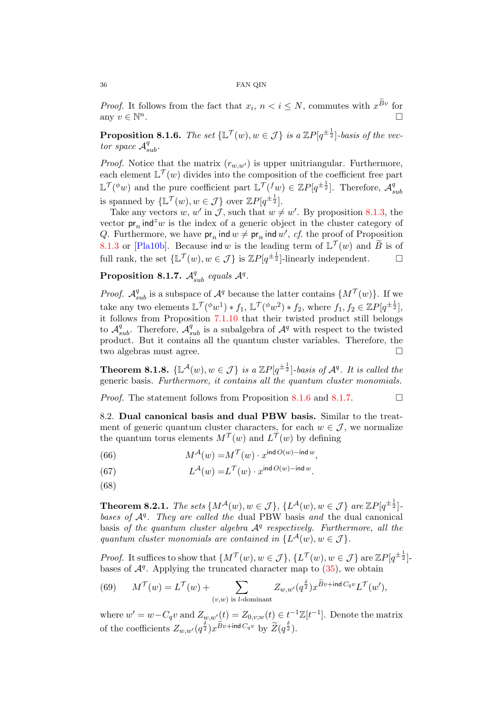*Proof.* It follows from the fact that  $x_i$ ,  $n < i \leq N$ , commutes with  $x^{Bv}$  for any  $v \in \mathbb{N}^n$ .

<span id="page-35-3"></span>**Proposition 8.1.6.** The set  $\{\mathbb{L}^{\mathcal{T}}(w), w \in \mathcal{J}\}\$ is a  $\mathbb{Z}P[q^{\pm \frac{1}{2}}]$ -basis of the vector space  $\mathcal{A}_{sub}^q$ .

*Proof.* Notice that the matrix  $(r_{w,w})$  is upper unitriangular. Furthermore, each element  $\mathbb{L}^{\mathcal{T}}(w)$  divides into the composition of the coefficient free part  $\mathbb{L}^{\mathcal{T}}({}^{\phi}w)$  and the pure coefficient part  $\mathbb{L}^{\mathcal{T}}({}^f w) \in \mathbb{Z}P[q^{\pm \frac{1}{2}}]$ . Therefore,  $\mathcal{A}_{s}^q$ sub is spanned by  $\{\mathbb{L}^{\mathcal{T}}(w), w \in \mathcal{J}\}\$ over  $\mathbb{Z}P[q^{\pm \frac{1}{2}}].$ 

Take any vectors w, w' in J, such that  $w \neq w'$ . By proposition [8.1.3,](#page-34-1) the vector  $pr_n$  ind<sup>z</sup>w is the index of a generic object in the cluster category of Q. Furthermore, we have  $pr_n$  ind  $w \neq pr_n$  ind  $w'$ , cf. the proof of Proposition [8.1.3](#page-34-1) or [\[Pla10b\]](#page-44-5). Because ind w is the leading term of  $\mathbb{L}^{\mathcal{T}}(w)$  and  $\widetilde{B}$  is of full rank, the set  $\{\mathbb{L}^{\mathcal{T}}(w), w \in \mathcal{J}\}\$ is  $\mathbb{Z}P[q^{\pm \frac{1}{2}}]$ -linearly independent.

<span id="page-35-4"></span>Proposition 8.1.7.  $\mathcal{A}^q_{sub}$  equals  $\mathcal{A}^q$ .

*Proof.*  $\mathcal{A}_{sub}^q$  is a subspace of  $\mathcal{A}^q$  because the latter contains  $\{M^{\mathcal{T}}(w)\}\$ . If we take any two elements  $\mathbb{L}^{\mathcal{T}}({}^{\phi}w^{1}) * f_{1}$ ,  $\mathbb{L}^{\mathcal{T}}({}^{\phi}w^{2}) * f_{2}$ , where  $f_{1}, f_{2} \in \mathbb{Z}P[q^{\pm \frac{1}{2}}]$ , it follows from Proposition [7.1.10](#page-31-2) that their twisted product still belongs to  $\mathcal{A}_{sub}^q$ . Therefore,  $\mathcal{A}_{sub}^q$  is a subalgebra of  $\mathcal{A}^q$  with respect to the twisted product. But it contains all the quantum cluster variables. Therefore, the two algebras must agree.

<span id="page-35-1"></span>**Theorem 8.1.8.**  $\{\mathbb{L}^{\mathcal{A}}(w), w \in \mathcal{J}\}\$ is a  $\mathbb{Z}P[q^{\pm \frac{1}{2}}]$ -basis of  $\mathcal{A}^q$ . It is called the generic basis. Furthermore, it contains all the quantum cluster monomials.

*Proof.* The statement follows from Proposition [8.1.6](#page-35-3) and [8.1.7.](#page-35-4)  $\Box$ 

<span id="page-35-0"></span>8.2. Dual canonical basis and dual PBW basis. Similar to the treatment of generic quantum cluster characters, for each  $w \in \mathcal{J}$ , we normalize the quantum torus elements  $M^{\mathcal{T}}(w)$  and  $L^{\mathcal{T}}(w)$  by defining

(66) 
$$
M^{\mathcal{A}}(w) = M^{\mathcal{T}}(w) \cdot x^{\text{ind }O(w) - \text{ind }w},
$$

(67) 
$$
L^{\mathcal{A}}(w) = L^{\mathcal{T}}(w) \cdot x^{\text{ind }O(w) - \text{ind }w}.
$$

(68)

<span id="page-35-2"></span>**Theorem 8.2.1.** The sets  $\{M^{A}(w), w \in \mathcal{J}\}, \{L^{A}(w), w \in \mathcal{J}\}\$ are  $\mathbb{Z}P[q^{\pm \frac{1}{2}}]$ . bases of  $A<sup>q</sup>$ . They are called the dual PBW basis and the dual canonical basis of the quantum cluster algebra  $A<sup>q</sup>$  respectively. Furthermore, all the quantum cluster monomials are contained in  $\{L^{\mathcal{A}}(w), w \in \mathcal{J}\}.$ 

*Proof.* It suffices to show that  $\{M^{\mathcal{T}}(w), w \in \mathcal{J}\}, \{L^{\mathcal{T}}(w), w \in \mathcal{J}\}\$ are  $\mathbb{Z}P[q^{\pm \frac{1}{2}}]$ bases of  $\mathcal{A}^q$ . Applying the truncated character map to  $(35)$ , we obtain

(69) 
$$
M^{\mathcal{T}}(w) = L^{\mathcal{T}}(w) + \sum_{(v,w) \text{ is } l\text{-dominant}} Z_{w,w'}(q^{\frac{\delta}{2}}) x^{\widetilde{B}v + \text{ind } C_q v} L^{\mathcal{T}}(w'),
$$

where  $w' = w - C_q v$  and  $Z_{w,w'}(t) = Z_{0,v;w}(t) \in t^{-1}\mathbb{Z}[t^{-1}]$ . Denote the matrix of the coefficients  $Z_{w,w'}(q^{\frac{\delta}{2}})x^{\widetilde{B}v+\text{ind }C_qv}$  by  $\widetilde{Z}(q^{\frac{\delta}{2}})$ .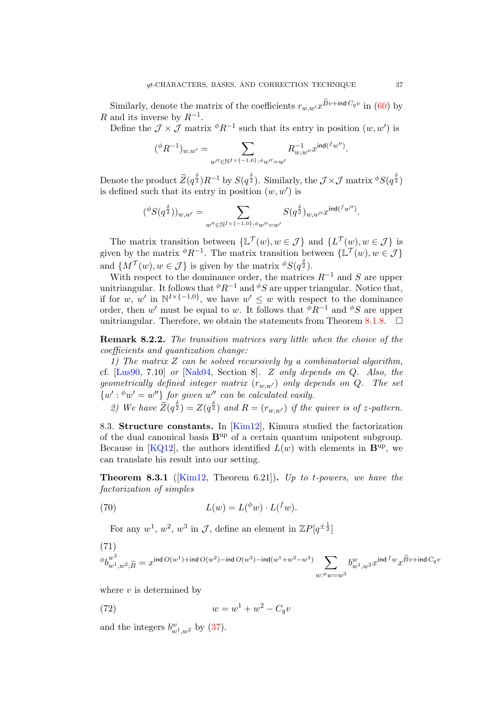Similarly, denote the matrix of the coefficients  $r_{w,w'}x^{Bv+\text{ind }C_qv}$  in [\(60\)](#page-32-2) by R and its inverse by  $R^{-1}$ .

Define the  $\mathcal{J} \times \mathcal{J}$  matrix  $\phi R^{-1}$  such that its entry in position  $(w, w')$  is

$$
({}^{\phi}R^{-1})_{w,w'}=\sum_{w''\in \mathbb{N}^{I\times \{-1,0\}}\cdot {}^{\phi}w''=w'}R_{w,w''}^{-1}x^{{\textsf{ind}}(^{f}w'')}.
$$

Denote the product  $\widetilde{Z}(q^{\frac{\delta}{2}})R^{-1}$  by  $S(q^{\frac{\delta}{2}})$ . Similarly, the  $\mathcal{J} \times \mathcal{J}$  matrix  $\phi S(q^{\frac{\delta}{2}})$ is defined such that its entry in position  $(w, w')$  is

$$
({}^\phi S(q^{\frac{\delta}{2}}))_{w,w'} = \sum_{w'' \in \mathbb{N}^{I \times \{-1,0\},\phi}{w'' = w'}} S(q^{\frac{\delta}{2}})_{w,w''}x^{\mathrm{ind}(^{f}w'')}.
$$

The matrix transition between  $\{\mathbb{L}^{\mathcal{T}}(w), w \in \mathcal{J}\}\$ and  $\{L^{\mathcal{T}}(w), w \in \mathcal{J}\}\$ is given by the matrix  $\phi R^{-1}$ . The matrix transition between  $\{\mathbb{L}^{\mathcal{T}}(w), w \in \mathcal{J}\}\$ and  $\{M^{\mathcal{T}}(w), w \in \mathcal{J}\}\$ is given by the matrix  $\phi S(q^{\frac{\delta}{2}})$ .

With respect to the dominance order, the matrices  $R^{-1}$  and S are upper unitriangular. It follows that  $\phi R^{-1}$  and  $\phi S$  are upper triangular. Notice that, if for w, w' in  $\mathbb{N}^{I\times \{-1,0\}}$ , we have  $w' \leq w$  with respect to the dominance order, then w' must be equal to w. It follows that  $\phi R^{-1}$  and  $\phi S$  are upper unitriangular. Therefore, we obtain the statements from Theorem [8.1.8.](#page-35-1)  $\Box$ 

<span id="page-36-2"></span>Remark 8.2.2. The transition matrices vary little when the choice of the coefficients and quantization change:

1) The matrix Z can be solved recursively by a combinatorial algorithm, cf.  $[Lus90, 7.10]$  $[Lus90, 7.10]$  or  $[Nak04, Section 8]$  $[Nak04, Section 8]$ . Z only depends on Q. Also, the geometrically defined integer matrix  $(r_{w,w'})$  only depends on Q. The set  $\{w': \phi w' = w''\}$  for given w'' can be calculated easily.

2) We have  $\widetilde{Z}(q^{\frac{\delta}{2}}) = Z(q^{\frac{\delta}{2}})$  and  $R = (r_{w,w'})$  if the quiver is of z-pattern.

<span id="page-36-0"></span>8.3. Structure constants. In [\[Kim12\]](#page-43-23), Kimura studied the factorization of the dual canonical basis  $B^{up}$  of a certain quantum unipotent subgroup. Because in [\[KQ12\]](#page-43-14), the authors identified  $L(w)$  with elements in  $\mathbf{B}^{\text{up}}$ , we can translate his result into our setting.

<span id="page-36-1"></span>**Theorem 8.3.1** ([\[Kim12,](#page-43-23) Theorem 6.21]). Up to t-powers, we have the factorization of simples

<span id="page-36-3"></span>(70) 
$$
L(w) = L({}^{\phi}w) \cdot L({}^f w).
$$

For any  $w^1, w^2, w^3$  in J, define an element in  $\mathbb{Z}P[q^{\pm \frac{1}{2}}]$ 

$$
\begin{aligned} & (71) \\ & ^\phi b_{w^1,w^2;\widetilde{B}}^{w^3} = x^{\text{ind}\, O(w^1) + \text{ind}\, O(w^2) - \text{ind}\, O(w^3) - \text{ind}(w^1+w^2-w^3)} \sum_{w:\psi w = w^3} b_{w^1,w^2}^w x^{\text{ind}\, f}w_x \widetilde{B}v + \text{ind}\, C_q v \end{aligned}
$$

where  $v$  is determined by

(72) 
$$
w = w^1 + w^2 - C_q v
$$

and the integers  $b_{w_1,w_2}^w$  by [\(37\)](#page-23-2).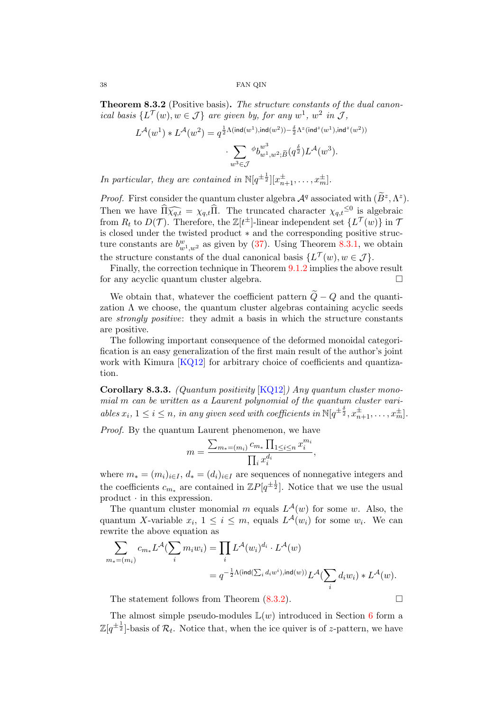<span id="page-37-0"></span>Theorem 8.3.2 (Positive basis). The structure constants of the dual canonical basis  $\{L^{\mathcal{T}}(w), w \in \mathcal{J}\}\$ are given by, for any  $w^1, w^2$  in  $\mathcal{J},$ 

$$
\begin{aligned} L^{\mathcal{A}}(w^1)\ast L^{\mathcal{A}}(w^2) &= q^{\frac{1}{2}\Lambda(\mathrm{ind}(w^1),\mathrm{ind}(w^2)) - \frac{\delta}{2}\Lambda^z(\mathrm{ind}^z(w^1),\mathrm{ind}^z(w^2))}\\ &\cdot \sum_{w^3\in\mathcal{J}} {}^{\phi}b^{w^3}_{w^1,w^2;\widetilde{B}}(q^{\frac{\delta}{2}}) L^{\mathcal{A}}(w^3). \end{aligned}
$$

In particular, they are contained in  $\mathbb{N}[q^{\pm \frac{1}{2}}][x_{n+1}^{\pm}, \ldots, x_{m}^{\pm}].$ 

*Proof.* First consider the quantum cluster algebra  $\mathcal{A}^q$  associated with  $(\widetilde{B}^z, \Lambda^z)$ . Then we have  $\widehat{\Pi}\widehat{\chi_{q,t}} = \chi_{q,t}\widehat{\Pi}$ . The truncated character  $\chi_{q,t}^{\leq 0}$  is algebraic from  $B_{\perp}$  to  $D(\mathcal{T})$ . Therefore, the  $\mathbb{Z}[t^{\pm 1}]$  linear independent set  $\{I^{\mathcal{T}}(w)\}\$  in  $\mathcal{T}$ from  $R_t$  to  $D(\mathcal{T})$ . Therefore, the  $\mathbb{Z}[t^{\pm}]$ -linear independent set  $\{L^{\mathcal{T}}(w)\}$  in  $\mathcal{T}$ is closed under the twisted product ∗ and the corresponding positive structure constants are  $b_{w^1,w^2}^w$  as given by [\(37\)](#page-23-2). Using Theorem [8.3.1,](#page-36-1) we obtain the structure constants of the dual canonical basis  $\{L^{\mathcal{T}}(w), w \in \mathcal{J}\}.$ 

Finally, the correction technique in Theorem [9.1.2](#page-39-0) implies the above result for any acyclic quantum cluster algebra.

We obtain that, whatever the coefficient pattern  $\tilde{Q} - Q$  and the quantization  $\Lambda$  we choose, the quantum cluster algebras containing acyclic seeds are strongly positive: they admit a basis in which the structure constants are positive.

The following important consequence of the deformed monoidal categorification is an easy generalization of the first main result of the author's joint work with Kimura [\[KQ12\]](#page-43-14) for arbitrary choice of coefficients and quantization.

**Corollary 8.3.3.** (Quantum positivity  $[KQ12]$ ) Any quantum cluster monomial m can be written as a Laurent polynomial of the quantum cluster variables  $x_i$ ,  $1 \leq i \leq n$ , in any given seed with coefficients in  $\mathbb{N}[q^{\pm \frac{\delta}{2}}, x_{n+1}^{\pm}, \ldots, x_m^{\pm}]$ .

Proof. By the quantum Laurent phenomenon, we have

$$
m = \frac{\sum_{m_*=(m_i)} c_{m_*} \prod_{1 \le i \le n} x_i^{m_i}}{\prod_i x_i^{d_i}},
$$

where  $m_* = (m_i)_{i \in I}$ ,  $d_* = (d_i)_{i \in I}$  are sequences of nonnegative integers and the coefficients  $c_{m*}$  are contained in  $\mathbb{Z}P[q^{\pm \frac{1}{2}}]$ . Notice that we use the usual product · in this expression.

The quantum cluster monomial m equals  $L^{\mathcal{A}}(w)$  for some w. Also, the quantum X-variable  $x_i$ ,  $1 \leq i \leq m$ , equals  $L^{\mathcal{A}}(w_i)$  for some  $w_i$ . We can rewrite the above equation as

$$
\sum_{m_*=(m_i)} c_{m_*} L^{\mathcal{A}}(\sum_i m_i w_i) = \prod_i L^{\mathcal{A}}(w_i)^{d_i} \cdot L^{\mathcal{A}}(w)
$$
  
=  $q^{-\frac{1}{2}\Lambda(\text{ind}(\sum_i d_i w^i), \text{ind}(w))} L^{\mathcal{A}}(\sum_i d_i w_i) * L^{\mathcal{A}}(w).$ 

The statement follows from Theorem  $(8.3.2)$ .

The almost simple pseudo-modules  $\mathbb{L}(w)$  introduced in Section [6](#page-26-0) form a  $\mathbb{Z}[q^{\pm \frac{1}{2}}]$ -basis of  $\mathcal{R}_t$ . Notice that, when the ice quiver is of z-pattern, we have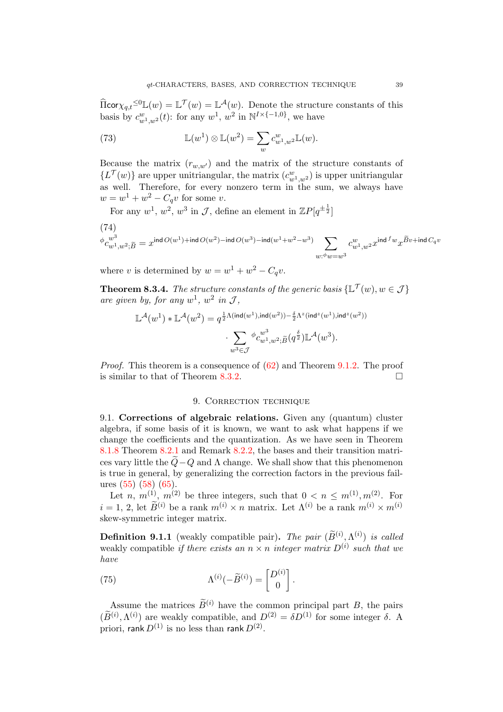$\widehat{\Pi}$ cor $\chi_{q,t} \leq 0$   $\mathbb{L}(w) = \mathbb{L}^{\mathcal{T}}(w) = \mathbb{L}^{\mathcal{A}}(w)$ . Denote the structure constants of this basis by  $c_{w^1,w^2}^w(t)$ : for any  $w^1$ ,  $w^2$  in  $\mathbb{N}^{I \times \{-1,0\}}$ , we have

(73) 
$$
\mathbb{L}(w^1) \otimes \mathbb{L}(w^2) = \sum_w c_{w^1,w^2}^w \mathbb{L}(w).
$$

Because the matrix  $(r_{w,w})$  and the matrix of the structure constants of  $\{L^{\mathcal{T}}(w)\}\$ are upper unitriangular, the matrix  $(c_{w^1,w^2}^w)$  is upper unitriangular as well. Therefore, for every nonzero term in the sum, we always have  $w = w^1 + w^2 - C_q v$  for some v.

For any  $w^1, w^2, w^3$  in J, define an element in  $\mathbb{Z}P[q^{\pm \frac{1}{2}}]$ 

$$
\begin{aligned} &\text{(74)}\\ &\phi_{\mathcal{C}_{w^1,w^2;\widetilde{B}}^{w^3}}=x^{\mathrm{ind}\,O(w^1)+\mathrm{ind}\,O(w^2)-\mathrm{ind}\,O(w^3)-\mathrm{ind}(w^1+w^2-w^3)}\sum_{w:\phi_w=w^3}c_{w^1,w^2}^w x^{\mathrm{ind}\,{}^f w}x^{\widetilde{B} v+\mathrm{ind}\,C_q v} \end{aligned}
$$

where v is determined by  $w = w^1 + w^2 - C_q v$ .

**Theorem 8.3.4.** The structure constants of the generic basis  $\{\mathbb{L}^{\mathcal{T}}(w), w \in \mathcal{J}\}\$ are given by, for any  $w^1$ ,  $w^2$  in J,

$$
\mathbb{L}^{\mathcal{A}}(w^1)*\mathbb{L}^{\mathcal{A}}(w^2) = q^{\frac{1}{2}\Lambda(\mathrm{ind}(w^1),\mathrm{ind}(w^2)) - \frac{\delta}{2}\Lambda^z(\mathrm{ind}^z(w^1),\mathrm{ind}^z(w^2))} \cdot \sum_{w^3 \in \mathcal{J}} \phi_{w^1,w^2;\widetilde{B}}^{w^3}(q^{\frac{\delta}{2}}) \mathbb{L}^{\mathcal{A}}(w^3).
$$

*Proof.* This theorem is a consequence of  $(62)$  and Theorem [9.1.2.](#page-39-0) The proof is similar to that of Theorem [8.3.2.](#page-37-0)

## 9. CORRECTION TECHNIQUE

<span id="page-38-1"></span><span id="page-38-0"></span>9.1. Corrections of algebraic relations. Given any (quantum) cluster algebra, if some basis of it is known, we want to ask what happens if we change the coefficients and the quantization. As we have seen in Theorem [8.1.8](#page-35-1) Theorem [8.2.1](#page-35-2) and Remark [8.2.2,](#page-36-2) the bases and their transition matrices vary little the  $\ddot{Q}-\dot{Q}$  and  $\Lambda$  change. We shall show that this phenomenon is true in general, by generalizing the correction factors in the previous failures [\(55\)](#page-29-0) [\(58\)](#page-30-0) [\(65\)](#page-34-2).

Let *n*,  $m^{(1)}$ ,  $m^{(2)}$  be three integers, such that  $0 < n \leq m^{(1)}$ ,  $m^{(2)}$ . For  $i = 1, 2$ , let  $\widetilde{B}^{(i)}$  be a rank  $m^{(i)} \times n$  matrix. Let  $\Lambda^{(i)}$  be a rank  $m^{(i)} \times m^{(i)}$ skew-symmetric integer matrix.

**Definition 9.1.1** (weakly compatible pair). The pair  $(\widetilde{B}^{(i)}, \Lambda^{(i)})$  is called weakly compatible if there exists an  $n \times n$  integer matrix  $D^{(i)}$  such that we have

(75) 
$$
\Lambda^{(i)}(-\widetilde{B}^{(i)}) = \begin{bmatrix} D^{(i)} \\ 0 \end{bmatrix}.
$$

Assume the matrices  $\widetilde{B}^{(i)}$  have the common principal part B, the pairs  $(\widetilde{B}^{(i)}, \Lambda^{(i)})$  are weakly compatible, and  $D^{(2)} = \delta D^{(1)}$  for some integer  $\delta$ . A priori, rank  $D^{(1)}$  is no less than rank  $D^{(2)}.$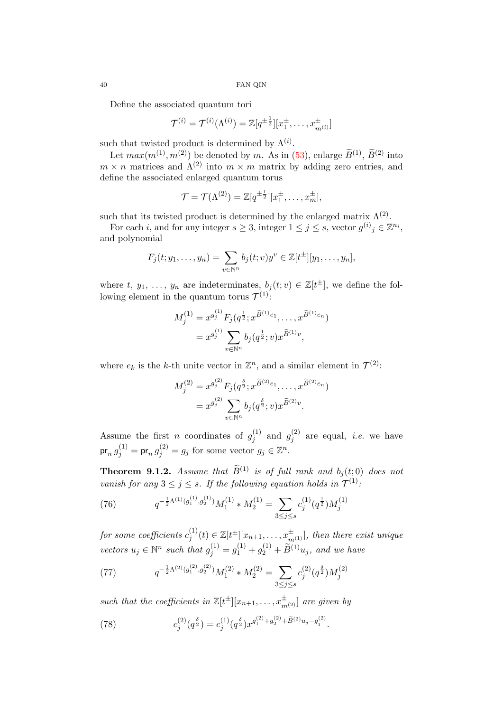Define the associated quantum tori

$$
\mathcal{T}^{(i)} = \mathcal{T}^{(i)}(\Lambda^{(i)}) = \mathbb{Z}[q^{\pm \frac{1}{2}}][x_1^{\pm}, \dots, x_{m^{(i)}}^{\pm}]
$$

such that twisted product is determined by  $\Lambda^{(i)}$ .

Let  $max(m^{(1)}, m^{(2)})$  be denoted by m. As in [\(53\)](#page-29-1), enlarge  $\widetilde{B}^{(1)}$ ,  $\widetilde{B}^{(2)}$  into  $m \times n$  matrices and  $\Lambda^{(2)}$  into  $m \times m$  matrix by adding zero entries, and define the associated enlarged quantum torus

$$
\mathcal{T} = \mathcal{T}(\Lambda^{(2)}) = \mathbb{Z}[q^{\pm \frac{1}{2}}][x_1^{\pm}, \dots, x_m^{\pm}],
$$

such that its twisted product is determined by the enlarged matrix  $\Lambda^{(2)}$ .

For each *i*, and for any integer  $s \geq 3$ , integer  $1 \leq j \leq s$ , vector  $g^{(i)}_j \in \mathbb{Z}^{n_i}$ , and polynomial

$$
F_j(t; y_1,\ldots,y_n)=\sum_{v\in\mathbb{N}^n}b_j(t;v)y^v\in\mathbb{Z}[t^{\pm}][y_1,\ldots,y_n],
$$

where t,  $y_1, \ldots, y_n$  are indeterminates,  $b_j(t; v) \in \mathbb{Z}[t^{\pm}]$ , we define the following element in the quantum torus  $\mathcal{T}^{(1)}$ :

$$
M_j^{(1)} = x^{g_j^{(1)}} F_j(q^{\frac{1}{2}}; x^{\widetilde{B}^{(1)}e_1}, \dots, x^{\widetilde{B}^{(1)}e_n})
$$
  
=  $x^{g_j^{(1)}} \sum_{v \in \mathbb{N}^n} b_j(q^{\frac{1}{2}}; v) x^{\widetilde{B}^{(1)}v},$ 

where  $e_k$  is the k-th unite vector in  $\mathbb{Z}^n$ , and a similar element in  $\mathcal{T}^{(2)}$ :

$$
M_j^{(2)} = x^{g_j^{(2)}} F_j(q^{\frac{\delta}{2}}; x^{\widetilde{B}^{(2)}e_1}, \dots, x^{\widetilde{B}^{(2)}e_n})
$$
  
=  $x^{g_j^{(2)}} \sum_{v \in \mathbb{N}^n} b_j(q^{\frac{\delta}{2}}; v) x^{\widetilde{B}^{(2)}v}.$ 

Assume the first *n* coordinates of  $g_i^{(1)}$  $g_j^{(1)}$  and  $g_j^{(2)}$  $j_j^{(2)}$  are equal, *i.e.* we have  $\mathsf{pr}_n\,g^{(1)}_j = \mathsf{pr}_n\,g^{(2)}_j = g_j \,\,\text{for some vector}\,\, g_j \in \mathbb{Z}^n.$ 

<span id="page-39-0"></span>**Theorem 9.1.2.** Assume that  $\widetilde{B}^{(1)}$  is of full rank and  $b_i(t; 0)$  does not vanish for any  $3 \leq j \leq s$ . If the following equation holds in  $\mathcal{T}^{(1)}$ .

<span id="page-39-1"></span>(76) 
$$
q^{-\frac{1}{2}\Lambda^{(1)}(g_1^{(1)},g_2^{(1)})}M_1^{(1)} * M_2^{(1)} = \sum_{3 \le j \le s} c_j^{(1)}(q^{\frac{1}{2}})M_j^{(1)}
$$

for some coefficients  $c_i^{(1)}$  $y_j^{(1)}(t) \in \mathbb{Z}[t^{\pm}][x_{n+1}, \ldots, x_{m^{(1)}}^{\pm}],$  then there exist unique vectors  $u_j \in \mathbb{N}^n$  such that  $g_j^{(1)} = g_1^{(1)} + g_2^{(1)} + \widetilde{B}^{(1)}u_j$ , and we have

<span id="page-39-2"></span>(77) 
$$
q^{-\frac{1}{2}\Lambda^{(2)}(g_1^{(2)},g_2^{(2)})}M_1^{(2)} * M_2^{(2)} = \sum_{3 \le j \le s} c_j^{(2)}(q^{\frac{\delta}{2}})M_j^{(2)}
$$

such that the coefficients in  $\mathbb{Z}[t^{\pm}][x_{n+1},...,x_{m^{(2)}}^{\pm}]$  are given by

(78) 
$$
c_j^{(2)}(q^{\frac{\delta}{2}}) = c_j^{(1)}(q^{\frac{\delta}{2}})x^{g_1^{(2)}+g_2^{(2)}+\widetilde{B}^{(2)}u_j-g_j^{(2)}}.
$$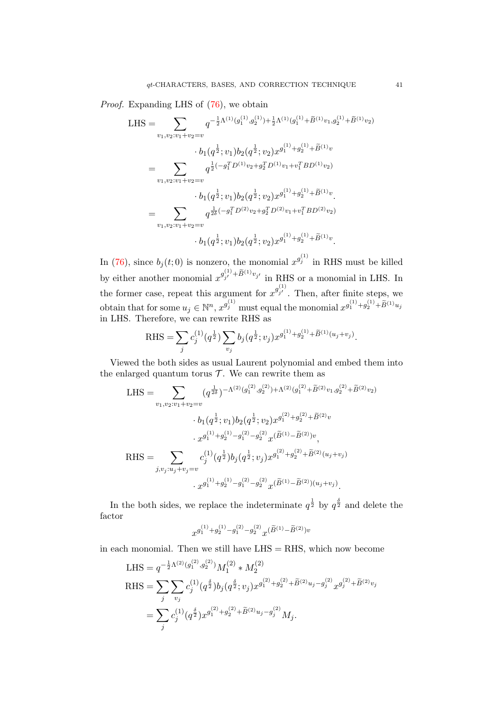Proof. Expanding LHS of  $(76)$ , we obtain

LHS = 
$$
\sum_{v_1, v_2: v_1+v_2=v} q^{-\frac{1}{2}\Lambda^{(1)}(g_1^{(1)}, g_2^{(1)}) + \frac{1}{2}\Lambda^{(1)}(g_1^{(1)} + \tilde{B}^{(1)}v_1, g_2^{(1)} + \tilde{B}^{(1)}v_2)}
$$
  
\n
$$
- b_1(q^{\frac{1}{2}}; v_1) b_2(q^{\frac{1}{2}}; v_2) x^{g_1^{(1)} + g_2^{(1)} + \tilde{B}^{(1)}v}
$$
  
\n
$$
= \sum_{v_1, v_2: v_1+v_2=v} q^{\frac{1}{2}(-g_1^T D^{(1)}v_2 + g_2^T D^{(1)}v_1 + v_1^T BD^{(1)}v_2)}
$$
  
\n
$$
- b_1(q^{\frac{1}{2}}; v_1) b_2(q^{\frac{1}{2}}; v_2) x^{g_1^{(1)} + g_2^{(1)} + \tilde{B}^{(1)}v}.
$$
  
\n
$$
= \sum_{v_1, v_2: v_1+v_2=v} q^{\frac{1}{2\delta}(-g_1^T D^{(2)}v_2 + g_2^T D^{(2)}v_1 + v_1^T BD^{(2)}v_2)}
$$
  
\n
$$
- b_1(q^{\frac{1}{2}}; v_1) b_2(q^{\frac{1}{2}}; v_2) x^{g_1^{(1)} + g_2^{(1)} + \tilde{B}^{(1)}v}.
$$

In [\(76\)](#page-39-1), since  $b_j(t;0)$  is nonzero, the monomial  $x^{g_j^{(1)}}$  in RHS must be killed by either another monomial  $x^{g_{j'}^{(1)} + \widetilde{B}^{(1)}v_{j'}}$  in RHS or a monomial in LHS. In the former case, repeat this argument for  $x^{g_{j'}^{(1)}}$ . Then, after finite steps, we obtain that for some  $u_j \in \mathbb{N}^n$ ,  $x^{g_j^{(1)}}$  must equal the monomial  $x^{g_1^{(1)}+g_2^{(1)}+\widetilde{B}^{(1)}u_j}$ in LHS. Therefore, we can rewrite RHS as

RHS = 
$$
\sum_{j} c_j^{(1)}(q^{\frac{1}{2}}) \sum_{v_j} b_j(q^{\frac{1}{2}}; v_j) x^{g_1^{(1)} + g_2^{(1)} + \widetilde{B}^{(1)}(u_j + v_j)}.
$$

Viewed the both sides as usual Laurent polynomial and embed them into the enlarged quantum torus  $T$ . We can rewrite them as

LHS = 
$$
\sum_{v_1, v_2: v_1 + v_2 = v} (q^{\frac{1}{2\delta}})^{-\Lambda^{(2)}(g_1^{(2)}, g_2^{(2)}) + \Lambda^{(2)}(g_1^{(2)} + \tilde{B}^{(2)}v_1, g_2^{(2)} + \tilde{B}^{(2)}v_2)}
$$

$$
\cdot b_1(q^{\frac{1}{2}}; v_1) b_2(q^{\frac{1}{2}}; v_2) x^{g_1^{(2)} + g_2^{(2)} + \tilde{B}^{(2)}v}
$$

$$
\cdot x^{g_1^{(1)} + g_2^{(1)} - g_1^{(2)} - g_2^{(2)} x^{(\tilde{B}^{(1)} - \tilde{B}^{(2)})v},
$$
RHS = 
$$
\sum_{j, v_j: u_j + v_j = v} c_j^{(1)}(q^{\frac{1}{2}}) b_j(q^{\frac{1}{2}}; v_j) x^{g_1^{(2)} + g_2^{(2)} + \tilde{B}^{(2)}(u_j + v_j)}
$$

$$
\cdot x^{g_1^{(1)} + g_2^{(1)} - g_1^{(2)} - g_2^{(2)} x^{(\tilde{B}^{(1)} - \tilde{B}^{(2)}) (u_j + v_j)}.
$$

In the both sides, we replace the indeterminate  $q^{\frac{1}{2}}$  by  $q^{\frac{\delta}{2}}$  and delete the factor

$$
x^{g_1^{(1)}+g_2^{(1)}-g_1^{(2)}-g_2^{(2)}}x^{(\widetilde{B}^{(1)}-\widetilde{B}^{(2)})v}
$$

in each monomial. Then we still have  $LHS = RHS$ , which now become

(2)

LHS = 
$$
q^{-\frac{1}{2}\Lambda^{(2)}(g_1^{(2)}, g_2^{(2)})} M_1^{(2)} * M_2^{(2)}
$$
  
\nRHS =  $\sum_j \sum_{v_j} c_j^{(1)}(q^{\frac{\delta}{2}}) b_j(q^{\frac{\delta}{2}}; v_j) x^{g_1^{(2)} + g_2^{(2)} + \tilde{B}^{(2)}u_j - g_j^{(2)}} x^{g_j^{(2)} + \tilde{B}^{(2)}v_j}$   
\n=  $\sum_j c_j^{(1)}(q^{\frac{\delta}{2}}) x^{g_1^{(2)} + g_2^{(2)} + \tilde{B}^{(2)}u_j - g_j^{(2)}} M_j.$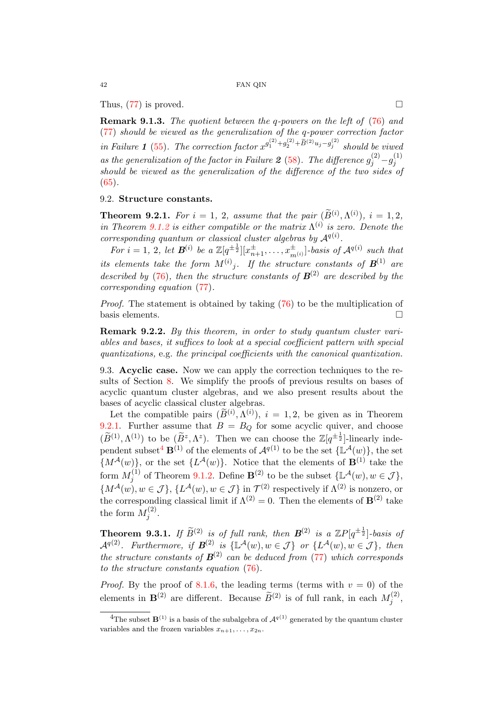Thus,  $(77)$  is proved.

Remark 9.1.3. The quotient between the q-powers on the left of [\(76\)](#page-39-1) and [\(77\)](#page-39-2) should be viewed as the generalization of the q-power correction factor in Failure 1 [\(55\)](#page-29-0). The correction factor  $x^{g_1^{(2)}+g_2^{(2)}+\widetilde{B}^{(2)}u_j-g_j^{(2)}}$  should be viwed as the generalization of the factor in Failure 2 [\(58\)](#page-30-0). The difference  $g_j^{(2)} - g_j^{(1)}$ j should be viewed as the generalization of the difference of the two sides of  $(65).$  $(65).$ 

# <span id="page-41-0"></span>9.2. Structure constants.

<span id="page-41-2"></span>**Theorem 9.2.1.** For  $i = 1, 2$ , assume that the pair  $(\widetilde{B}^{(i)}, \Lambda^{(i)})$ ,  $i = 1, 2$ , in Theorem [9.1.2](#page-39-0) is either compatible or the matrix  $\Lambda^{(i)}$  is zero. Denote the corresponding quantum or classical cluster algebras by  $\mathcal{A}^{q(i)}$ .

For  $i=1, 2$ , let  $\mathbf{B}^{(i)}$  be a  $\mathbb{Z}[q^{\pm \frac{1}{2}}][x_{n+1}^{\pm}, \ldots, x_{m(i)}^{\pm}]$ -basis of  $\mathcal{A}^{q(i)}$  such that its elements take the form  $M^{(i)}{}_j$ . If the structure constants of  $\mathbf{B}^{(1)}$  are described by [\(76\)](#page-39-1), then the structure constants of  $\mathbf{B}^{(2)}$  are described by the corresponding equation [\(77\)](#page-39-2).

Proof. The statement is obtained by taking  $(76)$  to be the multiplication of basis elements.  $\Box$ 

Remark 9.2.2. By this theorem, in order to study quantum cluster variables and bases, it suffices to look at a special coefficient pattern with special quantizations, e.g. the principal coefficients with the canonical quantization.

<span id="page-41-1"></span>9.3. Acyclic case. Now we can apply the correction techniques to the results of Section [8.](#page-33-0) We simplify the proofs of previous results on bases of acyclic quantum cluster algebras, and we also present results about the bases of acyclic classical cluster algebras.

Let the compatible pairs  $(\widetilde{B}^{(i)}, \Lambda^{(i)})$ ,  $i = 1, 2$ , be given as in Theorem [9.2.1.](#page-41-2) Further assume that  $B = B<sub>O</sub>$  for some acyclic quiver, and choose  $(\widetilde{B}^{(1)}, \Lambda^{(1)})$  to be  $(\widetilde{B}^z, \Lambda^z)$ . Then we can choose the  $\mathbb{Z}[q^{\pm \frac{1}{2}}]$ -linearly inde-pendent subset<sup>[4](#page-41-3)</sup>  $\mathbf{B}^{(1)}$  of the elements of  $\mathcal{A}^{q(1)}$  to be the set  $\{\mathbb{L}^{\mathcal{A}}(w)\}\,$ , the set  ${M^{\mathcal{A}}(w)}$ , or the set  ${L^{\mathcal{A}}(w)}$ . Notice that the elements of  $\mathbf{B}^{(1)}$  take the form  $M_i^{(1)}$  $j_j^{(1)}$  of Theorem [9.1.2.](#page-39-0) Define  $\mathbf{B}^{(2)}$  to be the subset  $\{\mathbb{L}^{\mathcal{A}}(w), w \in \mathcal{J}\},$  $\{M^{A}(w), w \in \mathcal{J}\}, \{L^{A}(w), w \in \mathcal{J}\}\$ in  $\mathcal{T}^{(2)}$  respectively if  $\Lambda^{(2)}$  is nonzero, or the corresponding classical limit if  $\Lambda^{(2)} = 0$ . Then the elements of **B**<sup>(2)</sup> take the form  $M_i^{(2)}$  $\frac{1}{j}$ .

**Theorem 9.3.1.** If  $\widetilde{B}^{(2)}$  is of full rank, then  $B^{(2)}$  is a  $\mathbb{Z}P[q^{\pm \frac{1}{2}}]$ -basis of  $\mathcal{A}^{q(2)}$ . Furthermore, if  $\mathcal{B}^{(2)}$  is  $\{\mathbb{L}^{\mathcal{A}}(w), w \in \mathcal{J}\}\;$  or  $\{L^{\mathcal{A}}(w), w \in \mathcal{J}\}\;$ , then the structure constants of  $B^{(2)}$  can be deduced from [\(77\)](#page-39-2) which corresponds to the structure constants equation [\(76\)](#page-39-1).

*Proof.* By the proof of [8.1.6,](#page-35-3) the leading terms (terms with  $v = 0$ ) of the elements in  $\mathbf{B}^{(2)}$  are different. Because  $\widetilde{B}^{(2)}$  is of full rank, in each  $M_j^{(2)}$  $j^{(2)},$ 

<span id="page-41-3"></span><sup>&</sup>lt;sup>4</sup>The subset  $\mathbf{B}^{(1)}$  is a basis of the subalgebra of  $\mathcal{A}^{q(1)}$  generated by the quantum cluster variables and the frozen variables  $x_{n+1}, \ldots, x_{2n}$ .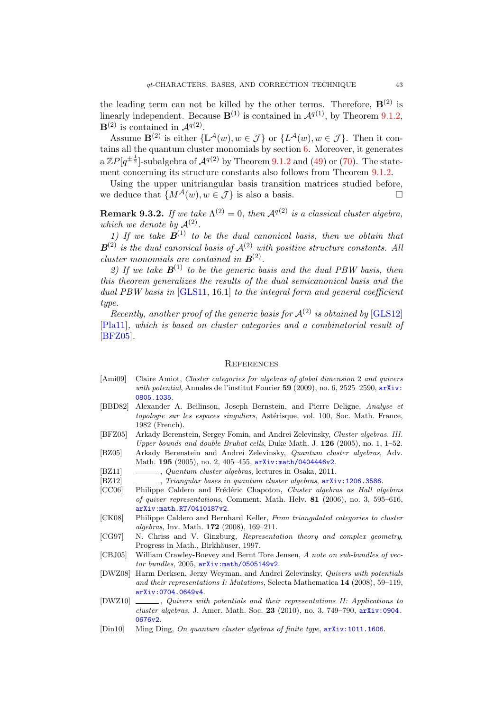the leading term can not be killed by the other terms. Therefore,  $\mathbf{B}^{(2)}$  is linearly independent. Because  $\mathbf{B}^{(1)}$  is contained in  $\mathcal{A}^{q(1)}$ , by Theorem [9.1.2,](#page-39-0)  $\mathbf{B}^{(2)}$  is contained in  $\mathcal{A}^{q(2)}$ .

Assume  $\mathbf{B}^{(2)}$  is either  $\{\mathbb{L}^{\mathcal{A}}(w), w \in \mathcal{J}\}\$  or  $\{L^{\mathcal{A}}(w), w \in \mathcal{J}\}\$ . Then it contains all the quantum cluster monomials by section [6.](#page-26-0) Moreover, it generates  $a ZP[q^{\pm \frac{1}{2}}]$ -subalgebra of  $\mathcal{A}^{q(2)}$  by Theorem [9.1.2](#page-39-0) and [\(49\)](#page-27-2) or [\(70\)](#page-36-3). The statement concerning its structure constants also follows from Theorem [9.1.2.](#page-39-0)

Using the upper unitriangular basis transition matrices studied before, we deduce that  $\{M^{\mathcal{A}}(w), w \in \mathcal{J}\}\$ is also a basis.

**Remark 9.3.2.** If we take  $\Lambda^{(2)} = 0$ , then  $\mathcal{A}^{q(2)}$  is a classical cluster algebra, which we denote by  $\mathcal{A}^{(2)}$ .

1) If we take  $\mathbf{B}^{(1)}$  to be the dual canonical basis, then we obtain that  $B^{(2)}$  is the dual canonical basis of  $\mathcal{A}^{(2)}$  with positive structure constants. All cluster monomials are contained in  $B^{(2)}$ .

2) If we take  $\mathbf{B}^{(1)}$  to be the generic basis and the dual PBW basis, then this theorem generalizes the results of the dual semicanonical basis and the dual PBW basis in [\[GLS11,](#page-43-2) 16.1] to the integral form and general coefficient type.

Recently, another proof of the generic basis for  $\mathcal{A}^{(2)}$  is obtained by [\[GLS12\]](#page-43-24) [\[Pla11\]](#page-44-10), which is based on cluster categories and a combinatorial result of [\[BFZ05\]](#page-42-2).

#### <span id="page-42-0"></span>**REFERENCES**

- [Ami09] Claire Amiot, Cluster categories for algebras of global dimension 2 and quivers with potential, Annales de l'institut Fourier 59 (2009), no. 6, 2525-2590,  $arXiv$ : [0805.1035](http://arxiv.org/abs/0805.1035).
- <span id="page-42-6"></span>[BBD82] Alexander A. Beilinson, Joseph Bernstein, and Pierre Deligne, Analyse et topologie sur les espaces singuliers, Astérisque, vol. 100, Soc. Math. France, 1982 (French).
- <span id="page-42-2"></span>[BFZ05] Arkady Berenstein, Sergey Fomin, and Andrei Zelevinsky, Cluster algebras. III. Upper bounds and double Bruhat cells, Duke Math. J. 126 (2005), no. 1, 1–52.
- <span id="page-42-1"></span>[BZ05] Arkady Berenstein and Andrei Zelevinsky, Quantum cluster algebras, Adv. Math. 195 (2005), no. 2, 405-455, arXiv: math/0404446v2.
- <span id="page-42-3"></span>[BZ11] , Quantum cluster algebras, lectures in Osaka, 2011.
- <span id="page-42-4"></span>[BZ12] , Triangular bases in quantum cluster algebras,  $arXiv:1206.3586$ .
- [CC06] Philippe Caldero and Frédéric Chapoton, Cluster algebras as Hall algebras of quiver representations, Comment. Math. Helv.  $81$  (2006), no. 3, 595–616, [arXiv:math.RT/0410187v2](http://arxiv.org/abs/math.RT/0410187v2).
- [CK08] Philippe Caldero and Bernhard Keller, From triangulated categories to cluster algebras, Inv. Math. 172 (2008), 169–211.
- <span id="page-42-7"></span>[CG97] N. Chriss and V. Ginzburg, Representation theory and complex geometry, Progress in Math., Birkhäuser, 1997.
- <span id="page-42-5"></span>[CBJ05] William Crawley-Boevey and Bernt Tore Jensen, A note on sub-bundles of vector bundles, 2005, [arXiv:math/0505149v2](http://arxiv.org/abs/math/0505149v2).
- [DWZ08] Harm Derksen, Jerzy Weyman, and Andrei Zelevinsky, Quivers with potentials and their representations I: Mutations, Selecta Mathematica 14 (2008), 59–119, [arXiv:0704.0649v4](http://arxiv.org/abs/0704.0649v4).
- [DWZ10]  $\_\_\_\_\_$ , Quivers with potentials and their representations II: Applications to cluster algebras, J. Amer. Math. Soc. 23 (2010), no. 3, 749–790, [arXiv:0904.](http://arxiv.org/abs/0904.0676v2) [0676v2](http://arxiv.org/abs/0904.0676v2).
- <span id="page-42-8"></span>[Din10] Ming Ding, On quantum cluster algebras of finite type,  $arXiv:1011.1606$ .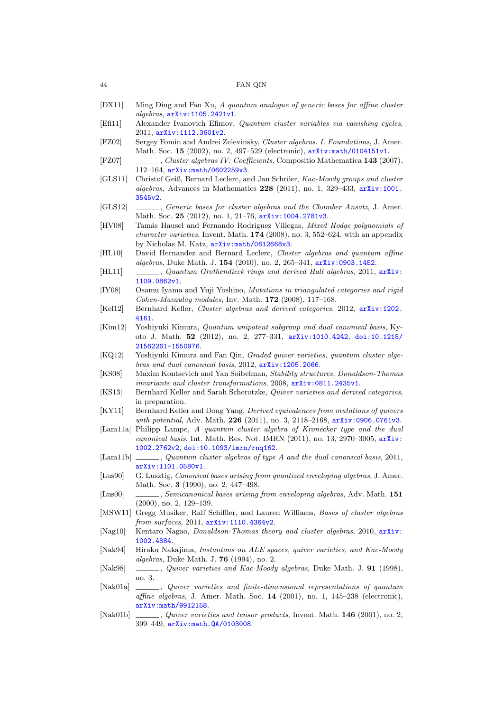- <span id="page-43-10"></span>[DX11] Ming Ding and Fan Xu, A quantum analogue of generic bases for affine cluster algebras, [arXiv:1105.2421v1](http://arxiv.org/abs/1105.2421v1).
- <span id="page-43-15"></span>[Efi11] Alexander Ivanovich Efimov, Quantum cluster variables via vanishing cycles, 2011, [arXiv:1112.3601v2](http://arxiv.org/abs/1112.3601v2).
- <span id="page-43-0"></span>[FZ02] Sergey Fomin and Andrei Zelevinsky, Cluster algebras. I. Foundations, J. Amer. Math. Soc. 15 (2002), no. 2, 497-529 (electronic),  $arXiv:math/0104151v1$ .
- <span id="page-43-3"></span>[FZ07] , Cluster algebras IV: Coefficients, Compositio Mathematica 143 (2007), 112–164, [arXiv:math/0602259v3](http://arxiv.org/abs/math/0602259v3).
- <span id="page-43-2"></span>[GLS11] Christof Geiß, Bernard Leclerc, and Jan Schröer, Kac-Moody groups and cluster algebras, Advances in Mathematics 228 (2011), no. 1, 329–433, [arXiv:1001.](http://arxiv.org/abs/1001.3545v2) [3545v2](http://arxiv.org/abs/1001.3545v2).
- <span id="page-43-24"></span>[GLS12] , Generic bases for cluster algebras and the Chamber Ansatz, J. Amer. Math. Soc. 25 (2012), no. 1, 21-76, arXiv: 1004.2781v3.
- <span id="page-43-19"></span>[HV08] Tamás Hausel and Fernando Rodriguez Villegas, Mixed Hodge polynomials of character varieties, Invent. Math. 174 (2008), no. 3, 552–624, with an appendix by Nicholas M. Katz, [arXiv:math/0612668v3](http://arxiv.org/abs/math/0612668v3).
- <span id="page-43-12"></span>[HL10] David Hernandez and Bernard Leclerc, Cluster algebras and quantum affine algebras, Duke Math. J. 154 (2010), no. 2, 265–341, [arXiv:0903.1452](http://arxiv.org/abs/0903.1452).
- <span id="page-43-11"></span>[HL11] , Quantum Grothendieck rings and derived Hall algebras, 2011, [arXiv:](http://arxiv.org/abs/1109.0862v1) [1109.0862v1](http://arxiv.org/abs/1109.0862v1).
- <span id="page-43-21"></span>[IY08] Osamu Iyama and Yuji Yoshino, Mutations in triangulated categories and rigid  $Cohen-Macaulay$  modules, Inv. Math. 172 (2008), 117-168.
- <span id="page-43-1"></span>[Kel12] Bernhard Keller, Cluster algebras and derived categories, 2012, [arXiv:1202.](http://arxiv.org/abs/1202.4161) [4161](http://arxiv.org/abs/1202.4161).
- <span id="page-43-23"></span>[Kim12] Yoshiyuki Kimura, Quantum unipotent subgroup and dual canonical basis, Kyoto J. Math. 52 (2012), no. 2, 277–331, [arXiv:1010.4242](http://arxiv.org/abs/1010.4242), [doi:10.1215/](http://dx.doi.org/10.1215/21562261-1550976) [21562261-1550976](http://dx.doi.org/10.1215/21562261-1550976).
- <span id="page-43-14"></span>[KQ12] Yoshiyuki Kimura and Fan Qin, Graded quiver varieties, quantum cluster algebras and dual canonical basis, 2012, [arXiv:1205.2066](http://arxiv.org/abs/1205.2066).
- <span id="page-43-4"></span>[KS08] Maxim Kontsevich and Yan Soibelman, Stability structures, Donaldson-Thomas invariants and cluster transformations, 2008, [arXiv:0811.2435v1](http://arxiv.org/abs/0811.2435v1).
- <span id="page-43-18"></span>[KS13] Bernhard Keller and Sarah Scherotzke, Quiver varieties and derived categories, in preparation.
- [KY11] Bernhard Keller and Dong Yang, Derived equivalences from mutations of quivers with potential, Adv. Math. 226 (2011), no. 3, 2118-2168, [arXiv:0906.0761v3](http://arxiv.org/abs/0906.0761v3).
- <span id="page-43-8"></span>[Lam11a] Philipp Lampe, A quantum cluster algebra of Kronecker type and the dual canonical basis, Int. Math. Res. Not. IMRN (2011), no. 13, 2970–3005, [arXiv:](http://arxiv.org/abs/1002.2762v2) [1002.2762v2](http://arxiv.org/abs/1002.2762v2), [doi:10.1093/imrn/rnq162](http://dx.doi.org/10.1093/imrn/rnq162).
- <span id="page-43-9"></span>[Lam11b]  $\ldots$ , Quantum cluster algebras of type A and the dual canonical basis, 2011, [arXiv:1101.0580v1](http://arxiv.org/abs/1101.0580v1).
- <span id="page-43-22"></span>[Lus90] G. Lusztig, Canonical bases arising from quantized enveloping algebras, J. Amer. Math. Soc. 3 (1990), no. 2, 447–498.
- <span id="page-43-6"></span>[Lus00] , Semicanonical bases arising from enveloping algebras, Adv. Math. 151 (2000), no. 2, 129–139.
- <span id="page-43-7"></span>[MSW11] Gregg Musiker, Ralf Schiffler, and Lauren Williams, Bases of cluster algebras from surfaces, 2011, [arXiv:1110.4364v2](http://arxiv.org/abs/1110.4364v2).
- <span id="page-43-5"></span>[Nag10] Kentaro Nagao, *Donaldson-Thomas theory and cluster algebras*, 2010, [arXiv:](http://arxiv.org/abs/1002.4884) [1002.4884](http://arxiv.org/abs/1002.4884).
- <span id="page-43-17"></span>[Nak94] Hiraku Nakajima, Instantons on ALE spaces, quiver varieties, and Kac-Moody algebras, Duke Math. J. 76 (1994), no. 2.
- <span id="page-43-16"></span>[Nak98] , Quiver varieties and Kac-Moody algebras, Duke Math. J. 91 (1998), no. 3.
- <span id="page-43-13"></span>[Nak01a] \_\_\_\_\_\_, Quiver varieties and finite-dimensional representations of quantum affine algebras, J. Amer. Math. Soc. 14 (2001), no. 1, 145–238 (electronic), [arXiv:math/9912158](http://arxiv.org/abs/math/9912158).
- <span id="page-43-20"></span>[Nak01b] , Quiver varieties and tensor products, Invent. Math. 146 (2001), no. 2, 399–449, [arXiv:math.QA/0103008](http://arxiv.org/abs/math.QA/0103008).